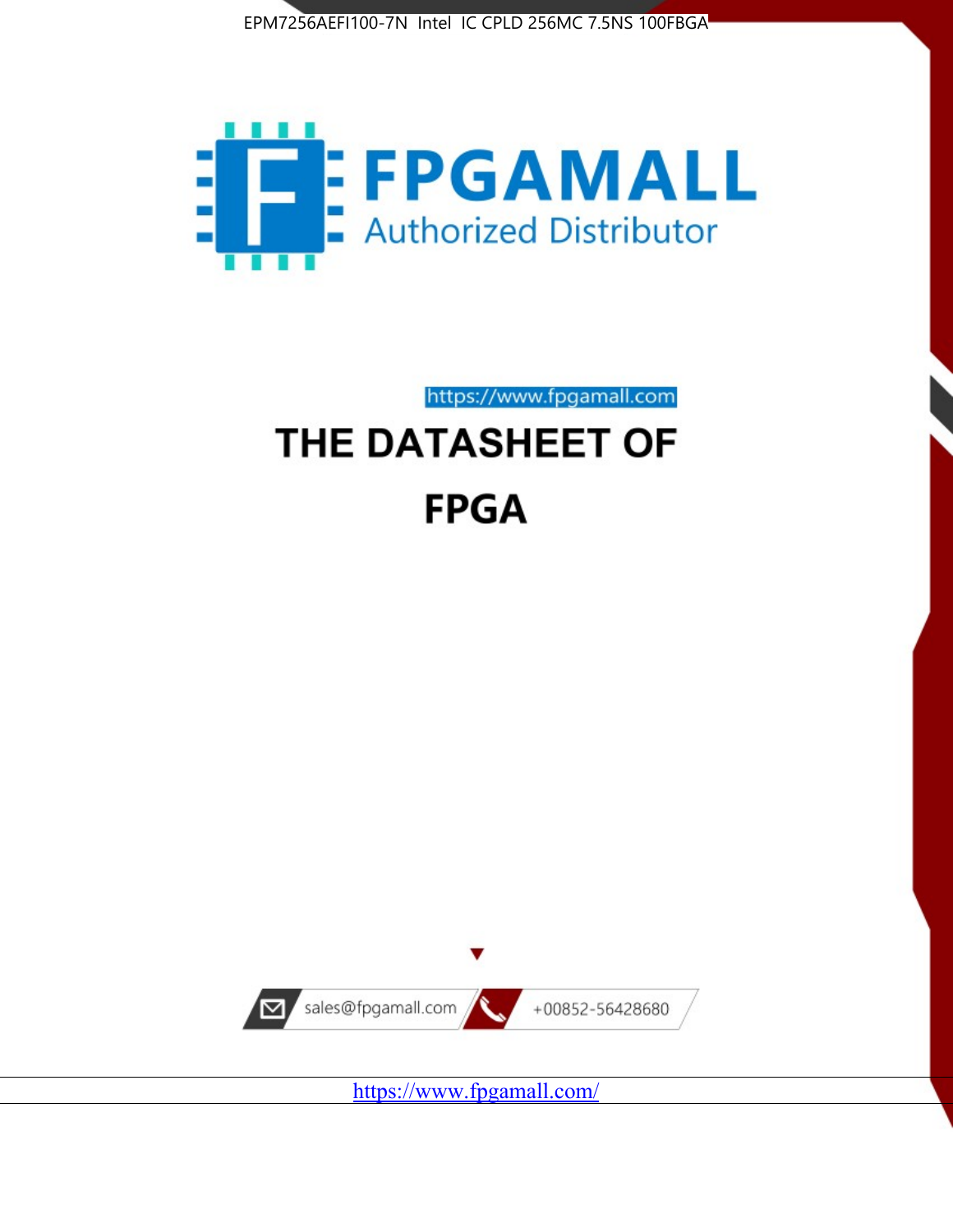



https://www.fpgamall.com

# THE DATASHEET OF **FPGA**



<https://www.fpgamall.com/>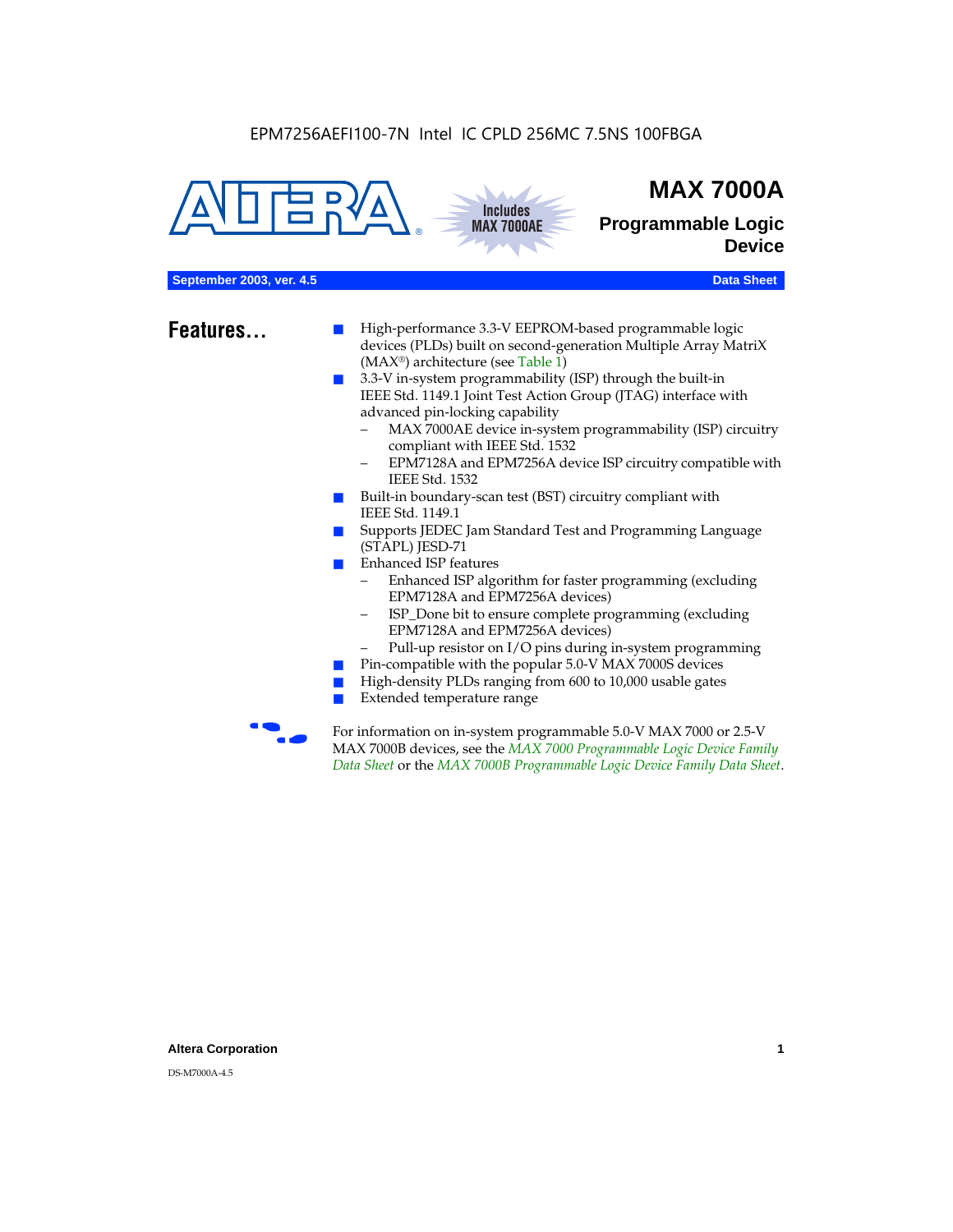



## **MAX 7000A**

**Programmable Logic Device**

#### **September 2003, ver. 4.5** Data Sheet

- **Features...** High-performance 3.3-V EEPROM-based programmable logic devices (PLDs) built on second-generation Multiple Array MatriX (MAX®) architecture (see Table 1)
	- 3.3-V in-system programmability (ISP) through the built-in IEEE Std. 1149.1 Joint Test Action Group (JTAG) interface with advanced pin-locking capability
		- MAX 7000AE device in-system programmability (ISP) circuitry compliant with IEEE Std. 1532
		- EPM7128A and EPM7256A device ISP circuitry compatible with IEEE Std. 1532
	- Built-in boundary-scan test (BST) circuitry compliant with IEEE Std. 1149.1
	- Supports JEDEC Jam Standard Test and Programming Language (STAPL) JESD-71
	- Enhanced ISP features
		- Enhanced ISP algorithm for faster programming (excluding EPM7128A and EPM7256A devices)
		- ISP\_Done bit to ensure complete programming (excluding EPM7128A and EPM7256A devices)
		- Pull-up resistor on I/O pins during in-system programming
	- Pin-compatible with the popular 5.0-V MAX 7000S devices
	- High-density PLDs ranging from 600 to 10,000 usable gates
	- Extended temperature range

For information on in-system programmable 5.0-V MAX 7000 or 2.5-V MAX 7000B devices, see the *MAX 7000 Programmable Logic Device Family Data Sheet* or the *MAX 7000B Programmable Logic Device Family Data Sheet*.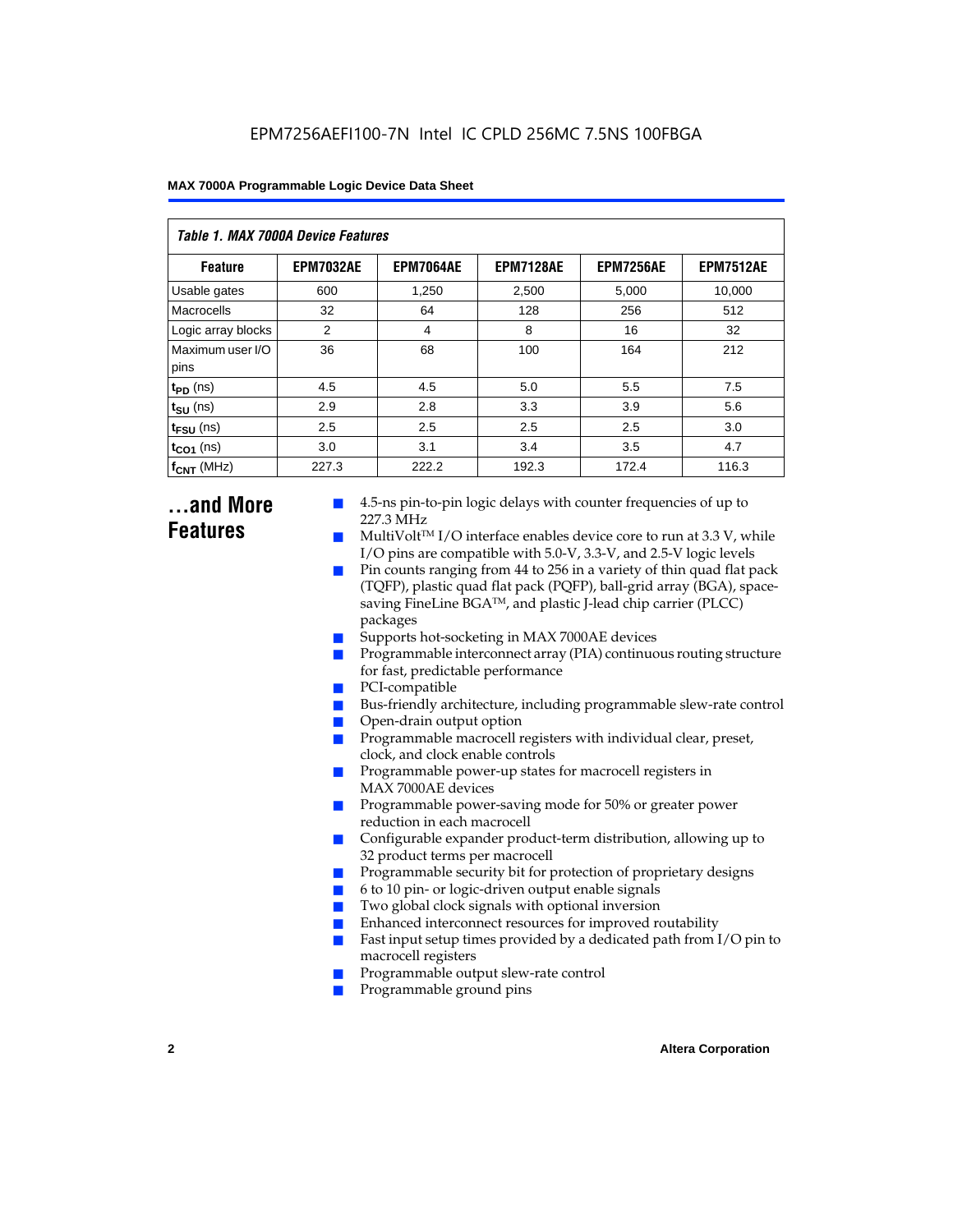| Table 1. MAX 7000A Device Features |                  |                  |                  |                  |                  |  |  |  |
|------------------------------------|------------------|------------------|------------------|------------------|------------------|--|--|--|
| <b>Feature</b>                     | <b>EPM7032AE</b> | <b>EPM7064AE</b> | <b>EPM7128AE</b> | <b>EPM7256AE</b> | <b>EPM7512AE</b> |  |  |  |
| Usable gates                       | 600              | 1,250            | 2,500            | 5,000            | 10,000           |  |  |  |
| Macrocells                         | 32               | 64               | 128              | 256              | 512              |  |  |  |
| Logic array blocks                 | 2                | 4                | 8                | 16               | 32               |  |  |  |
| Maximum user I/O<br>pins           | 36               | 68               | 100              | 164              | 212              |  |  |  |
| $t_{PD}$ (ns)                      | 4.5              | 4.5              | 5.0              | 5.5              | 7.5              |  |  |  |
| $t_{SU}$ (ns)                      | 2.9              | 2.8              | 3.3              | 3.9              | 5.6              |  |  |  |
| $t_{\text{FSU}}$ (ns)              | 2.5              | 2.5              | 2.5              | 2.5              | 3.0              |  |  |  |
| $t_{CO1}$ (ns)                     | 3.0              | 3.1              | 3.4              | 3.5              | 4.7              |  |  |  |
| $f_{CNT}$ (MHz)                    | 227.3            | 222.2            | 192.3            | 172.4            | 116.3            |  |  |  |

### **...and More Features**

- 4.5-ns pin-to-pin logic delays with counter frequencies of up to 227.3 MHz
- $Multivolt<sup>TM</sup> I/O interface enables device core to run at 3.3 V, while$ I/O pins are compatible with 5.0-V, 3.3-V, and 2.5-V logic levels
- Pin counts ranging from 44 to 256 in a variety of thin quad flat pack (TQFP), plastic quad flat pack (PQFP), ball-grid array (BGA), spacesaving FineLine BGATM, and plastic J-lead chip carrier (PLCC) packages
- Supports hot-socketing in MAX 7000AE devices
- Programmable interconnect array (PIA) continuous routing structure for fast, predictable performance
- PCI-compatible
- Bus-friendly architecture, including programmable slew-rate control
- Open-drain output option
- Programmable macrocell registers with individual clear, preset, clock, and clock enable controls
- Programmable power-up states for macrocell registers in MAX 7000AE devices
- Programmable power-saving mode for 50% or greater power reduction in each macrocell
- Configurable expander product-term distribution, allowing up to 32 product terms per macrocell
- Programmable security bit for protection of proprietary designs
- 6 to 10 pin- or logic-driven output enable signals
- Two global clock signals with optional inversion
- Enhanced interconnect resources for improved routability
- Fast input setup times provided by a dedicated path from  $I/O$  pin to macrocell registers
- Programmable output slew-rate control
- Programmable ground pins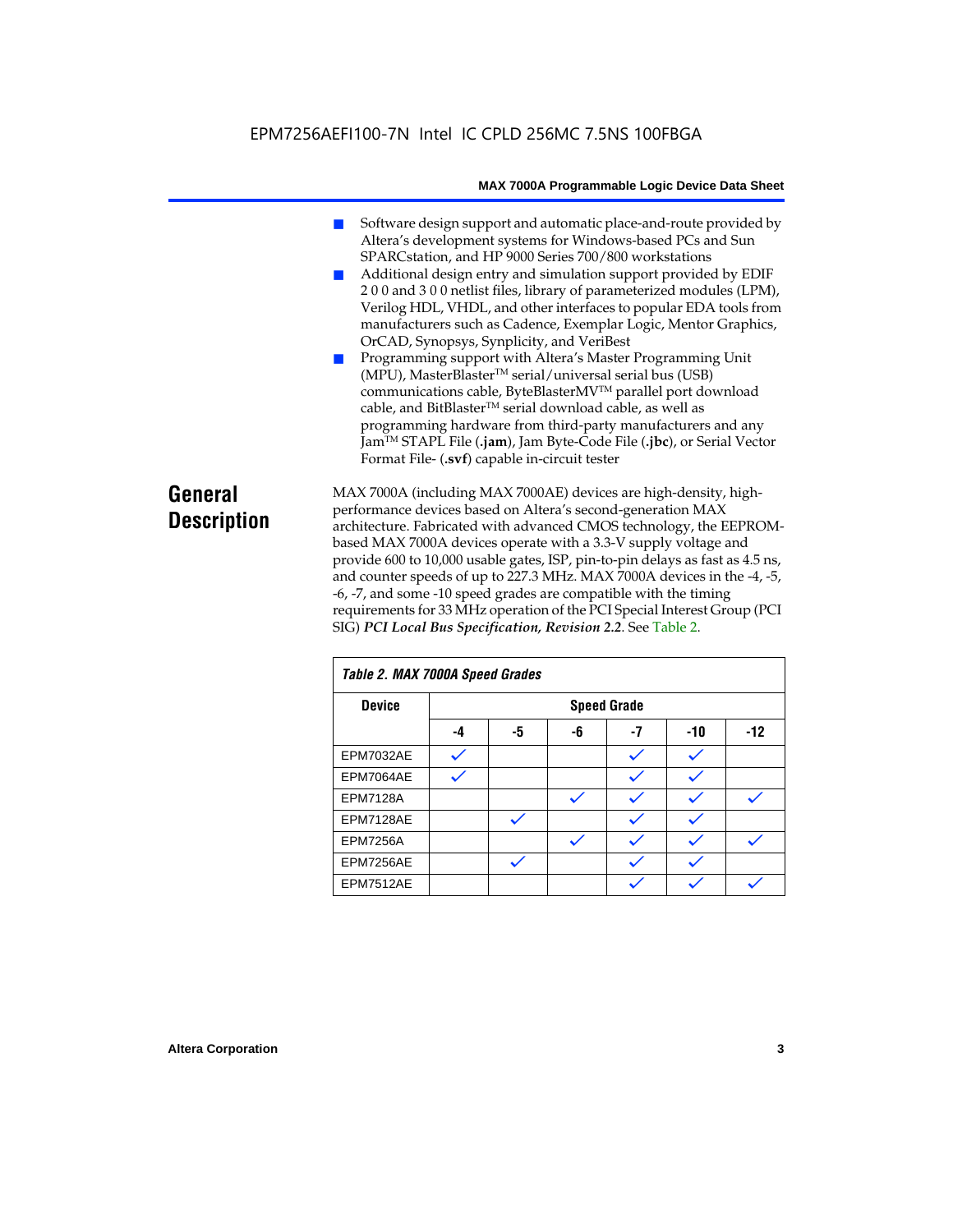### EPM7256AEFI100-7N Intel IC CPLD 256MC 7.5NS 100FBGA

#### **MAX 7000A Programmable Logic Device Data Sheet**

- Software design support and automatic place-and-route provided by Altera's development systems for Windows-based PCs and Sun SPARCstation, and HP 9000 Series 700/800 workstations
- Additional design entry and simulation support provided by EDIF 2 0 0 and 3 0 0 netlist files, library of parameterized modules (LPM), Verilog HDL, VHDL, and other interfaces to popular EDA tools from manufacturers such as Cadence, Exemplar Logic, Mentor Graphics, OrCAD, Synopsys, Synplicity, and VeriBest
- Programming support with Altera's Master Programming Unit (MPU), MasterBlaster™ serial/universal serial bus (USB) communications cable, ByteBlasterMVTM parallel port download cable, and BitBlaster™ serial download cable, as well as programming hardware from third-party manufacturers and any JamTM STAPL File (**.jam**), Jam Byte-Code File (**.jbc**), or Serial Vector Format File- (**.svf**) capable in-circuit tester

### **General Description**

MAX 7000A (including MAX 7000AE) devices are high-density, highperformance devices based on Altera's second-generation MAX architecture. Fabricated with advanced CMOS technology, the EEPROMbased MAX 7000A devices operate with a 3.3-V supply voltage and provide 600 to 10,000 usable gates, ISP, pin-to-pin delays as fast as 4.5 ns, and counter speeds of up to 227.3 MHz. MAX 7000A devices in the -4, -5, -6, -7, and some -10 speed grades are compatible with the timing requirements for 33 MHz operation of the PCI Special Interest Group (PCI SIG) *PCI Local Bus Specification, Revision 2.2*. See Table 2.

| Table 2. MAX 7000A Speed Grades |    |    |    |                    |     |       |
|---------------------------------|----|----|----|--------------------|-----|-------|
| <b>Device</b>                   |    |    |    | <b>Speed Grade</b> |     |       |
|                                 | -4 | -5 | -6 | -7                 | -10 | $-12$ |
| EPM7032AE                       |    |    |    |                    |     |       |
| EPM7064AE                       |    |    |    |                    |     |       |
| <b>EPM7128A</b>                 |    |    |    |                    |     |       |
| EPM7128AE                       |    |    |    |                    |     |       |
| <b>EPM7256A</b>                 |    |    |    |                    |     |       |
| EPM7256AE                       |    |    |    |                    |     |       |
| EPM7512AE                       |    |    |    |                    |     |       |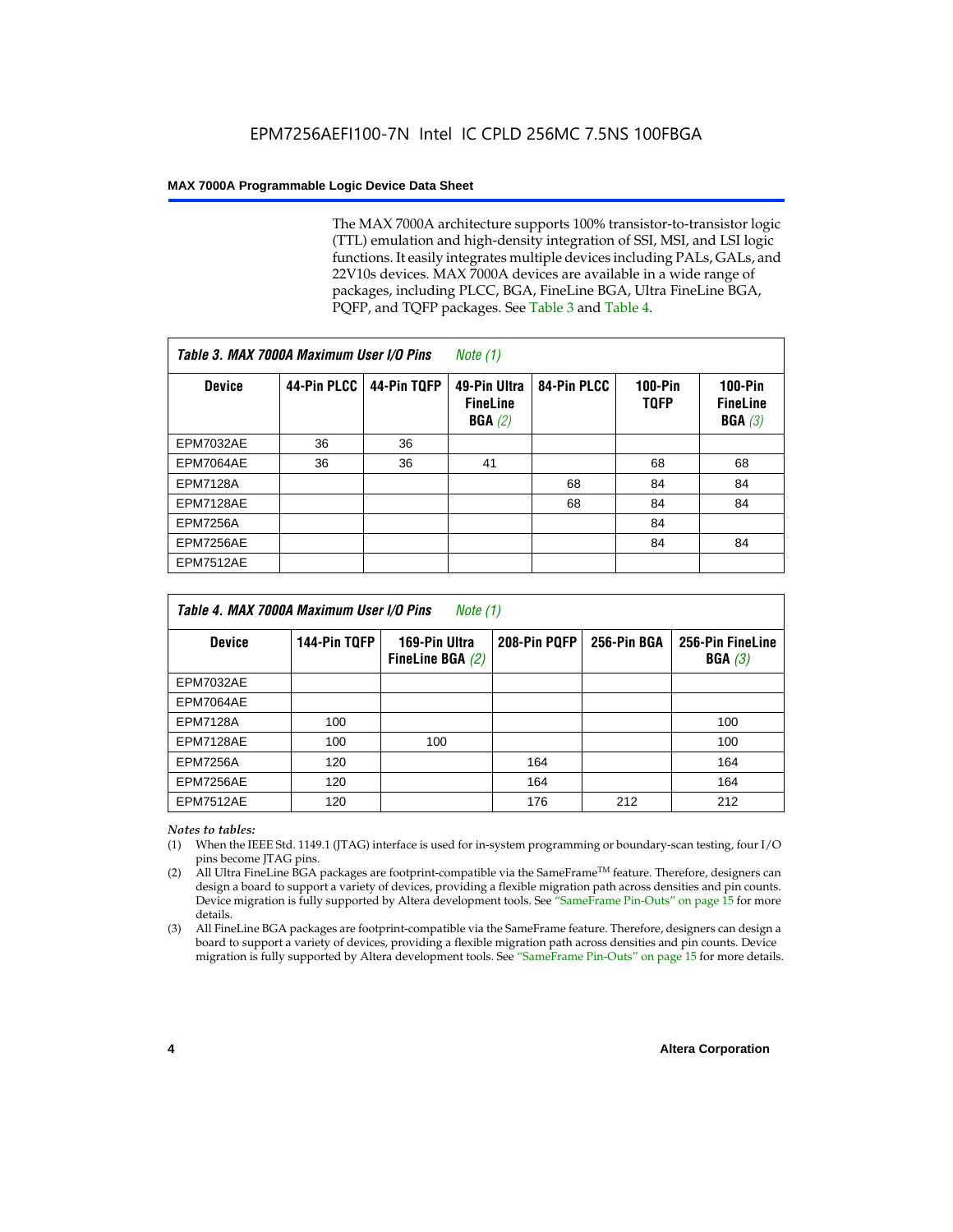The MAX 7000A architecture supports 100% transistor-to-transistor logic (TTL) emulation and high-density integration of SSI, MSI, and LSI logic functions. It easily integrates multiple devices including PALs, GALs, and 22V10s devices. MAX 7000A devices are available in a wide range of packages, including PLCC, BGA, FineLine BGA, Ultra FineLine BGA, PQFP, and TQFP packages. See Table 3 and Table 4.

| Table 3. MAX 7000A Maximum User I/O Pins |             |             | Note $(1)$                                |             |                               |                                        |
|------------------------------------------|-------------|-------------|-------------------------------------------|-------------|-------------------------------|----------------------------------------|
| <b>Device</b>                            | 44-Pin PLCC | 44-Pin TQFP | 49-Pin Ultra<br><b>FineLine</b><br>BGA(2) | 84-Pin PLCC | <b>100-Pin</b><br><b>TQFP</b> | $100-Pin$<br><b>FineLine</b><br>BGA(3) |
| EPM7032AE                                | 36          | 36          |                                           |             |                               |                                        |
| EPM7064AE                                | 36          | 36          | 41                                        |             | 68                            | 68                                     |
| <b>EPM7128A</b>                          |             |             |                                           | 68          | 84                            | 84                                     |
| EPM7128AE                                |             |             |                                           | 68          | 84                            | 84                                     |
| <b>EPM7256A</b>                          |             |             |                                           |             | 84                            |                                        |
| EPM7256AE                                |             |             |                                           |             | 84                            | 84                                     |
| <b>EPM7512AE</b>                         |             |             |                                           |             |                               |                                        |

| Table 4. MAX 7000A Maximum User I/O Pins<br>Note (1) |              |                                     |              |             |                            |  |  |
|------------------------------------------------------|--------------|-------------------------------------|--------------|-------------|----------------------------|--|--|
| <b>Device</b>                                        | 144-Pin TQFP | 169-Pin Ultra<br>FineLine BGA $(2)$ | 208-Pin PQFP | 256-Pin BGA | 256-Pin FineLine<br>BGA(3) |  |  |
| EPM7032AE                                            |              |                                     |              |             |                            |  |  |
| EPM7064AE                                            |              |                                     |              |             |                            |  |  |
| <b>EPM7128A</b>                                      | 100          |                                     |              |             | 100                        |  |  |
| EPM7128AE                                            | 100          | 100                                 |              |             | 100                        |  |  |
| <b>EPM7256A</b>                                      | 120          |                                     | 164          |             | 164                        |  |  |
| EPM7256AE                                            | 120          |                                     | 164          |             | 164                        |  |  |
| EPM7512AE                                            | 120          |                                     | 176          | 212         | 212                        |  |  |

#### *Notes to tables:*

- (1) When the IEEE Std. 1149.1 (JTAG) interface is used for in-system programming or boundary-scan testing, four I/O pins become JTAG pins.
- (2) All Ultra FineLine BGA packages are footprint-compatible via the SameFrame<sup>TM</sup> feature. Therefore, designers can design a board to support a variety of devices, providing a flexible migration path across densities and pin counts. Device migration is fully supported by Altera development tools. See "SameFrame Pin-Outs" on page 15 for more details.
- (3) All FineLine BGA packages are footprint-compatible via the SameFrame feature. Therefore, designers can design a board to support a variety of devices, providing a flexible migration path across densities and pin counts. Device migration is fully supported by Altera development tools. See "SameFrame Pin-Outs" on page 15 for more details.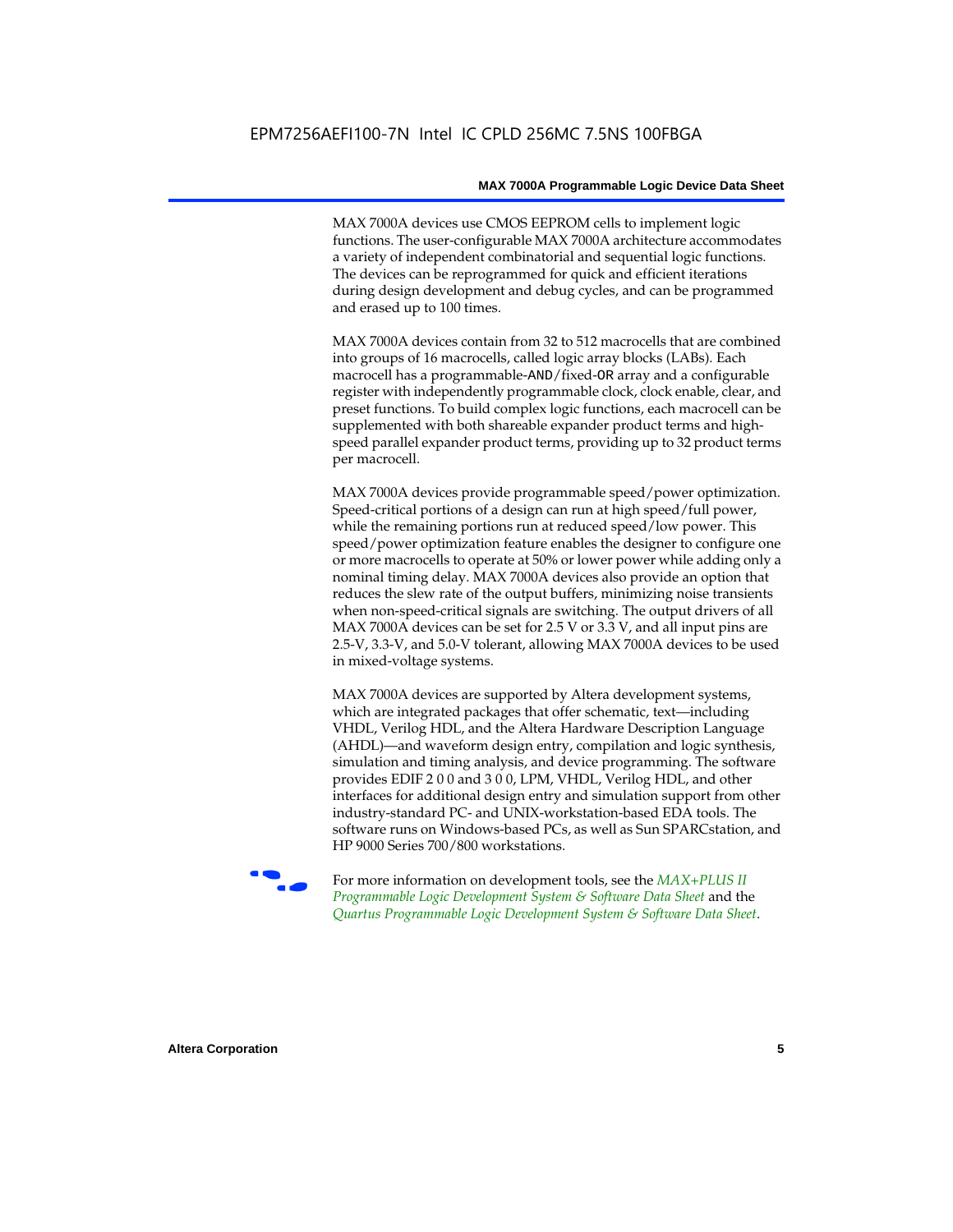MAX 7000A devices use CMOS EEPROM cells to implement logic functions. The user-configurable MAX 7000A architecture accommodates a variety of independent combinatorial and sequential logic functions. The devices can be reprogrammed for quick and efficient iterations during design development and debug cycles, and can be programmed and erased up to 100 times.

MAX 7000A devices contain from 32 to 512 macrocells that are combined into groups of 16 macrocells, called logic array blocks (LABs). Each macrocell has a programmable-AND/fixed-OR array and a configurable register with independently programmable clock, clock enable, clear, and preset functions. To build complex logic functions, each macrocell can be supplemented with both shareable expander product terms and highspeed parallel expander product terms, providing up to 32 product terms per macrocell.

MAX 7000A devices provide programmable speed/power optimization. Speed-critical portions of a design can run at high speed/full power, while the remaining portions run at reduced speed/low power. This speed/power optimization feature enables the designer to configure one or more macrocells to operate at 50% or lower power while adding only a nominal timing delay. MAX 7000A devices also provide an option that reduces the slew rate of the output buffers, minimizing noise transients when non-speed-critical signals are switching. The output drivers of all MAX 7000A devices can be set for 2.5 V or 3.3 V, and all input pins are 2.5-V, 3.3-V, and 5.0-V tolerant, allowing MAX 7000A devices to be used in mixed-voltage systems.

MAX 7000A devices are supported by Altera development systems, which are integrated packages that offer schematic, text—including VHDL, Verilog HDL, and the Altera Hardware Description Language (AHDL)—and waveform design entry, compilation and logic synthesis, simulation and timing analysis, and device programming. The software provides EDIF 2 0 0 and 3 0 0, LPM, VHDL, Verilog HDL, and other interfaces for additional design entry and simulation support from other industry-standard PC- and UNIX-workstation-based EDA tools. The software runs on Windows-based PCs, as well as Sun SPARCstation, and HP 9000 Series 700/800 workstations.

**For more information on development tools, see the** *MAX+PLUS II Programmable Logic Development System & Software Data Sheet* and the *Quartus Programmable Logic Development System & Software Data Sheet*.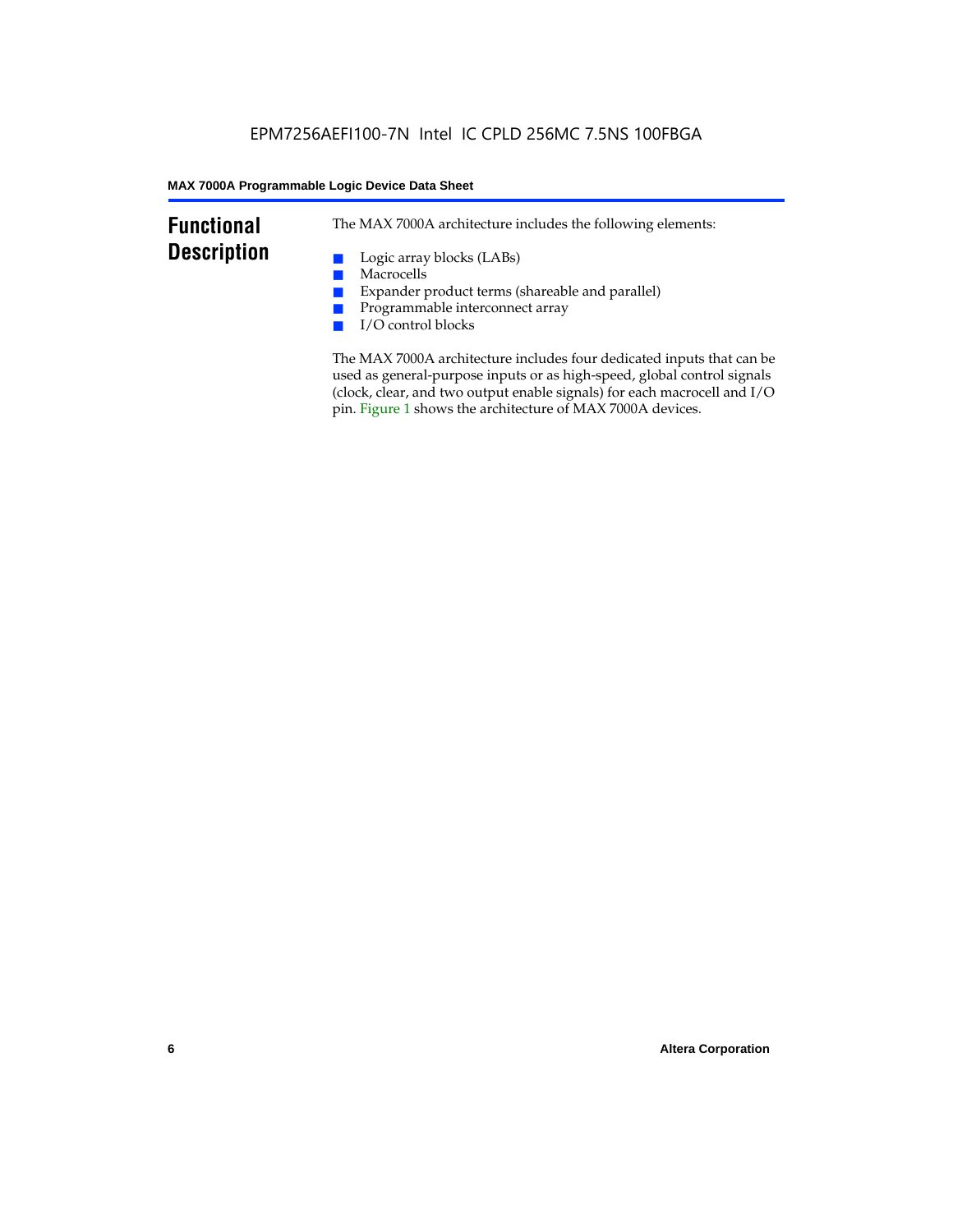### **Functional Description**

The MAX 7000A architecture includes the following elements:

- Logic array blocks (LABs)
- Macrocells
- Expander product terms (shareable and parallel)
- Programmable interconnect array
- I/O control blocks

The MAX 7000A architecture includes four dedicated inputs that can be used as general-purpose inputs or as high-speed, global control signals (clock, clear, and two output enable signals) for each macrocell and I/O pin. Figure 1 shows the architecture of MAX 7000A devices.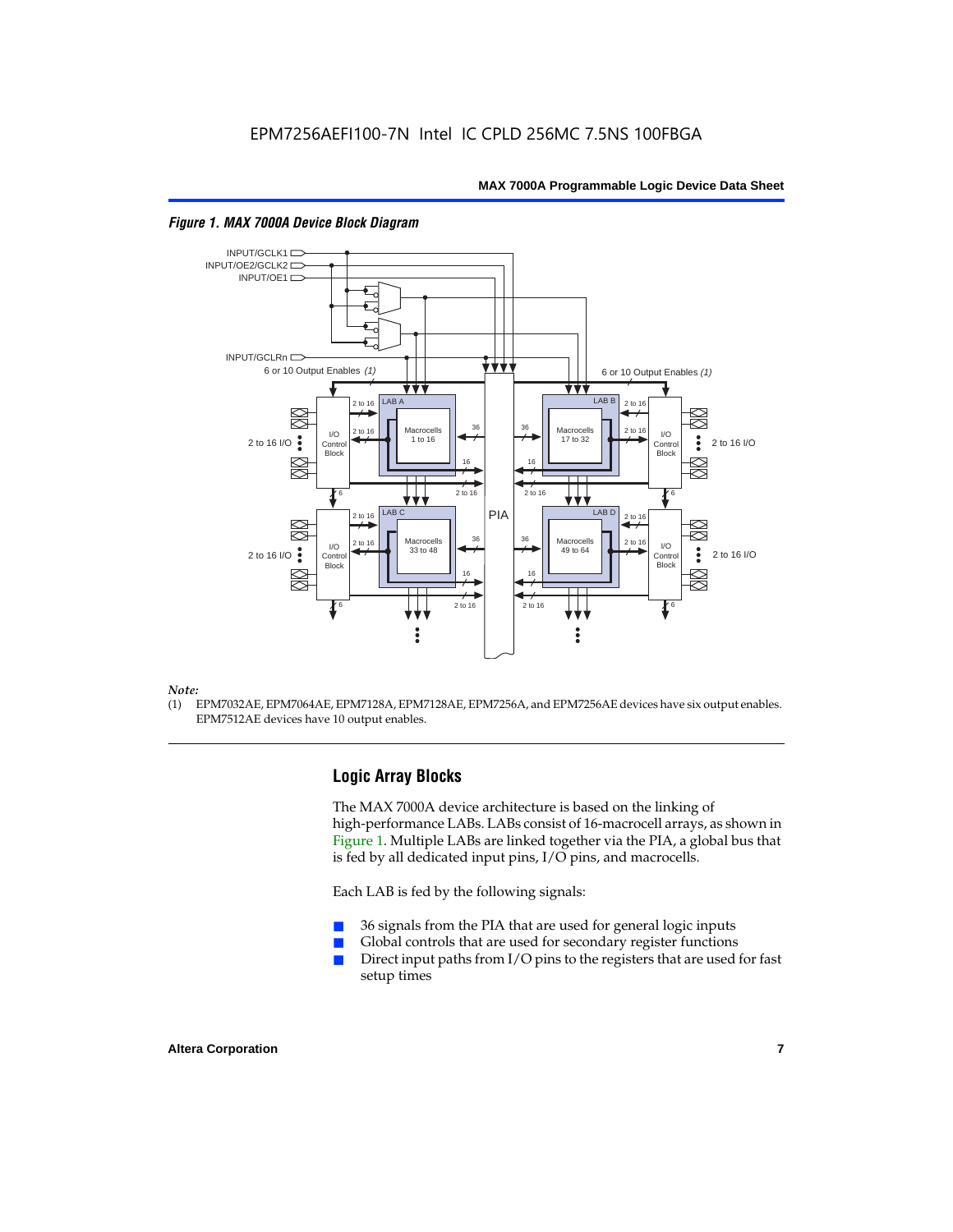

#### *Figure 1. MAX 7000A Device Block Diagram*

#### *Note:*

(1) EPM7032AE, EPM7064AE, EPM7128A, EPM7128AE, EPM7256A, and EPM7256AE devices have six output enables. EPM7512AE devices have 10 output enables.

#### **Logic Array Blocks**

The MAX 7000A device architecture is based on the linking of high-performance LABs. LABs consist of 16-macrocell arrays, as shown in Figure 1. Multiple LABs are linked together via the PIA, a global bus that is fed by all dedicated input pins, I/O pins, and macrocells.

Each LAB is fed by the following signals:

- 36 signals from the PIA that are used for general logic inputs
- Global controls that are used for secondary register functions
- Direct input paths from  $I/O$  pins to the registers that are used for fast setup times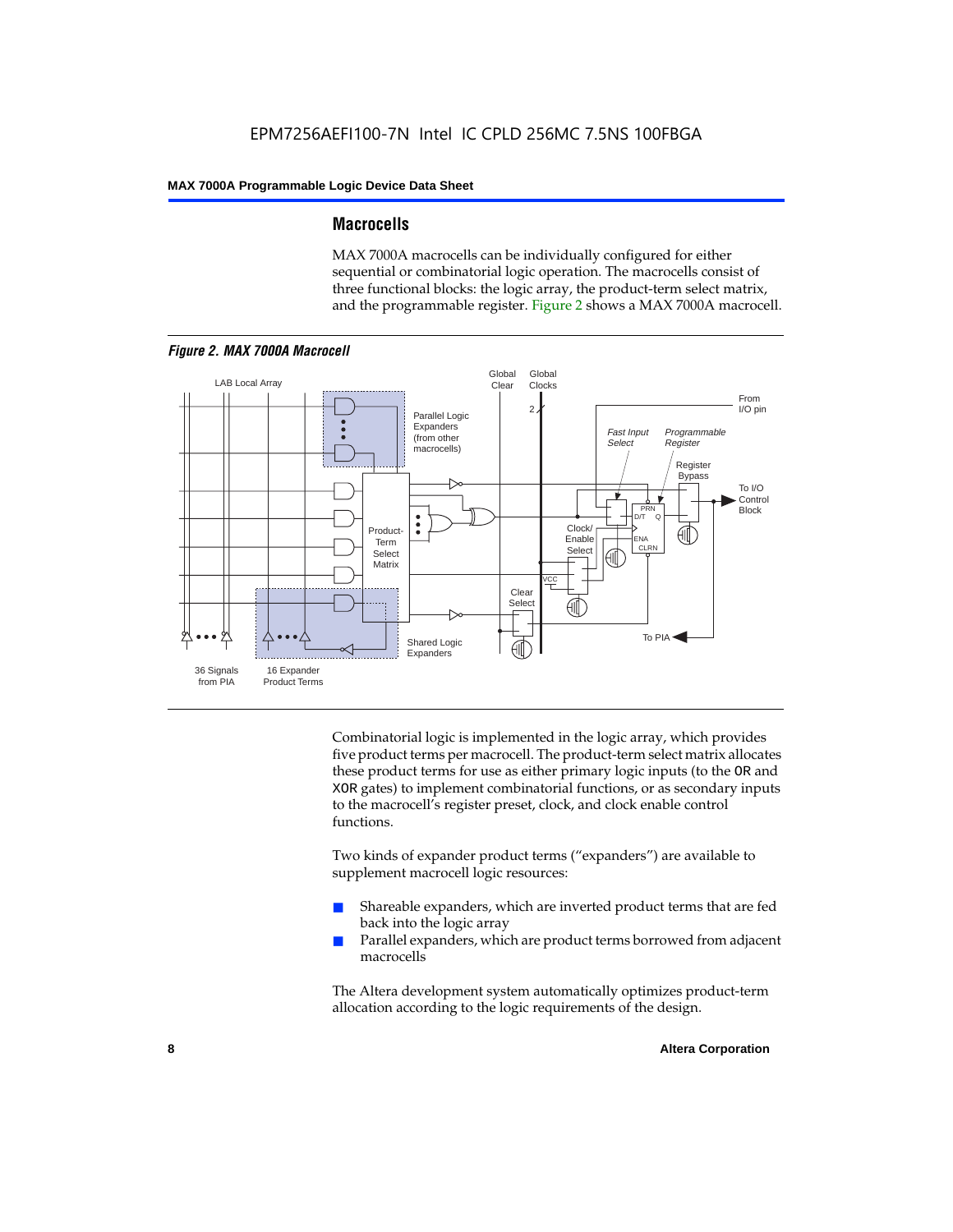#### **Macrocells**

MAX 7000A macrocells can be individually configured for either sequential or combinatorial logic operation. The macrocells consist of three functional blocks: the logic array, the product-term select matrix, and the programmable register. Figure 2 shows a MAX 7000A macrocell.



Combinatorial logic is implemented in the logic array, which provides five product terms per macrocell. The product-term select matrix allocates these product terms for use as either primary logic inputs (to the OR and XOR gates) to implement combinatorial functions, or as secondary inputs to the macrocell's register preset, clock, and clock enable control functions.

Two kinds of expander product terms ("expanders") are available to supplement macrocell logic resources:

- Shareable expanders, which are inverted product terms that are fed back into the logic array
- Parallel expanders, which are product terms borrowed from adjacent macrocells

The Altera development system automatically optimizes product-term allocation according to the logic requirements of the design.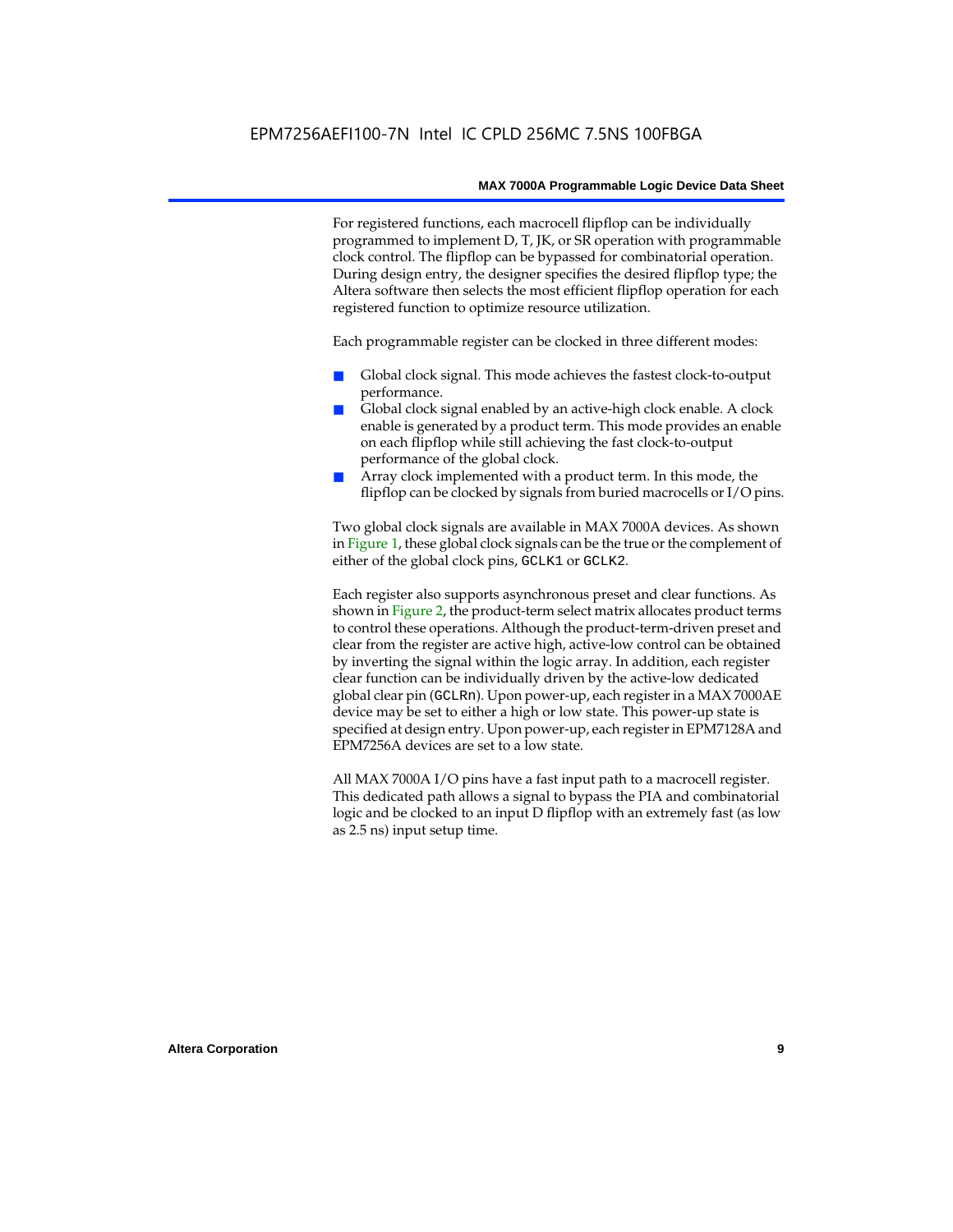For registered functions, each macrocell flipflop can be individually programmed to implement D, T, JK, or SR operation with programmable clock control. The flipflop can be bypassed for combinatorial operation. During design entry, the designer specifies the desired flipflop type; the Altera software then selects the most efficient flipflop operation for each registered function to optimize resource utilization.

Each programmable register can be clocked in three different modes:

- Global clock signal. This mode achieves the fastest clock-to-output performance.
- Global clock signal enabled by an active-high clock enable. A clock enable is generated by a product term. This mode provides an enable on each flipflop while still achieving the fast clock-to-output performance of the global clock.
- Array clock implemented with a product term. In this mode, the flipflop can be clocked by signals from buried macrocells or I/O pins.

Two global clock signals are available in MAX 7000A devices. As shown in Figure 1, these global clock signals can be the true or the complement of either of the global clock pins, GCLK1 or GCLK2.

Each register also supports asynchronous preset and clear functions. As shown in Figure 2, the product-term select matrix allocates product terms to control these operations. Although the product-term-driven preset and clear from the register are active high, active-low control can be obtained by inverting the signal within the logic array. In addition, each register clear function can be individually driven by the active-low dedicated global clear pin (GCLRn). Upon power-up, each register in a MAX 7000AE device may be set to either a high or low state. This power-up state is specified at design entry. Upon power-up, each register in EPM7128A and EPM7256A devices are set to a low state.

All MAX 7000A I/O pins have a fast input path to a macrocell register. This dedicated path allows a signal to bypass the PIA and combinatorial logic and be clocked to an input D flipflop with an extremely fast (as low as 2.5 ns) input setup time.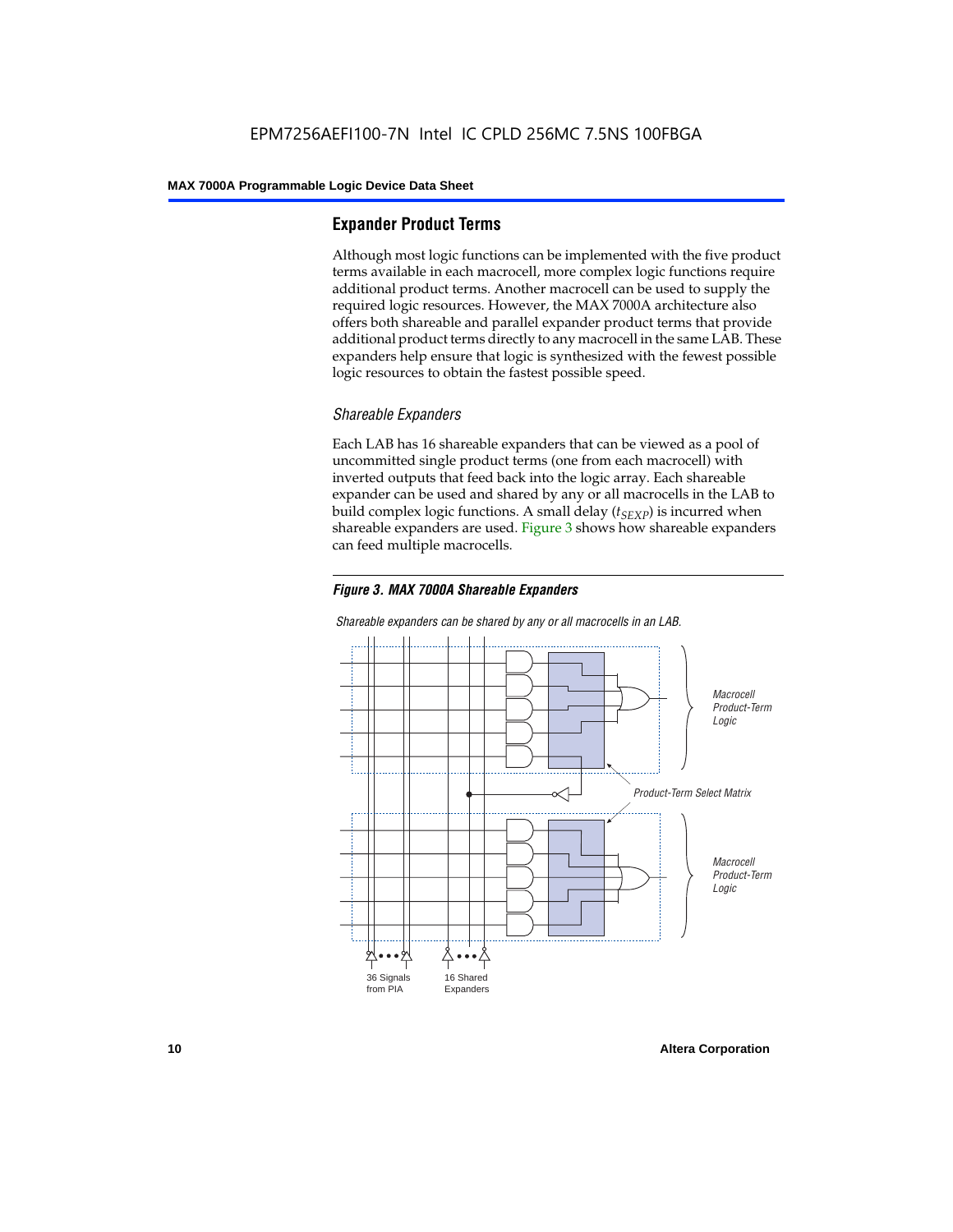#### **Expander Product Terms**

Although most logic functions can be implemented with the five product terms available in each macrocell, more complex logic functions require additional product terms. Another macrocell can be used to supply the required logic resources. However, the MAX 7000A architecture also offers both shareable and parallel expander product terms that provide additional product terms directly to any macrocell in the same LAB. These expanders help ensure that logic is synthesized with the fewest possible logic resources to obtain the fastest possible speed.

#### *Shareable Expanders*

Each LAB has 16 shareable expanders that can be viewed as a pool of uncommitted single product terms (one from each macrocell) with inverted outputs that feed back into the logic array. Each shareable expander can be used and shared by any or all macrocells in the LAB to build complex logic functions. A small delay  $(t_{SFXP})$  is incurred when shareable expanders are used. Figure 3 shows how shareable expanders can feed multiple macrocells.



**Macrocell** Product-Term Logic Product-Term Select Matrix **Macrocell** Product-Term Logic 36 Signals from PIA 16 Shared Expanders

*Shareable expanders can be shared by any or all macrocells in an LAB.*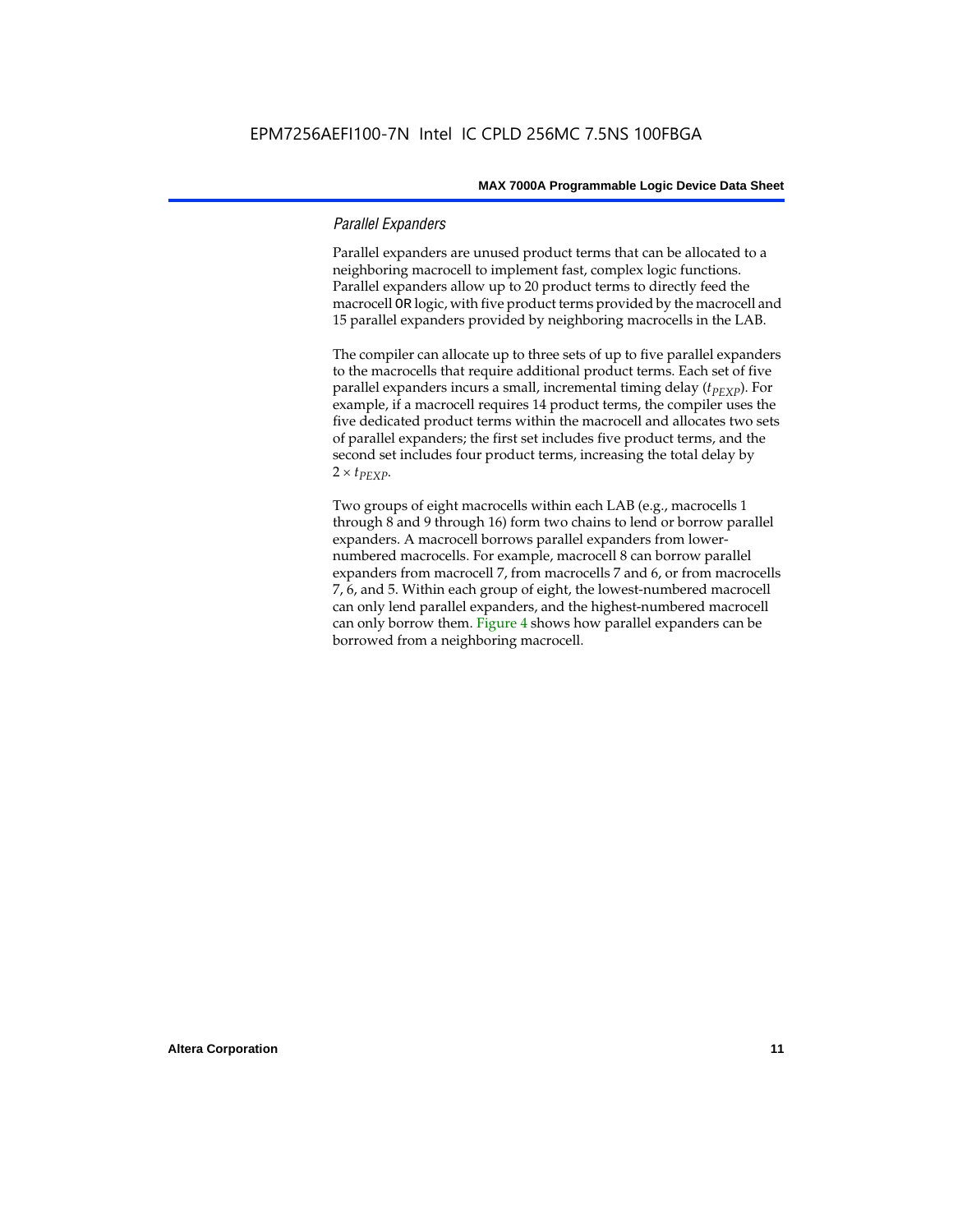#### *Parallel Expanders*

Parallel expanders are unused product terms that can be allocated to a neighboring macrocell to implement fast, complex logic functions. Parallel expanders allow up to 20 product terms to directly feed the macrocell OR logic, with five product terms provided by the macrocell and 15 parallel expanders provided by neighboring macrocells in the LAB.

The compiler can allocate up to three sets of up to five parallel expanders to the macrocells that require additional product terms. Each set of five parallel expanders incurs a small, incremental timing delay (*t<sub>PEXP</sub>*). For example, if a macrocell requires 14 product terms, the compiler uses the five dedicated product terms within the macrocell and allocates two sets of parallel expanders; the first set includes five product terms, and the second set includes four product terms, increasing the total delay by  $2 \times t_{PEXP}$ .

Two groups of eight macrocells within each LAB (e.g., macrocells 1 through 8 and 9 through 16) form two chains to lend or borrow parallel expanders. A macrocell borrows parallel expanders from lowernumbered macrocells. For example, macrocell 8 can borrow parallel expanders from macrocell 7, from macrocells 7 and 6, or from macrocells 7, 6, and 5. Within each group of eight, the lowest-numbered macrocell can only lend parallel expanders, and the highest-numbered macrocell can only borrow them. Figure 4 shows how parallel expanders can be borrowed from a neighboring macrocell.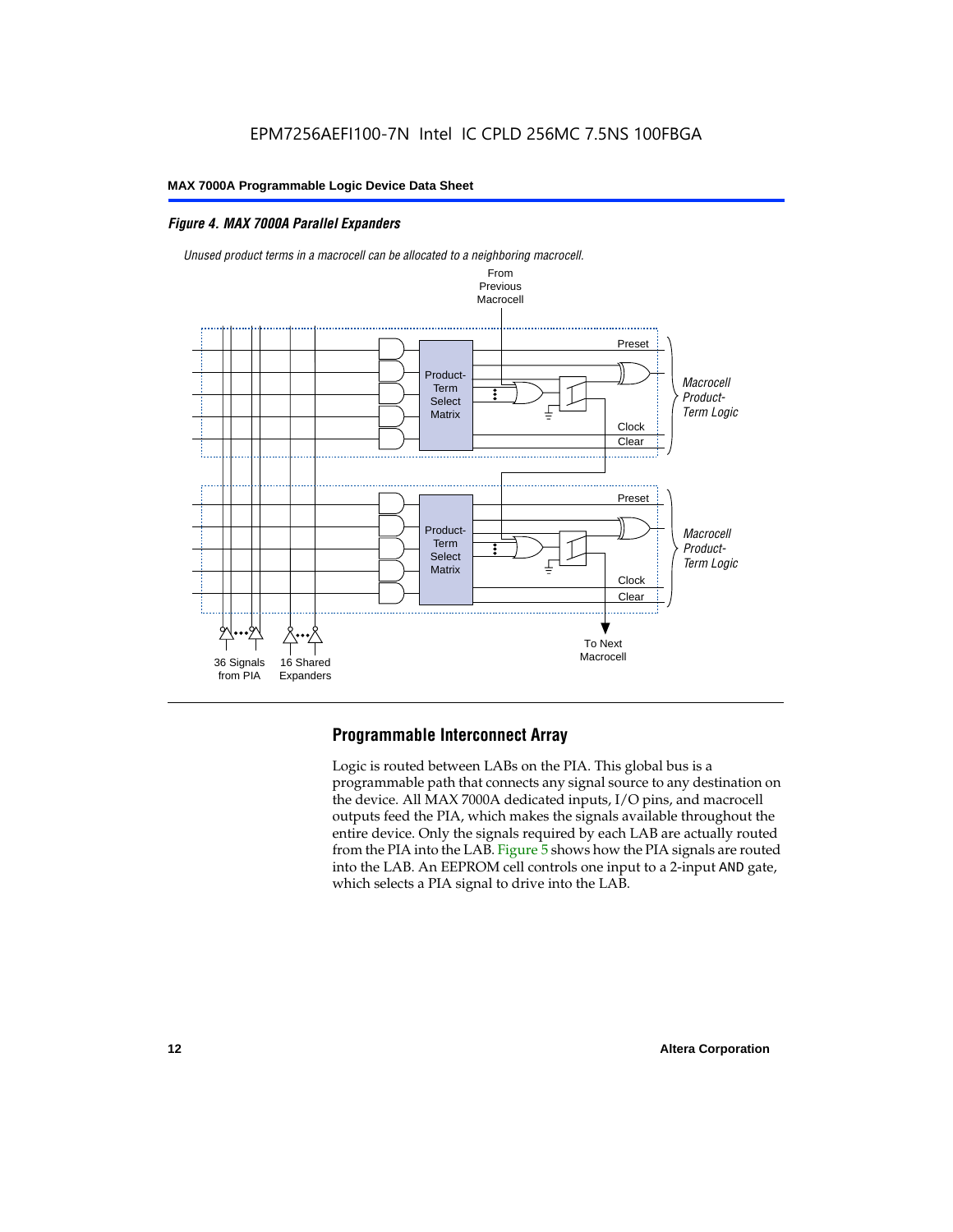#### *Figure 4. MAX 7000A Parallel Expanders*



#### **Programmable Interconnect Array**

Logic is routed between LABs on the PIA. This global bus is a programmable path that connects any signal source to any destination on the device. All MAX 7000A dedicated inputs, I/O pins, and macrocell outputs feed the PIA, which makes the signals available throughout the entire device. Only the signals required by each LAB are actually routed from the PIA into the LAB. Figure 5 shows how the PIA signals are routed into the LAB. An EEPROM cell controls one input to a 2-input AND gate, which selects a PIA signal to drive into the LAB.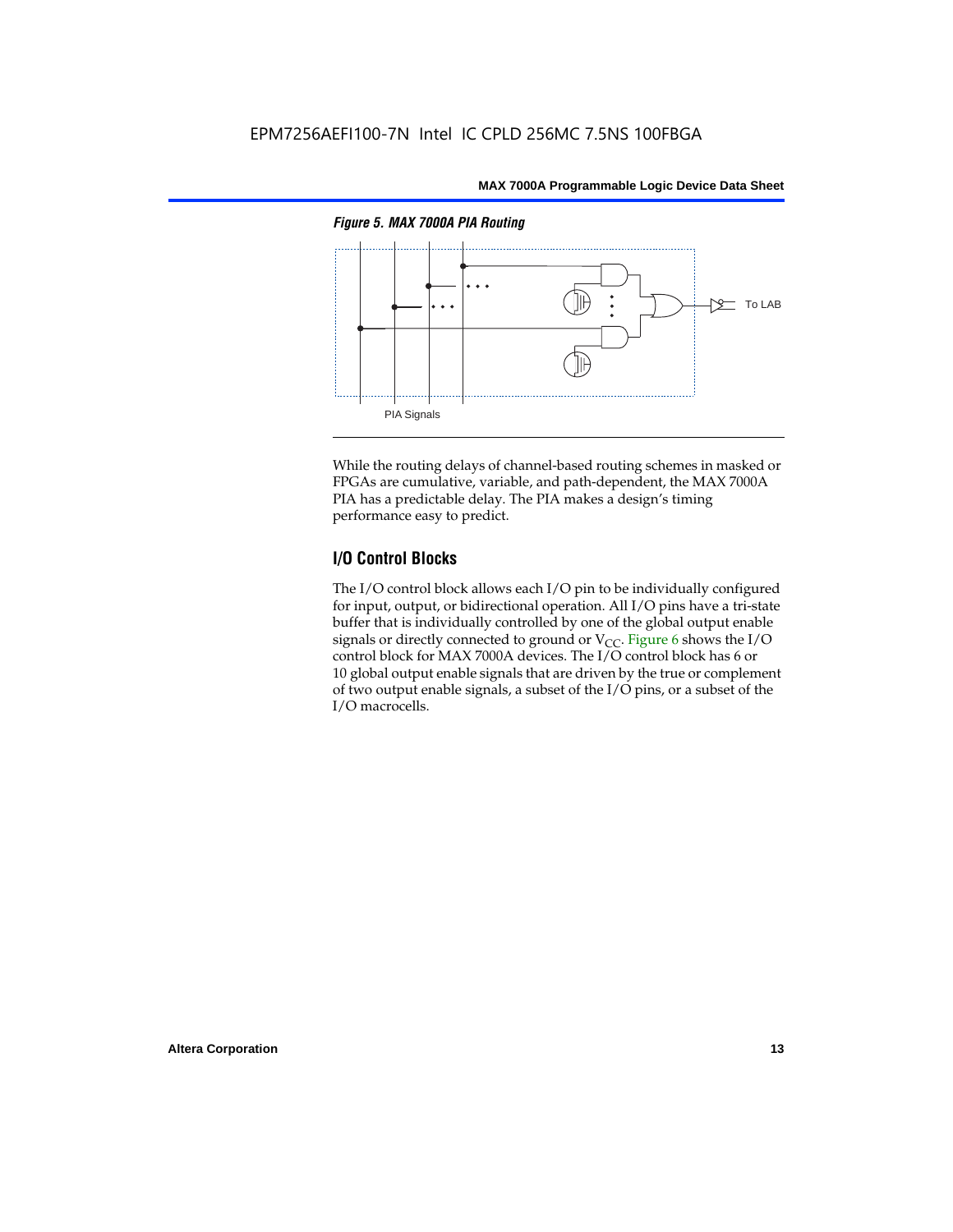

While the routing delays of channel-based routing schemes in masked or FPGAs are cumulative, variable, and path-dependent, the MAX 7000A PIA has a predictable delay. The PIA makes a design's timing performance easy to predict.

#### **I/O Control Blocks**

The I/O control block allows each I/O pin to be individually configured for input, output, or bidirectional operation. All I/O pins have a tri-state buffer that is individually controlled by one of the global output enable signals or directly connected to ground or  $V_{CC}$ . Figure 6 shows the I/O control block for MAX 7000A devices. The I/O control block has 6 or 10 global output enable signals that are driven by the true or complement of two output enable signals, a subset of the I/O pins, or a subset of the I/O macrocells.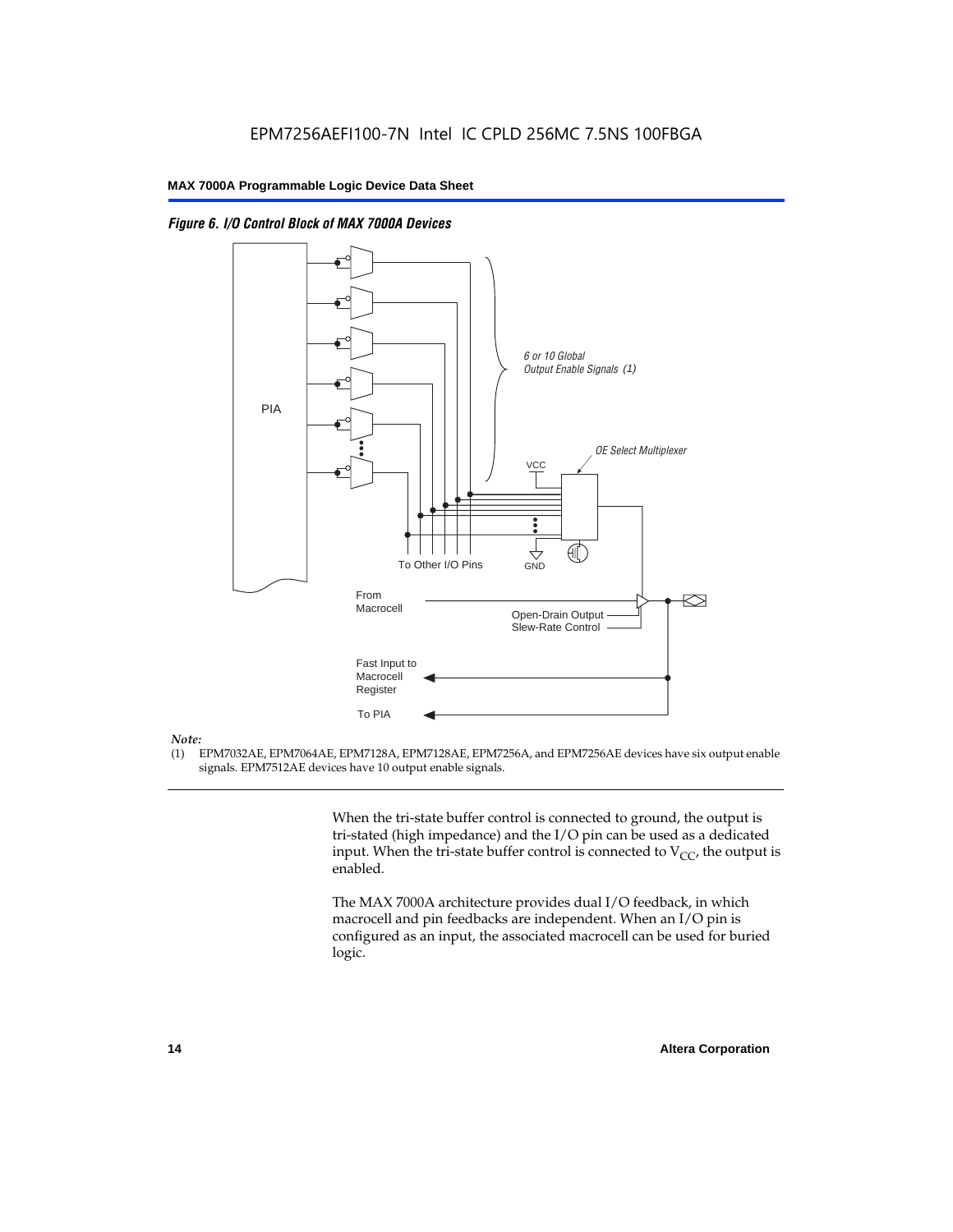



#### *Note:*

(1) EPM7032AE, EPM7064AE, EPM7128A, EPM7128AE, EPM7256A, and EPM7256AE devices have six output enable signals. EPM7512AE devices have 10 output enable signals.

> When the tri-state buffer control is connected to ground, the output is tri-stated (high impedance) and the I/O pin can be used as a dedicated input. When the tri-state buffer control is connected to  $V_{CC}$ , the output is enabled.

The MAX 7000A architecture provides dual I/O feedback, in which macrocell and pin feedbacks are independent. When an I/O pin is configured as an input, the associated macrocell can be used for buried logic.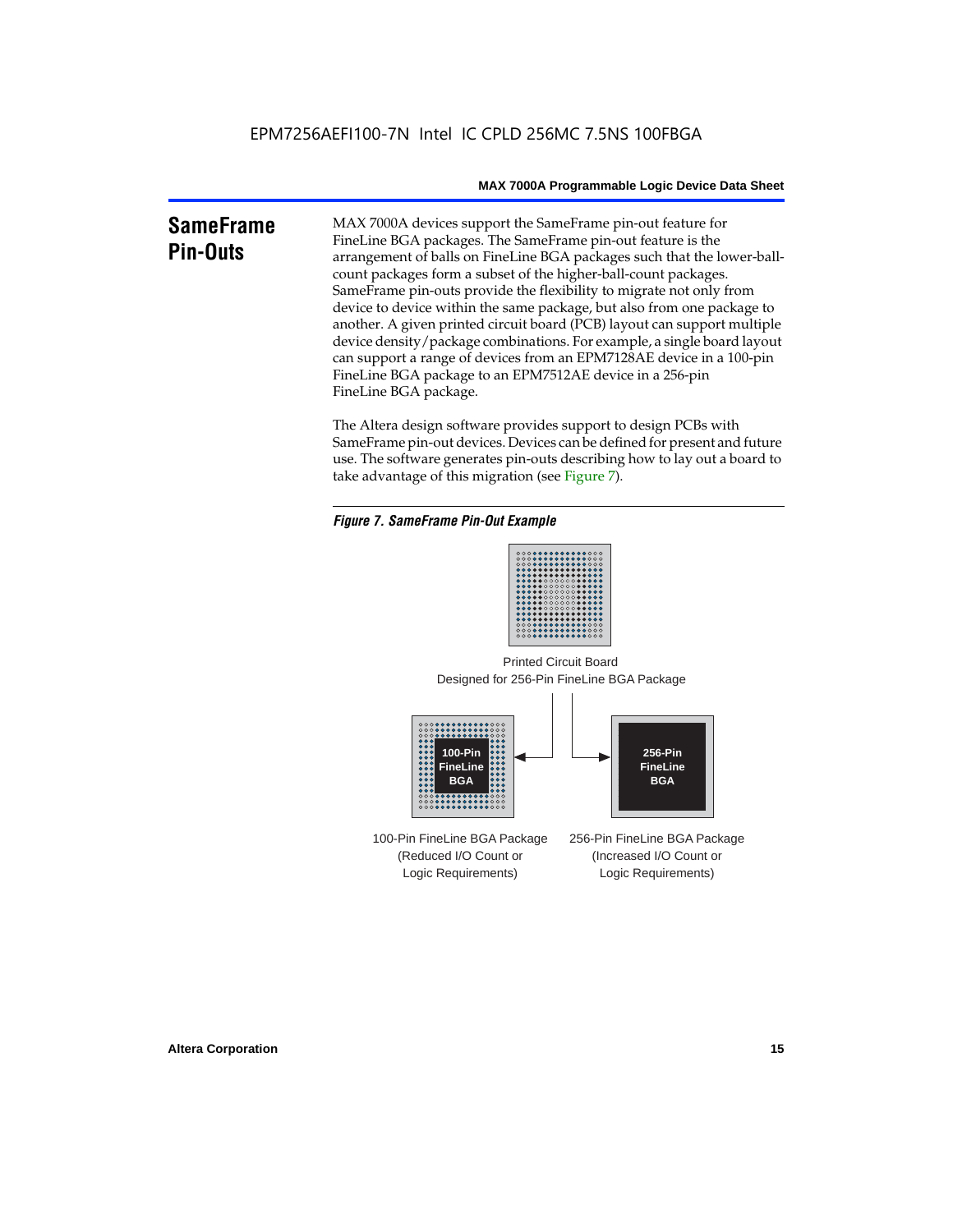### **SameFrame Pin-Outs**

MAX 7000A devices support the SameFrame pin-out feature for FineLine BGA packages. The SameFrame pin-out feature is the arrangement of balls on FineLine BGA packages such that the lower-ballcount packages form a subset of the higher-ball-count packages. SameFrame pin-outs provide the flexibility to migrate not only from device to device within the same package, but also from one package to another. A given printed circuit board (PCB) layout can support multiple device density/package combinations. For example, a single board layout can support a range of devices from an EPM7128AE device in a 100-pin FineLine BGA package to an EPM7512AE device in a 256-pin FineLine BGA package.

The Altera design software provides support to design PCBs with SameFrame pin-out devices. Devices can be defined for present and future use. The software generates pin-outs describing how to lay out a board to take advantage of this migration (see Figure 7).





Designed for 256-Pin FineLine BGA Package Printed Circuit Board



100-Pin FineLine BGA Package (Reduced I/O Count or Logic Requirements) 256-Pin FineLine BGA Package (Increased I/O Count or Logic Requirements)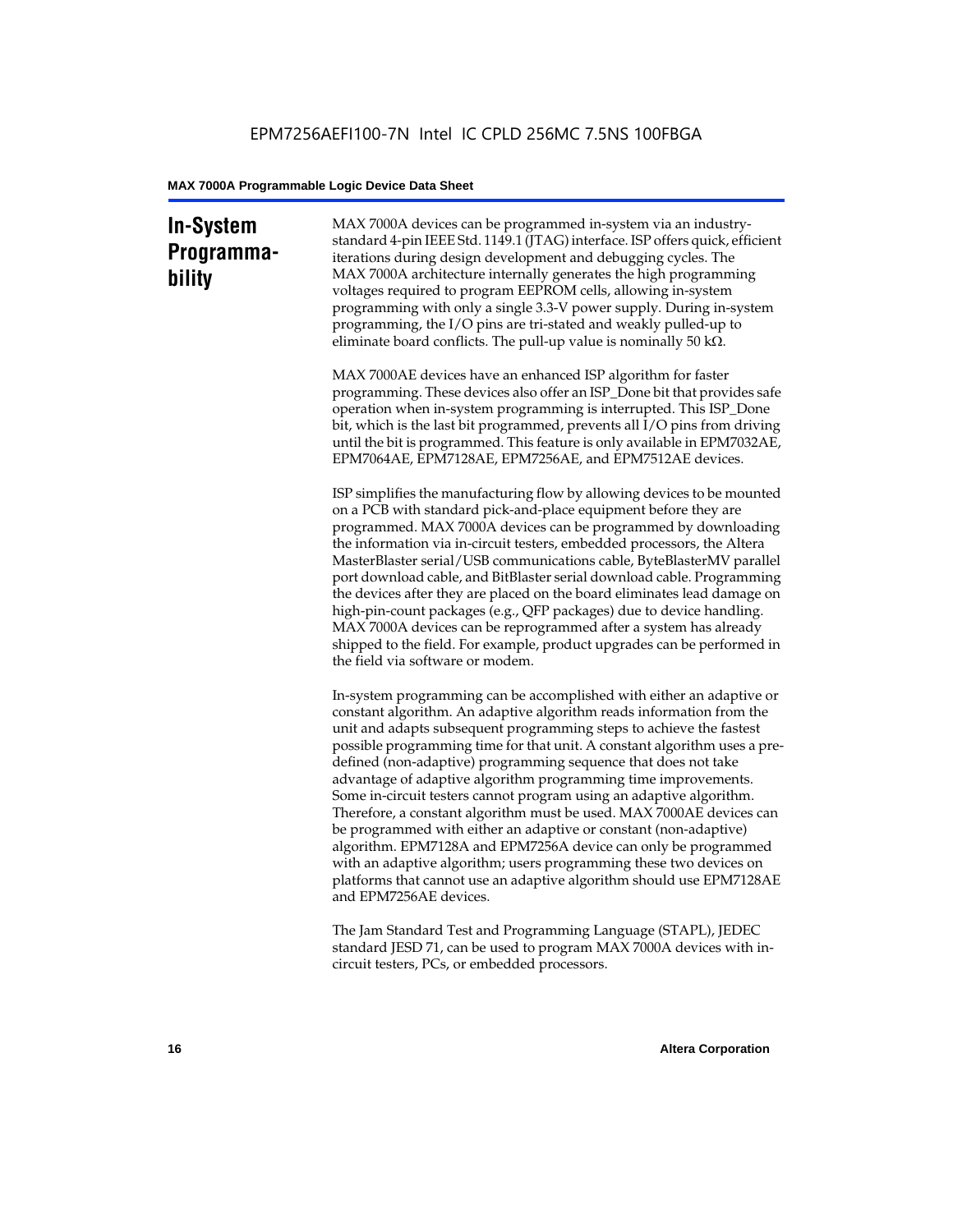### **In-System Programmability**

MAX 7000A devices can be programmed in-system via an industrystandard 4-pin IEEE Std. 1149.1 (JTAG) interface. ISP offers quick, efficient iterations during design development and debugging cycles. The MAX 7000A architecture internally generates the high programming voltages required to program EEPROM cells, allowing in-system programming with only a single 3.3-V power supply. During in-system programming, the I/O pins are tri-stated and weakly pulled-up to eliminate board conflicts. The pull-up value is nominally 50 k $\Omega$ .

MAX 7000AE devices have an enhanced ISP algorithm for faster programming. These devices also offer an ISP\_Done bit that provides safe operation when in-system programming is interrupted. This ISP\_Done bit, which is the last bit programmed, prevents all I/O pins from driving until the bit is programmed. This feature is only available in EPM7032AE, EPM7064AE, EPM7128AE, EPM7256AE, and EPM7512AE devices.

ISP simplifies the manufacturing flow by allowing devices to be mounted on a PCB with standard pick-and-place equipment before they are programmed. MAX 7000A devices can be programmed by downloading the information via in-circuit testers, embedded processors, the Altera MasterBlaster serial/USB communications cable, ByteBlasterMV parallel port download cable, and BitBlaster serial download cable. Programming the devices after they are placed on the board eliminates lead damage on high-pin-count packages (e.g., QFP packages) due to device handling. MAX 7000A devices can be reprogrammed after a system has already shipped to the field. For example, product upgrades can be performed in the field via software or modem.

In-system programming can be accomplished with either an adaptive or constant algorithm. An adaptive algorithm reads information from the unit and adapts subsequent programming steps to achieve the fastest possible programming time for that unit. A constant algorithm uses a predefined (non-adaptive) programming sequence that does not take advantage of adaptive algorithm programming time improvements. Some in-circuit testers cannot program using an adaptive algorithm. Therefore, a constant algorithm must be used. MAX 7000AE devices can be programmed with either an adaptive or constant (non-adaptive) algorithm. EPM7128A and EPM7256A device can only be programmed with an adaptive algorithm; users programming these two devices on platforms that cannot use an adaptive algorithm should use EPM7128AE and EPM7256AE devices.

The Jam Standard Test and Programming Language (STAPL), JEDEC standard JESD 71, can be used to program MAX 7000A devices with incircuit testers, PCs, or embedded processors.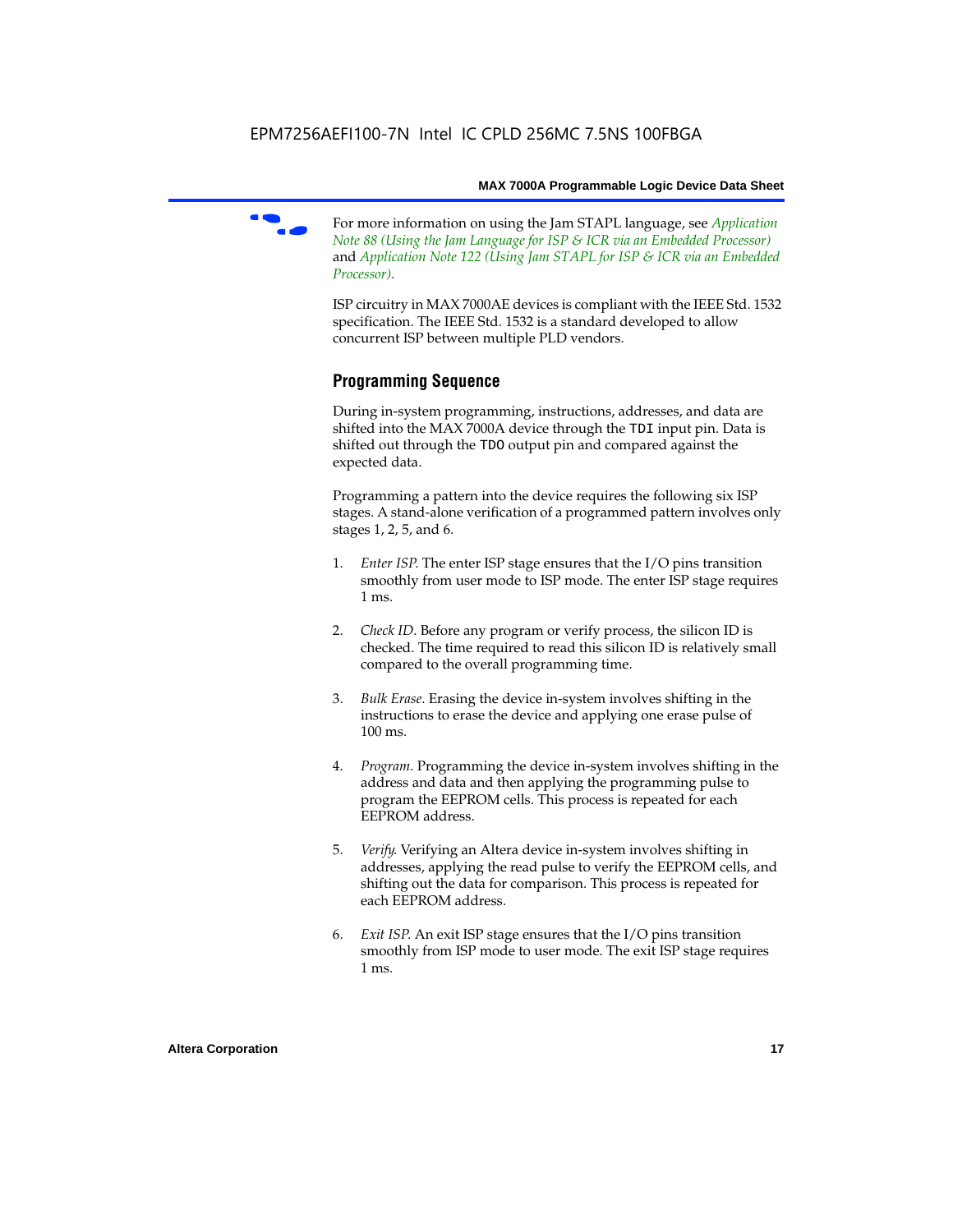f For more information on using the Jam STAPL language, see *Application Note 88 (Using the Jam Language for ISP & ICR via an Embedded Processor)*  and *Application Note 122 (Using Jam STAPL for ISP & ICR via an Embedded Processor)*.

ISP circuitry in MAX 7000AE devices is compliant with the IEEE Std. 1532 specification. The IEEE Std. 1532 is a standard developed to allow concurrent ISP between multiple PLD vendors.

#### **Programming Sequence**

During in-system programming, instructions, addresses, and data are shifted into the MAX 7000A device through the TDI input pin. Data is shifted out through the TDO output pin and compared against the expected data.

Programming a pattern into the device requires the following six ISP stages. A stand-alone verification of a programmed pattern involves only stages 1, 2, 5, and 6.

- 1. *Enter ISP*. The enter ISP stage ensures that the I/O pins transition smoothly from user mode to ISP mode. The enter ISP stage requires 1 ms.
- 2. *Check ID*. Before any program or verify process, the silicon ID is checked. The time required to read this silicon ID is relatively small compared to the overall programming time.
- 3. *Bulk Erase*. Erasing the device in-system involves shifting in the instructions to erase the device and applying one erase pulse of 100 ms.
- 4. *Program*. Programming the device in-system involves shifting in the address and data and then applying the programming pulse to program the EEPROM cells. This process is repeated for each EEPROM address.
- 5. *Verify*. Verifying an Altera device in-system involves shifting in addresses, applying the read pulse to verify the EEPROM cells, and shifting out the data for comparison. This process is repeated for each EEPROM address.
- 6. *Exit ISP*. An exit ISP stage ensures that the I/O pins transition smoothly from ISP mode to user mode. The exit ISP stage requires 1 ms.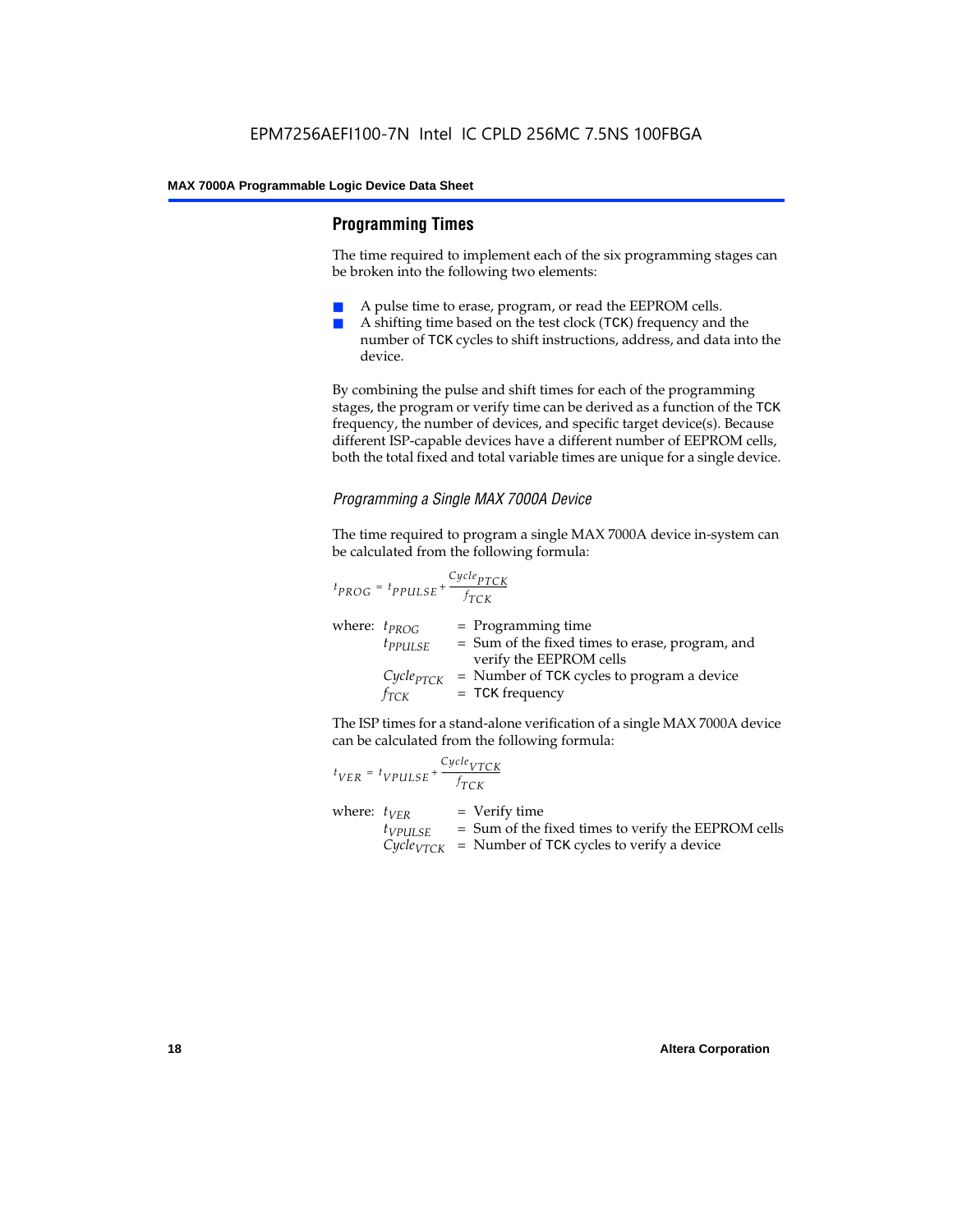#### **Programming Times**

The time required to implement each of the six programming stages can be broken into the following two elements:

- A pulse time to erase, program, or read the EEPROM cells.
- A shifting time based on the test clock (TCK) frequency and the number of TCK cycles to shift instructions, address, and data into the device.

By combining the pulse and shift times for each of the programming stages, the program or verify time can be derived as a function of the TCK frequency, the number of devices, and specific target device(s). Because different ISP-capable devices have a different number of EEPROM cells, both the total fixed and total variable times are unique for a single device.

#### *Programming a Single MAX 7000A Device*

The time required to program a single MAX 7000A device in-system can be calculated from the following formula:

$$
t_{PROG} = t_{PPULSE} + \frac{c_{ycle_{PTCK}}}{f_{TCK}}
$$
  
where:  $t_{PROG}$  = Programming time  
 $t_{PPULSE}$  = Sum of the fixed times to erase, program, and  
verify the EEPROM cells  
 $C_{ycle_{PTCK}}$  = Number of TCK cycles to program a device  
 $f_{TCK}$  = TCK frequency

The ISP times for a stand-alone verification of a single MAX 7000A device can be calculated from the following formula:

| $t_{VER} = t_{VPULSE} + \frac{Cycle_{VTCK}}{f_{TCK}}$ |                                                                                                                                 |
|-------------------------------------------------------|---------------------------------------------------------------------------------------------------------------------------------|
| where: $t_{VER}$<br>$t_{VPULSE}$                      | $=$ Verify time<br>= Sum of the fixed times to verify the EEPROM cells<br>$CycleVTCK$ = Number of TCK cycles to verify a device |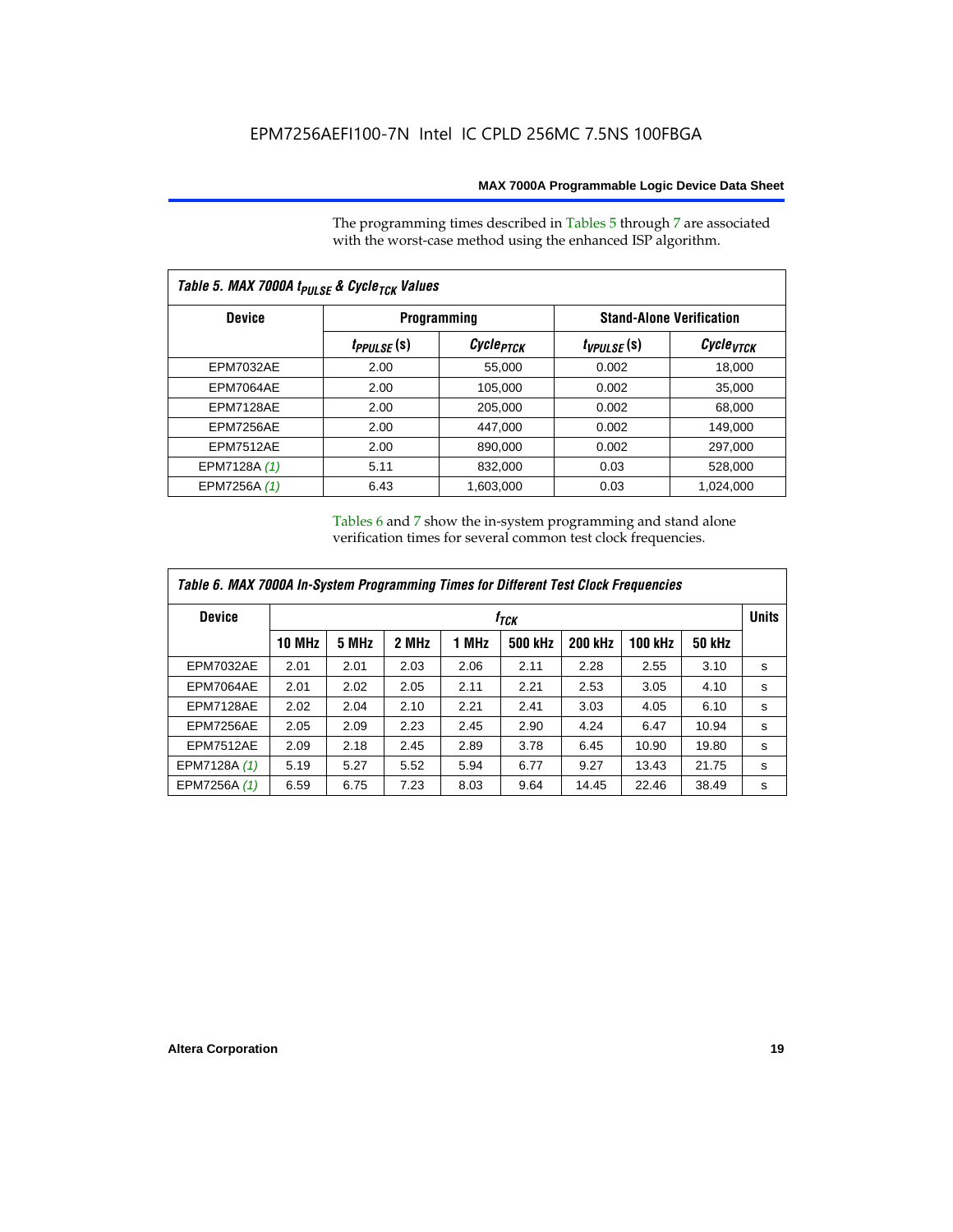The programming times described in Tables 5 through 7 are associated with the worst-case method using the enhanced ISP algorithm.

| Table 5. MAX 7000A t <sub>PULSE</sub> & Cycle <sub>TCK</sub> Values |                 |                       |                                 |                             |  |  |  |
|---------------------------------------------------------------------|-----------------|-----------------------|---------------------------------|-----------------------------|--|--|--|
| <b>Device</b>                                                       |                 | <b>Programming</b>    | <b>Stand-Alone Verification</b> |                             |  |  |  |
|                                                                     | $t_{PPULSE}(s)$ | Cycle <sub>PTCK</sub> | $t_{VPULSE}(s)$                 | $\mathcal C$ ycle $_{VTCK}$ |  |  |  |
| <b>EPM7032AE</b>                                                    | 2.00            | 55,000                | 0.002                           | 18,000                      |  |  |  |
| <b>EPM7064AE</b>                                                    | 2.00            | 105,000               | 0.002                           | 35.000                      |  |  |  |
| EPM7128AE                                                           | 2.00            | 205,000               | 0.002                           | 68.000                      |  |  |  |
| EPM7256AE                                                           | 2.00            | 447.000               | 0.002                           | 149.000                     |  |  |  |
| <b>EPM7512AE</b>                                                    | 2.00            | 890,000               | 0.002                           | 297,000                     |  |  |  |
| EPM7128A (1)                                                        | 5.11            | 832,000               | 0.03                            | 528,000                     |  |  |  |
| EPM7256A (1)                                                        | 6.43            | 1,603,000             | 0.03                            | 1,024,000                   |  |  |  |

Tables 6 and 7 show the in-system programming and stand alone verification times for several common test clock frequencies.

| Table 6. MAX 7000A In-System Programming Times for Different Test Clock Frequencies |               |                  |       |       |         |                |                |               |              |
|-------------------------------------------------------------------------------------|---------------|------------------|-------|-------|---------|----------------|----------------|---------------|--------------|
| <b>Device</b>                                                                       |               | f <sub>ТСК</sub> |       |       |         |                |                |               | <b>Units</b> |
|                                                                                     | <b>10 MHz</b> | 5 MHz            | 2 MHz | 1 MHz | 500 kHz | <b>200 kHz</b> | <b>100 kHz</b> | <b>50 kHz</b> |              |
| <b>EPM7032AE</b>                                                                    | 2.01          | 2.01             | 2.03  | 2.06  | 2.11    | 2.28           | 2.55           | 3.10          | s            |
| EPM7064AE                                                                           | 2.01          | 2.02             | 2.05  | 2.11  | 2.21    | 2.53           | 3.05           | 4.10          | s            |
| EPM7128AE                                                                           | 2.02          | 2.04             | 2.10  | 2.21  | 2.41    | 3.03           | 4.05           | 6.10          | s            |
| EPM7256AE                                                                           | 2.05          | 2.09             | 2.23  | 2.45  | 2.90    | 4.24           | 6.47           | 10.94         | s            |
| <b>EPM7512AE</b>                                                                    | 2.09          | 2.18             | 2.45  | 2.89  | 3.78    | 6.45           | 10.90          | 19.80         | s            |
| EPM7128A (1)                                                                        | 5.19          | 5.27             | 5.52  | 5.94  | 6.77    | 9.27           | 13.43          | 21.75         | s            |
| EPM7256A (1)                                                                        | 6.59          | 6.75             | 7.23  | 8.03  | 9.64    | 14.45          | 22.46          | 38.49         | s            |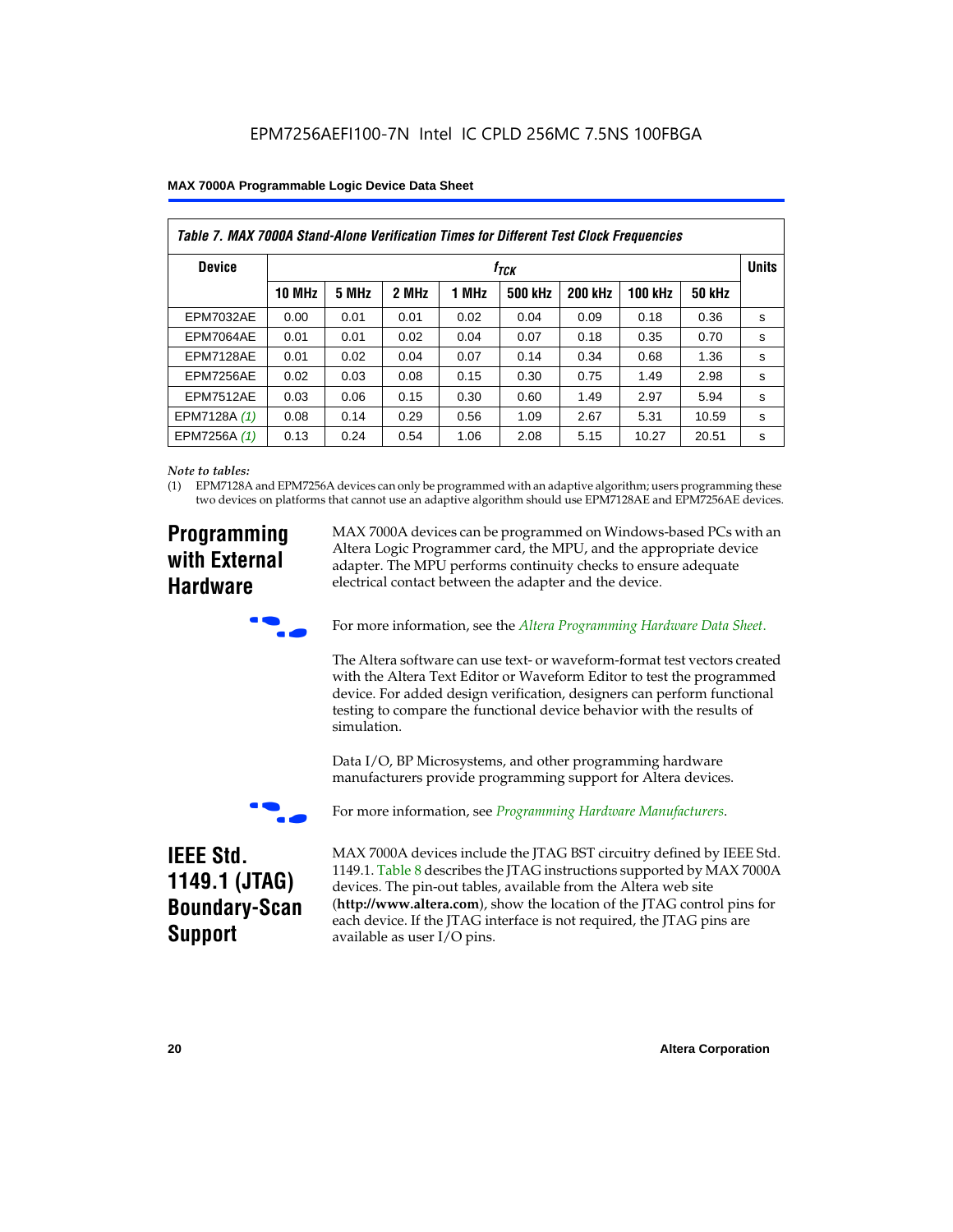|  |  |  | <b>MAX 7000A Programmable Logic Device Data Sheet</b> |
|--|--|--|-------------------------------------------------------|
|--|--|--|-------------------------------------------------------|

| Table 7. MAX 7000A Stand-Alone Verification Times for Different Test Clock Frequencies |               |                  |       |       |                |                |                |               |              |
|----------------------------------------------------------------------------------------|---------------|------------------|-------|-------|----------------|----------------|----------------|---------------|--------------|
| <b>Device</b>                                                                          |               | t <sub>тск</sub> |       |       |                |                |                |               | <b>Units</b> |
|                                                                                        | <b>10 MHz</b> | 5 MHz            | 2 MHz | 1 MHz | <b>500 kHz</b> | <b>200 kHz</b> | <b>100 kHz</b> | <b>50 kHz</b> |              |
| <b>EPM7032AE</b>                                                                       | 0.00          | 0.01             | 0.01  | 0.02  | 0.04           | 0.09           | 0.18           | 0.36          | s            |
| EPM7064AE                                                                              | 0.01          | 0.01             | 0.02  | 0.04  | 0.07           | 0.18           | 0.35           | 0.70          | s            |
| EPM7128AE                                                                              | 0.01          | 0.02             | 0.04  | 0.07  | 0.14           | 0.34           | 0.68           | 1.36          | s            |
| EPM7256AE                                                                              | 0.02          | 0.03             | 0.08  | 0.15  | 0.30           | 0.75           | 1.49           | 2.98          | S            |
| <b>EPM7512AE</b>                                                                       | 0.03          | 0.06             | 0.15  | 0.30  | 0.60           | 1.49           | 2.97           | 5.94          | s            |
| EPM7128A (1)                                                                           | 0.08          | 0.14             | 0.29  | 0.56  | 1.09           | 2.67           | 5.31           | 10.59         | s            |
| EPM7256A (1)                                                                           | 0.13          | 0.24             | 0.54  | 1.06  | 2.08           | 5.15           | 10.27          | 20.51         | s            |

#### *Note to tables:*

(1) EPM7128A and EPM7256A devices can only be programmed with an adaptive algorithm; users programming these two devices on platforms that cannot use an adaptive algorithm should use EPM7128AE and EPM7256AE devices.

### **Programming with External Hardware**

MAX 7000A devices can be programmed on Windows-based PCs with an Altera Logic Programmer card, the MPU, and the appropriate device adapter. The MPU performs continuity checks to ensure adequate electrical contact between the adapter and the device.



For more information, see the *Altera Programming Hardware Data Sheet*.

The Altera software can use text- or waveform-format test vectors created with the Altera Text Editor or Waveform Editor to test the programmed device. For added design verification, designers can perform functional testing to compare the functional device behavior with the results of simulation.

Data I/O, BP Microsystems, and other programming hardware manufacturers provide programming support for Altera devices.



For more information, see *Programming Hardware Manufacturers*.

### **IEEE Std. 1149.1 (JTAG) Boundary-Scan Support**

MAX 7000A devices include the JTAG BST circuitry defined by IEEE Std. 1149.1. Table 8 describes the JTAG instructions supported by MAX 7000A devices. The pin-out tables, available from the Altera web site (**http://www.altera.com**), show the location of the JTAG control pins for each device. If the JTAG interface is not required, the JTAG pins are available as user I/O pins.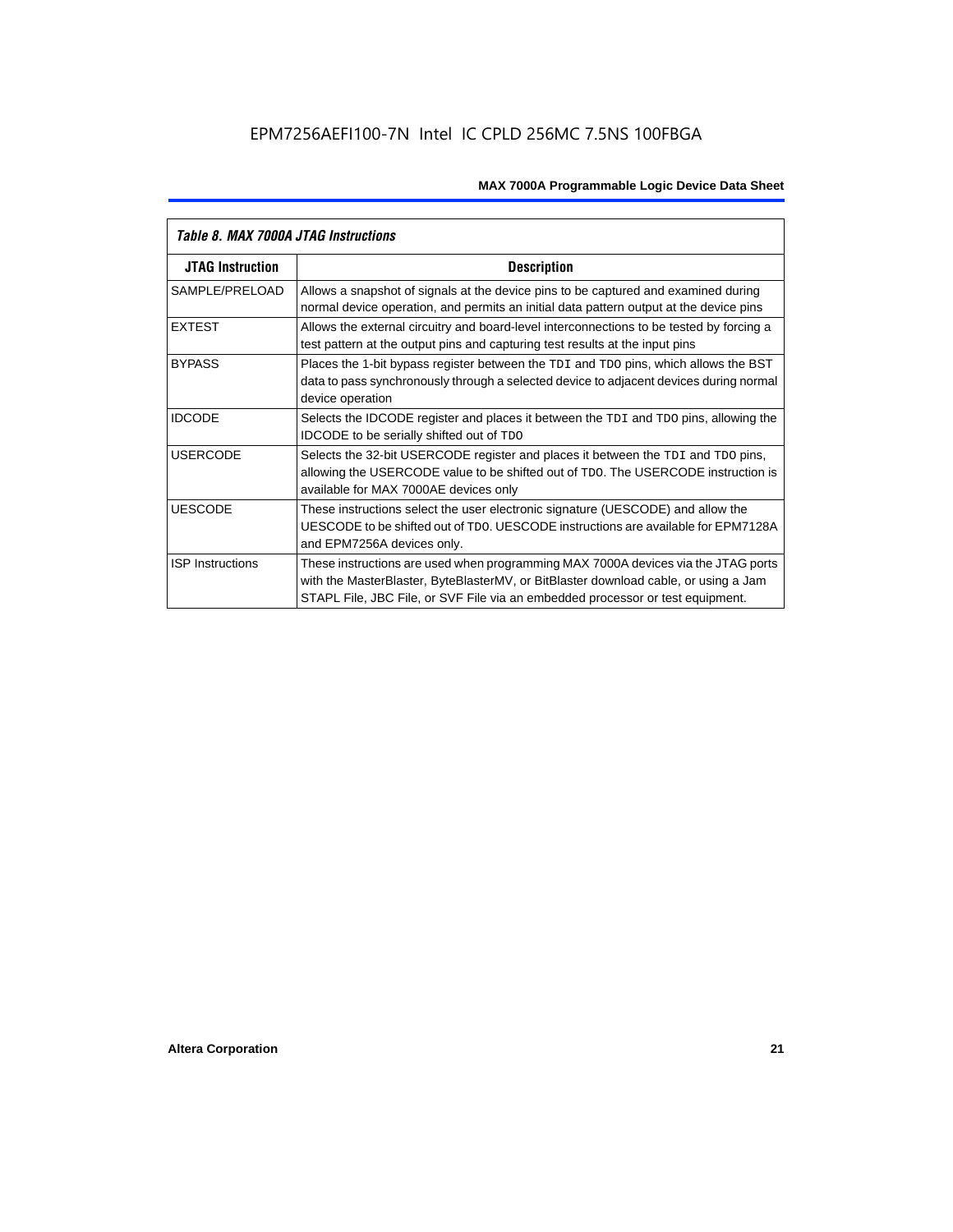| Table 8. MAX 7000A JTAG Instructions |                                                                                                                                                                                                                                                            |  |  |  |  |
|--------------------------------------|------------------------------------------------------------------------------------------------------------------------------------------------------------------------------------------------------------------------------------------------------------|--|--|--|--|
| <b>JTAG Instruction</b>              | <b>Description</b>                                                                                                                                                                                                                                         |  |  |  |  |
| SAMPLE/PRELOAD                       | Allows a snapshot of signals at the device pins to be captured and examined during<br>normal device operation, and permits an initial data pattern output at the device pins                                                                               |  |  |  |  |
| <b>EXTEST</b>                        | Allows the external circuitry and board-level interconnections to be tested by forcing a<br>test pattern at the output pins and capturing test results at the input pins                                                                                   |  |  |  |  |
| <b>BYPASS</b>                        | Places the 1-bit bypass register between the TDI and TDO pins, which allows the BST<br>data to pass synchronously through a selected device to adjacent devices during normal<br>device operation                                                          |  |  |  |  |
| <b>IDCODE</b>                        | Selects the IDCODE register and places it between the TDI and TDO pins, allowing the<br><b>IDCODE</b> to be serially shifted out of TDO                                                                                                                    |  |  |  |  |
| <b>USERCODE</b>                      | Selects the 32-bit USERCODE register and places it between the TDI and TDO pins,<br>allowing the USERCODE value to be shifted out of TDO. The USERCODE instruction is<br>available for MAX 7000AE devices only                                             |  |  |  |  |
| <b>UESCODE</b>                       | These instructions select the user electronic signature (UESCODE) and allow the<br>UESCODE to be shifted out of TDO, UESCODE instructions are available for EPM7128A<br>and EPM7256A devices only.                                                         |  |  |  |  |
| <b>ISP Instructions</b>              | These instructions are used when programming MAX 7000A devices via the JTAG ports<br>with the MasterBlaster, ByteBlasterMV, or BitBlaster download cable, or using a Jam<br>STAPL File, JBC File, or SVF File via an embedded processor or test equipment. |  |  |  |  |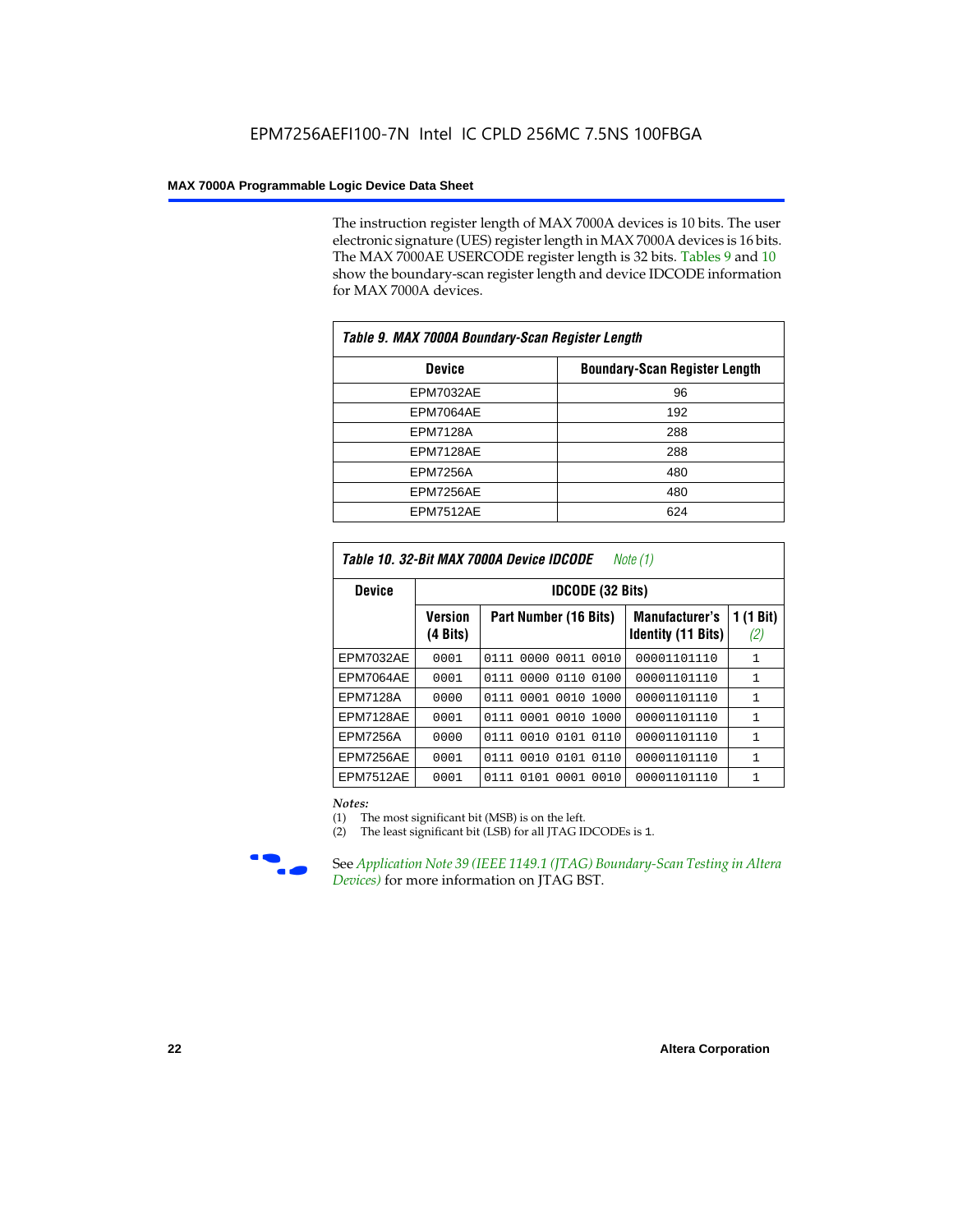The instruction register length of MAX 7000A devices is 10 bits. The user electronic signature (UES) register length in MAX 7000A devices is 16 bits. The MAX 7000AE USERCODE register length is 32 bits. Tables 9 and 10 show the boundary-scan register length and device IDCODE information for MAX 7000A devices.

| Table 9. MAX 7000A Boundary-Scan Register Length |                                      |  |  |  |  |
|--------------------------------------------------|--------------------------------------|--|--|--|--|
| <b>Device</b>                                    | <b>Boundary-Scan Register Length</b> |  |  |  |  |
| <b>EPM7032AE</b>                                 | 96                                   |  |  |  |  |
| EPM7064AE                                        | 192                                  |  |  |  |  |
| <b>EPM7128A</b>                                  | 288                                  |  |  |  |  |
| EPM7128AE                                        | 288                                  |  |  |  |  |
| <b>EPM7256A</b>                                  | 480                                  |  |  |  |  |
| EPM7256AE                                        | 480                                  |  |  |  |  |
| EPM7512AE                                        | 624                                  |  |  |  |  |

| Table 10. 32-Bit MAX 7000A Device IDCODE<br>Note (1) |                            |                           |                                                    |                               |  |  |  |  |
|------------------------------------------------------|----------------------------|---------------------------|----------------------------------------------------|-------------------------------|--|--|--|--|
| <b>Device</b>                                        |                            | <b>IDCODE (32 Bits)</b>   |                                                    |                               |  |  |  |  |
|                                                      | <b>Version</b><br>(4 Bits) | Part Number (16 Bits)     | <b>Manufacturer's</b><br><b>Identity (11 Bits)</b> | $(1 \text{ Bit})$<br>1<br>(2) |  |  |  |  |
| <b>EPM7032AE</b>                                     | 0001                       | 0111<br>0000 0011 0010    | 00001101110                                        | 1                             |  |  |  |  |
| EPM7064AE                                            | 0001                       | 0000 0110<br>0100<br>0111 | 00001101110                                        | 1                             |  |  |  |  |
| <b>EPM7128A</b>                                      | 0000                       | 0111 0001 0010<br>1000    | 00001101110                                        | $\mathbf{1}$                  |  |  |  |  |
| EPM7128AE                                            | 0001                       | 0111 0001 0010<br>1000    | 00001101110                                        | 1                             |  |  |  |  |
| <b>EPM7256A</b>                                      | 0000                       | 0111 0010 0101 0110       | 00001101110                                        | $\mathbf{1}$                  |  |  |  |  |
| EPM7256AE                                            | 0001                       | 0111 0010 0101 0110       | 00001101110                                        | $\mathbf{1}$                  |  |  |  |  |
| <b>EPM7512AE</b>                                     | 0001                       | 0111 0101 0001 0010       | 00001101110                                        | $\mathbf{1}$                  |  |  |  |  |

#### *Notes:*

(1) The most significant bit (MSB) is on the left.

(2) The least significant bit (LSB) for all JTAG IDCODEs is 1.



**Figure 39 (IEEE 1149.1 (JTAG) Boundary-Scan Testing in Altera** *Devices)* for more information on JTAG BST.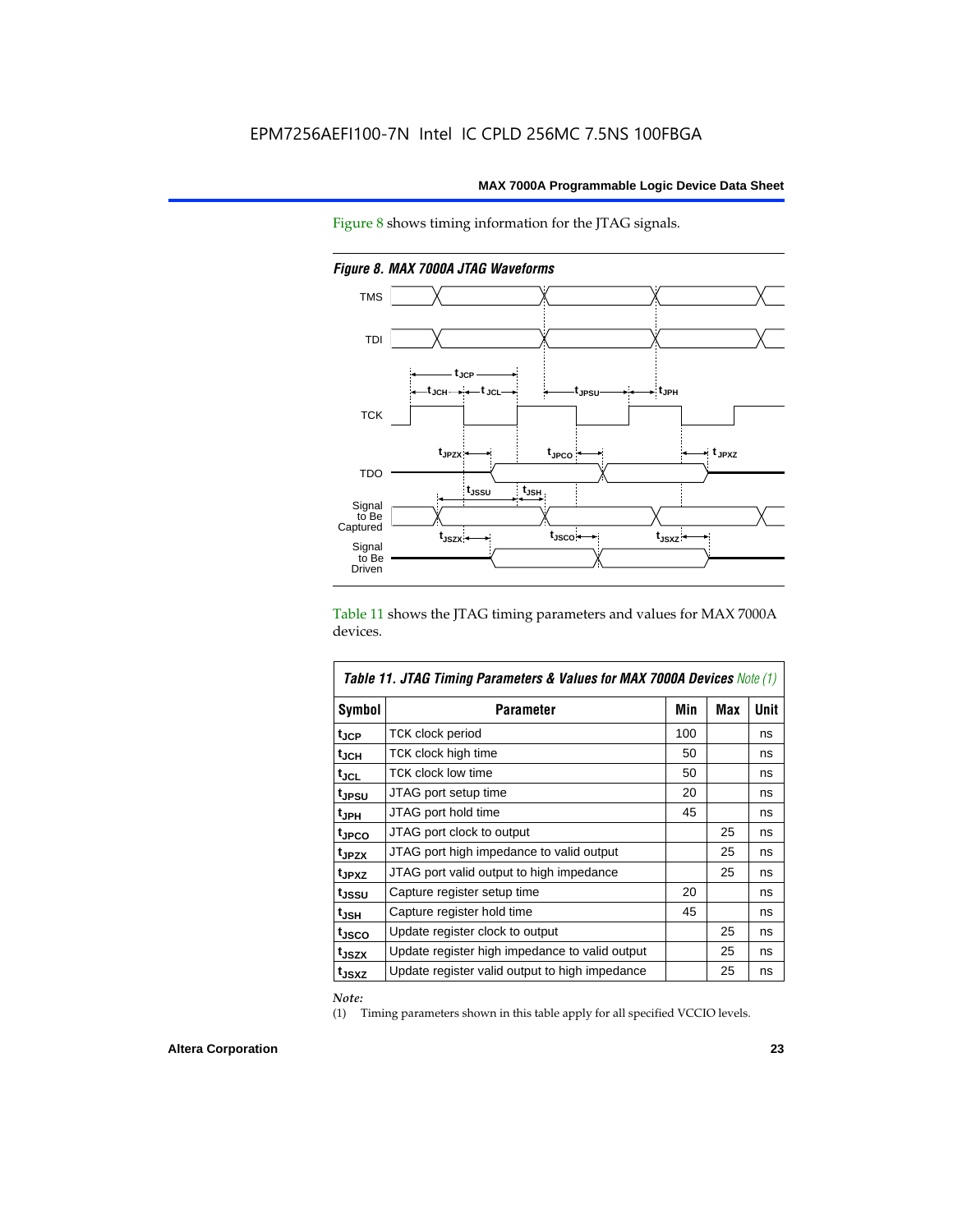Figure 8 shows timing information for the JTAG signals.



*Figure 8. MAX 7000A JTAG Waveforms*

Table 11 shows the JTAG timing parameters and values for MAX 7000A devices.

| <b>Table 11. JTAG Timing Parameters &amp; Values for MAX 7000A Devices Note (1)</b> |                                                |     |     |             |  |  |  |  |  |
|-------------------------------------------------------------------------------------|------------------------------------------------|-----|-----|-------------|--|--|--|--|--|
| <b>Symbol</b>                                                                       | <b>Parameter</b>                               | Min | Max | <b>Unit</b> |  |  |  |  |  |
| t <sub>JCP</sub>                                                                    | TCK clock period                               | 100 |     | ns          |  |  |  |  |  |
| tjch                                                                                | TCK clock high time                            | 50  |     | ns          |  |  |  |  |  |
| tjcl                                                                                | TCK clock low time                             | 50  |     | ns          |  |  |  |  |  |
| tjpsu                                                                               | JTAG port setup time                           | 20  |     | ns          |  |  |  |  |  |
| t <sub>JPH</sub>                                                                    | JTAG port hold time                            | 45  |     | ns          |  |  |  |  |  |
| t <sub>JPCO</sub>                                                                   | JTAG port clock to output                      |     | 25  | ns          |  |  |  |  |  |
| t <sub>JPZX</sub>                                                                   | JTAG port high impedance to valid output       |     | 25  | ns          |  |  |  |  |  |
| t <sub>JPXZ</sub>                                                                   | JTAG port valid output to high impedance       |     | 25  | ns          |  |  |  |  |  |
| tjssu                                                                               | Capture register setup time                    | 20  |     | ns          |  |  |  |  |  |
| $t_{JSH}$                                                                           | Capture register hold time                     | 45  |     | ns          |  |  |  |  |  |
| t <sub>JSCO</sub>                                                                   | Update register clock to output                |     | 25  | ns          |  |  |  |  |  |
| t <sub>JSZX</sub>                                                                   | Update register high impedance to valid output |     | 25  | ns          |  |  |  |  |  |
| t <sub>JSXZ</sub>                                                                   | Update register valid output to high impedance |     | 25  | ns          |  |  |  |  |  |

*Note:*

(1) Timing parameters shown in this table apply for all specified VCCIO levels.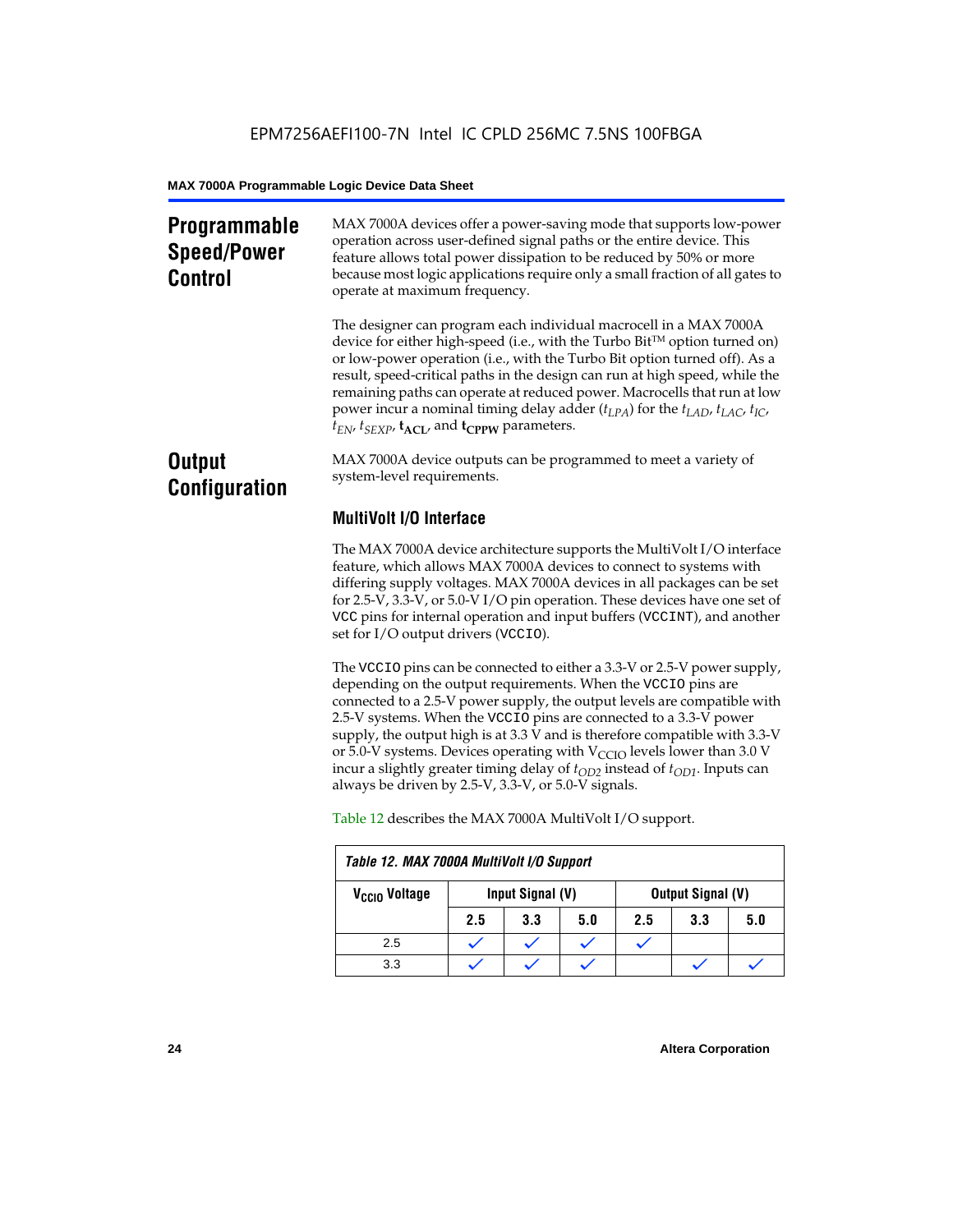### **Programmable Speed/Power Control**

MAX 7000A devices offer a power-saving mode that supports low-power operation across user-defined signal paths or the entire device. This feature allows total power dissipation to be reduced by 50% or more because most logic applications require only a small fraction of all gates to operate at maximum frequency.

The designer can program each individual macrocell in a MAX 7000A device for either high-speed (i.e., with the Turbo  $Bit^{TM}$  option turned on) or low-power operation (i.e., with the Turbo Bit option turned off). As a result, speed-critical paths in the design can run at high speed, while the remaining paths can operate at reduced power. Macrocells that run at low power incur a nominal timing delay adder (*tLPA*) for the *tLAD*, *tLAC*, *tIC*,  $t_{EN}$ ,  $t_{SEXP}$ ,  $t_{ACL}$ , and  $t_{CPPW}$  parameters.

### **Output Configuration**

MAX 7000A device outputs can be programmed to meet a variety of system-level requirements.

### **MultiVolt I/O Interface**

The MAX 7000A device architecture supports the MultiVolt I/O interface feature, which allows MAX 7000A devices to connect to systems with differing supply voltages. MAX 7000A devices in all packages can be set for 2.5-V, 3.3-V, or 5.0-V I/O pin operation. These devices have one set of VCC pins for internal operation and input buffers (VCCINT), and another set for I/O output drivers (VCCIO).

The VCCIO pins can be connected to either a 3.3-V or 2.5-V power supply, depending on the output requirements. When the VCCIO pins are connected to a 2.5-V power supply, the output levels are compatible with 2.5-V systems. When the VCCIO pins are connected to a 3.3-V power supply, the output high is at 3.3 V and is therefore compatible with 3.3-V or 5.0-V systems. Devices operating with  $V_{\text{CCIO}}$  levels lower than 3.0 V incur a slightly greater timing delay of  $t_{OD2}$  instead of  $t_{OD1}$ . Inputs can always be driven by 2.5-V, 3.3-V, or 5.0-V signals.

| Table 12. MAX 7000A MultiVolt I/O Support |                  |     |     |                          |     |     |  |  |
|-------------------------------------------|------------------|-----|-----|--------------------------|-----|-----|--|--|
| V <sub>CCIO</sub> Voltage                 | Input Signal (V) |     |     | <b>Output Signal (V)</b> |     |     |  |  |
|                                           | 2.5              | 3.3 | 5.0 | 2.5                      | 3.3 | 5.0 |  |  |
| 2.5                                       |                  |     |     |                          |     |     |  |  |
| 3.3                                       |                  |     |     |                          |     |     |  |  |

Table 12 describes the MAX 7000A MultiVolt I/O support.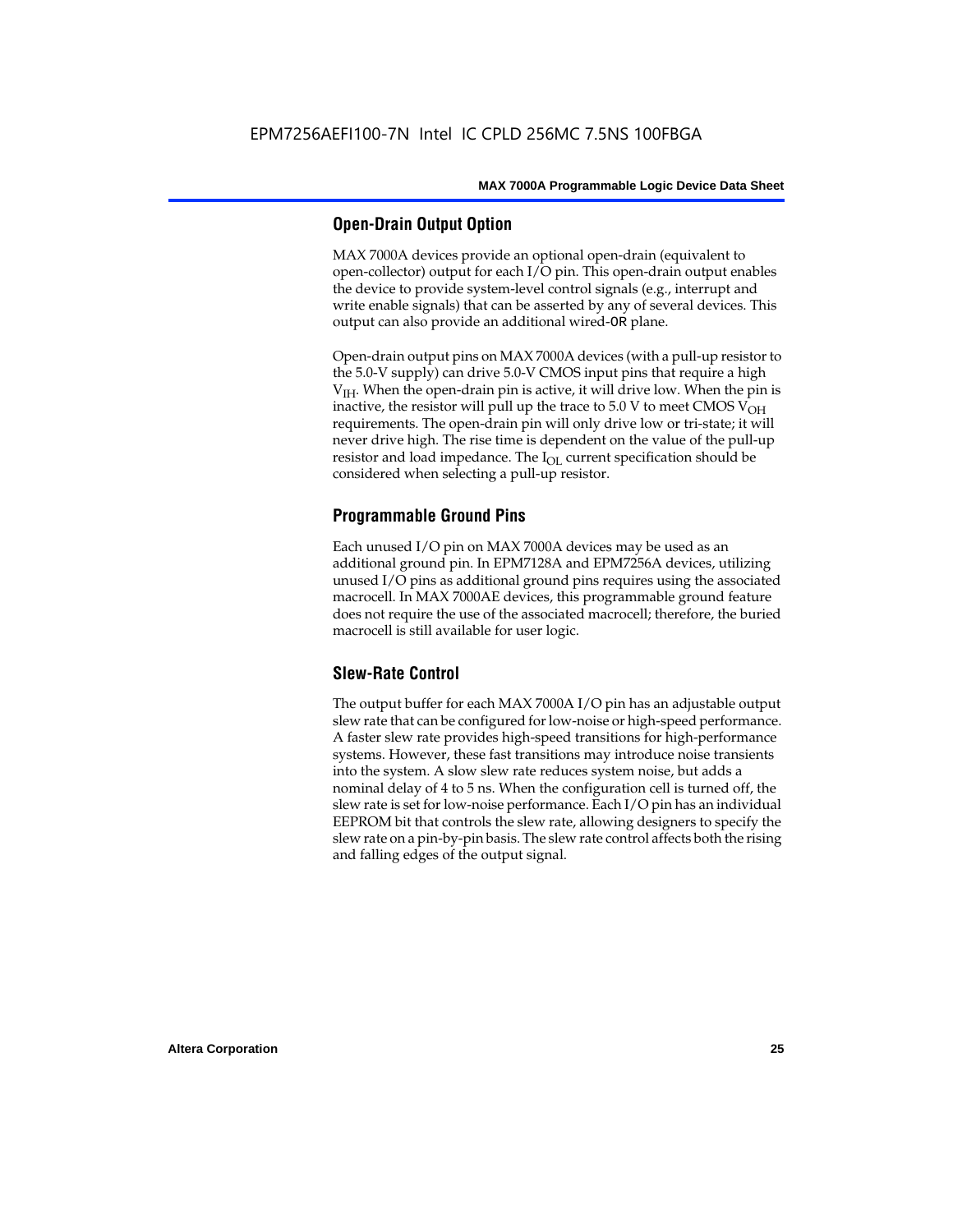#### **Open-Drain Output Option**

MAX 7000A devices provide an optional open-drain (equivalent to open-collector) output for each I/O pin. This open-drain output enables the device to provide system-level control signals (e.g., interrupt and write enable signals) that can be asserted by any of several devices. This output can also provide an additional wired-OR plane.

Open-drain output pins on MAX 7000A devices (with a pull-up resistor to the 5.0-V supply) can drive 5.0-V CMOS input pins that require a high  $V<sub>IH</sub>$ . When the open-drain pin is active, it will drive low. When the pin is inactive, the resistor will pull up the trace to  $5.0$  V to meet CMOS V<sub>OH</sub> requirements. The open-drain pin will only drive low or tri-state; it will never drive high. The rise time is dependent on the value of the pull-up resistor and load impedance. The  $I_{OL}$  current specification should be considered when selecting a pull-up resistor.

#### **Programmable Ground Pins**

Each unused I/O pin on MAX 7000A devices may be used as an additional ground pin. In EPM7128A and EPM7256A devices, utilizing unused I/O pins as additional ground pins requires using the associated macrocell. In MAX 7000AE devices, this programmable ground feature does not require the use of the associated macrocell; therefore, the buried macrocell is still available for user logic.

#### **Slew-Rate Control**

The output buffer for each MAX 7000A I/O pin has an adjustable output slew rate that can be configured for low-noise or high-speed performance. A faster slew rate provides high-speed transitions for high-performance systems. However, these fast transitions may introduce noise transients into the system. A slow slew rate reduces system noise, but adds a nominal delay of 4 to 5 ns. When the configuration cell is turned off, the slew rate is set for low-noise performance. Each I/O pin has an individual EEPROM bit that controls the slew rate, allowing designers to specify the slew rate on a pin-by-pin basis. The slew rate control affects both the rising and falling edges of the output signal.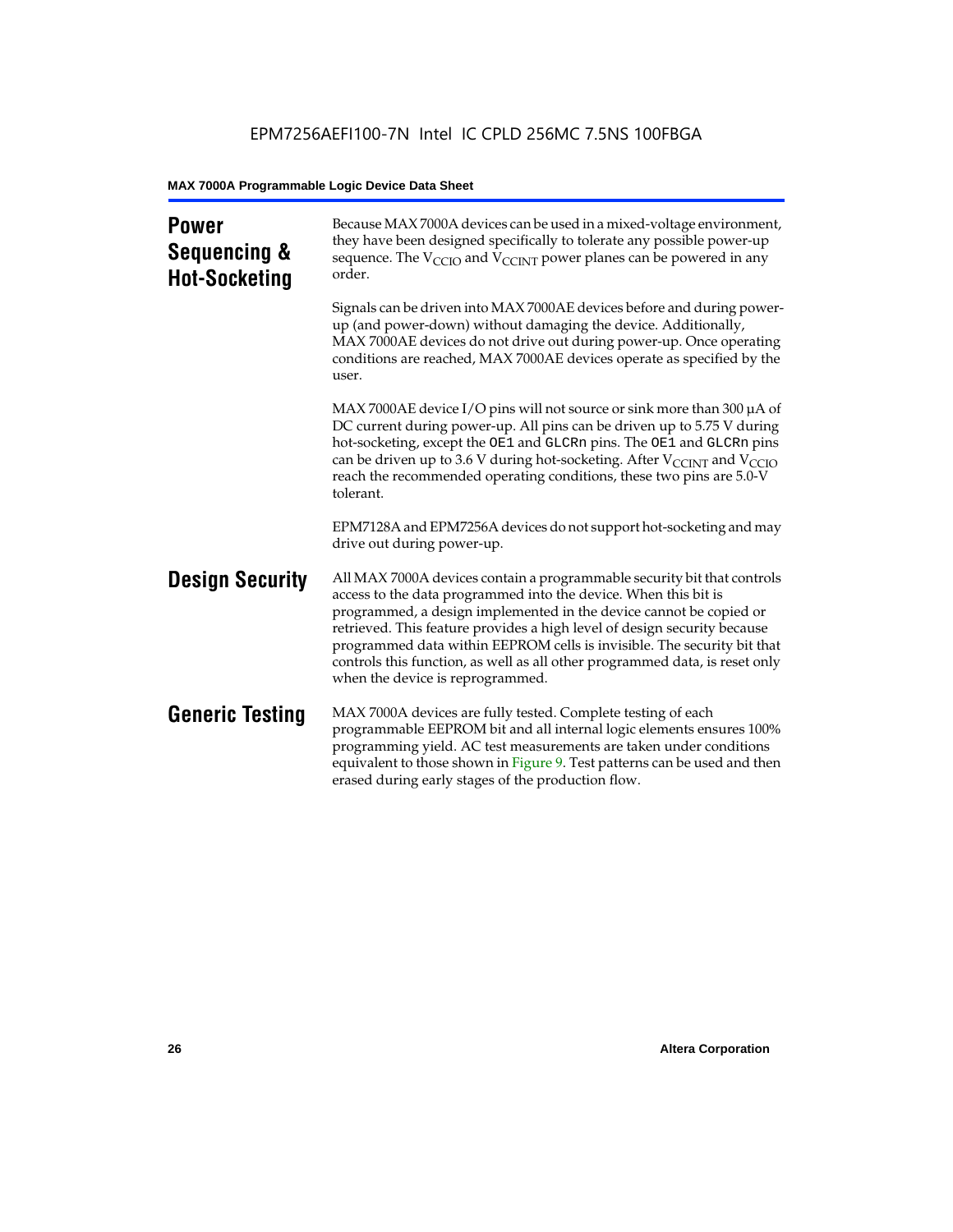| <b>Power</b><br>Sequencing &<br><b>Hot-Socketing</b> | Because MAX 7000A devices can be used in a mixed-voltage environment,<br>they have been designed specifically to tolerate any possible power-up<br>sequence. The $V_{\text{CCIO}}$ and $V_{\text{CCINT}}$ power planes can be powered in any<br>order.                                                                                                                                                                                                                                     |
|------------------------------------------------------|--------------------------------------------------------------------------------------------------------------------------------------------------------------------------------------------------------------------------------------------------------------------------------------------------------------------------------------------------------------------------------------------------------------------------------------------------------------------------------------------|
|                                                      | Signals can be driven into MAX 7000AE devices before and during power-<br>up (and power-down) without damaging the device. Additionally,<br>MAX 7000AE devices do not drive out during power-up. Once operating<br>conditions are reached, MAX 7000AE devices operate as specified by the<br>user.                                                                                                                                                                                         |
|                                                      | MAX 7000AE device I/O pins will not source or sink more than 300 µA of<br>DC current during power-up. All pins can be driven up to 5.75 V during<br>hot-socketing, except the OE1 and GLCRn pins. The OE1 and GLCRn pins<br>can be driven up to 3.6 V during hot-socketing. After $V_{\text{CCINT}}$ and $V_{\text{CCIO}}$<br>reach the recommended operating conditions, these two pins are 5.0-V<br>tolerant.                                                                            |
|                                                      | EPM7128A and EPM7256A devices do not support hot-socketing and may<br>drive out during power-up.                                                                                                                                                                                                                                                                                                                                                                                           |
| <b>Design Security</b>                               | All MAX 7000A devices contain a programmable security bit that controls<br>access to the data programmed into the device. When this bit is<br>programmed, a design implemented in the device cannot be copied or<br>retrieved. This feature provides a high level of design security because<br>programmed data within EEPROM cells is invisible. The security bit that<br>controls this function, as well as all other programmed data, is reset only<br>when the device is reprogrammed. |
| <b>Generic Testing</b>                               | MAX 7000A devices are fully tested. Complete testing of each<br>programmable EEPROM bit and all internal logic elements ensures 100%<br>programming yield. AC test measurements are taken under conditions<br>equivalent to those shown in Figure 9. Test patterns can be used and then<br>erased during early stages of the production flow.                                                                                                                                              |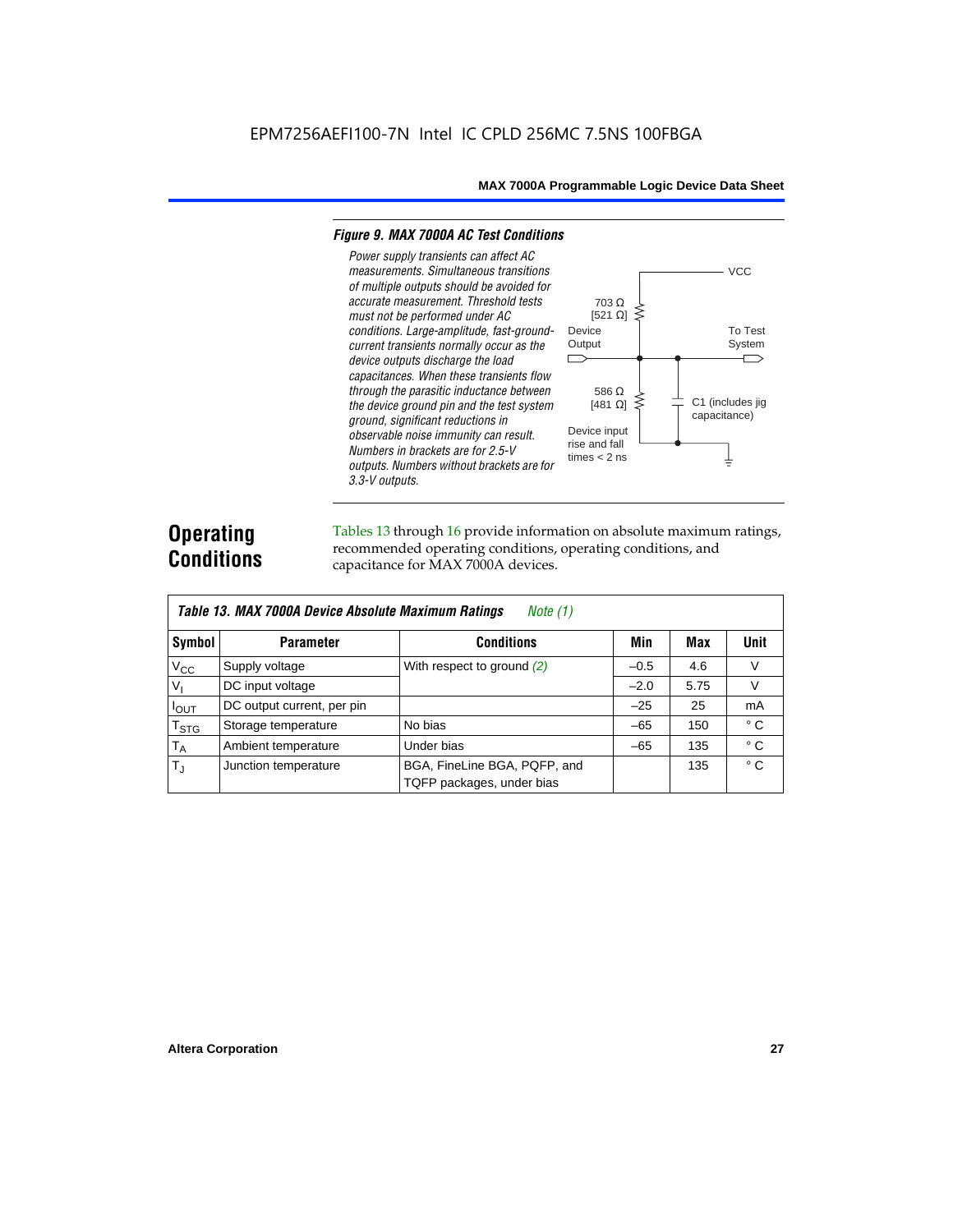#### *Figure 9. MAX 7000A AC Test Conditions*

*3.3-V outputs.*



### **Operating Conditions**

Tables 13 through 16 provide information on absolute maximum ratings, recommended operating conditions, operating conditions, and capacitance for MAX 7000A devices.

| Table 13. MAX 7000A Device Absolute Maximum Ratings<br>Note $(1)$ |                            |                                                           |        |      |              |  |  |  |  |
|-------------------------------------------------------------------|----------------------------|-----------------------------------------------------------|--------|------|--------------|--|--|--|--|
| Symbol                                                            | <b>Parameter</b>           | Conditions                                                | Min    | Max  | <b>Unit</b>  |  |  |  |  |
| $V_{CC}$                                                          | Supply voltage             | With respect to ground $(2)$                              | $-0.5$ | 4.6  | V            |  |  |  |  |
| V <sub>1</sub>                                                    | DC input voltage           |                                                           | $-2.0$ | 5.75 | $\vee$       |  |  |  |  |
| $I_{OUT}$                                                         | DC output current, per pin |                                                           | $-25$  | 25   | mA           |  |  |  |  |
| $T_{STG}$                                                         | Storage temperature        | No bias                                                   | $-65$  | 150  | $^{\circ}$ C |  |  |  |  |
| $T_A$                                                             | Ambient temperature        | Under bias                                                | $-65$  | 135  | $^{\circ}$ C |  |  |  |  |
| $T_{\rm J}$                                                       | Junction temperature       | BGA, FineLine BGA, PQFP, and<br>TQFP packages, under bias |        | 135  | $^{\circ}$ C |  |  |  |  |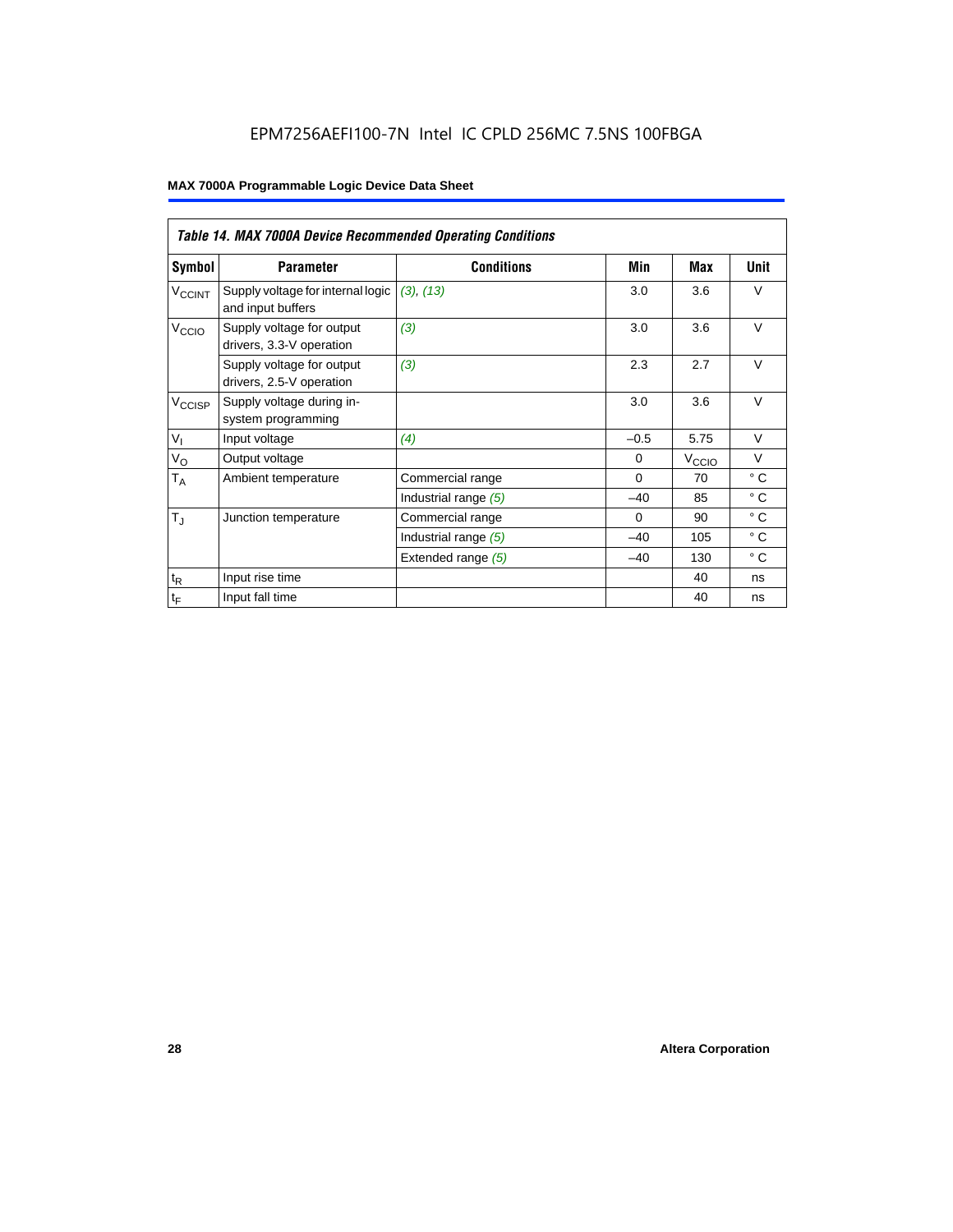### EPM7256AEFI100-7N Intel IC CPLD 256MC 7.5NS 100FBGA

|                             | <b>Table 14. MAX 7000A Device Recommended Operating Conditions</b> |                      |          |                   |              |  |  |  |  |  |
|-----------------------------|--------------------------------------------------------------------|----------------------|----------|-------------------|--------------|--|--|--|--|--|
| Symbol                      | <b>Parameter</b>                                                   | <b>Conditions</b>    | Min      | Max               | Unit         |  |  |  |  |  |
| <b>V<sub>CCINT</sub></b>    | Supply voltage for internal logic<br>and input buffers             | (3), (13)            | 3.0      | 3.6               | $\vee$       |  |  |  |  |  |
| V <sub>CCIO</sub>           | Supply voltage for output<br>drivers, 3.3-V operation              | (3)                  | 3.0      | 3.6               | $\vee$       |  |  |  |  |  |
|                             | Supply voltage for output<br>drivers, 2.5-V operation              | (3)                  | 2.3      | 2.7               | $\vee$       |  |  |  |  |  |
| $V_{\text{CCISP}}$          | Supply voltage during in-<br>system programming                    |                      | 3.0      | 3.6               | $\vee$       |  |  |  |  |  |
| $V_{I}$                     | Input voltage                                                      | (4)                  | $-0.5$   | 5.75              | $\vee$       |  |  |  |  |  |
| $V_{\rm O}$                 | Output voltage                                                     |                      | $\Omega$ | V <sub>CCIO</sub> | $\vee$       |  |  |  |  |  |
| $T_A$                       | Ambient temperature                                                | Commercial range     | $\Omega$ | 70                | $^{\circ}$ C |  |  |  |  |  |
|                             |                                                                    | Industrial range (5) | $-40$    | 85                | $^{\circ}$ C |  |  |  |  |  |
| $T_{\rm J}$                 | Junction temperature                                               | Commercial range     | $\Omega$ | 90                | $^{\circ}$ C |  |  |  |  |  |
|                             |                                                                    | Industrial range (5) | $-40$    | 105               | $^{\circ}$ C |  |  |  |  |  |
|                             |                                                                    | Extended range (5)   | $-40$    | 130               | $^{\circ}$ C |  |  |  |  |  |
| $\mathfrak{t}_{\mathsf{R}}$ | Input rise time                                                    |                      |          | 40                | ns           |  |  |  |  |  |
| $\mathfrak{t}_{\mathsf{F}}$ | Input fall time                                                    |                      |          | 40                | ns           |  |  |  |  |  |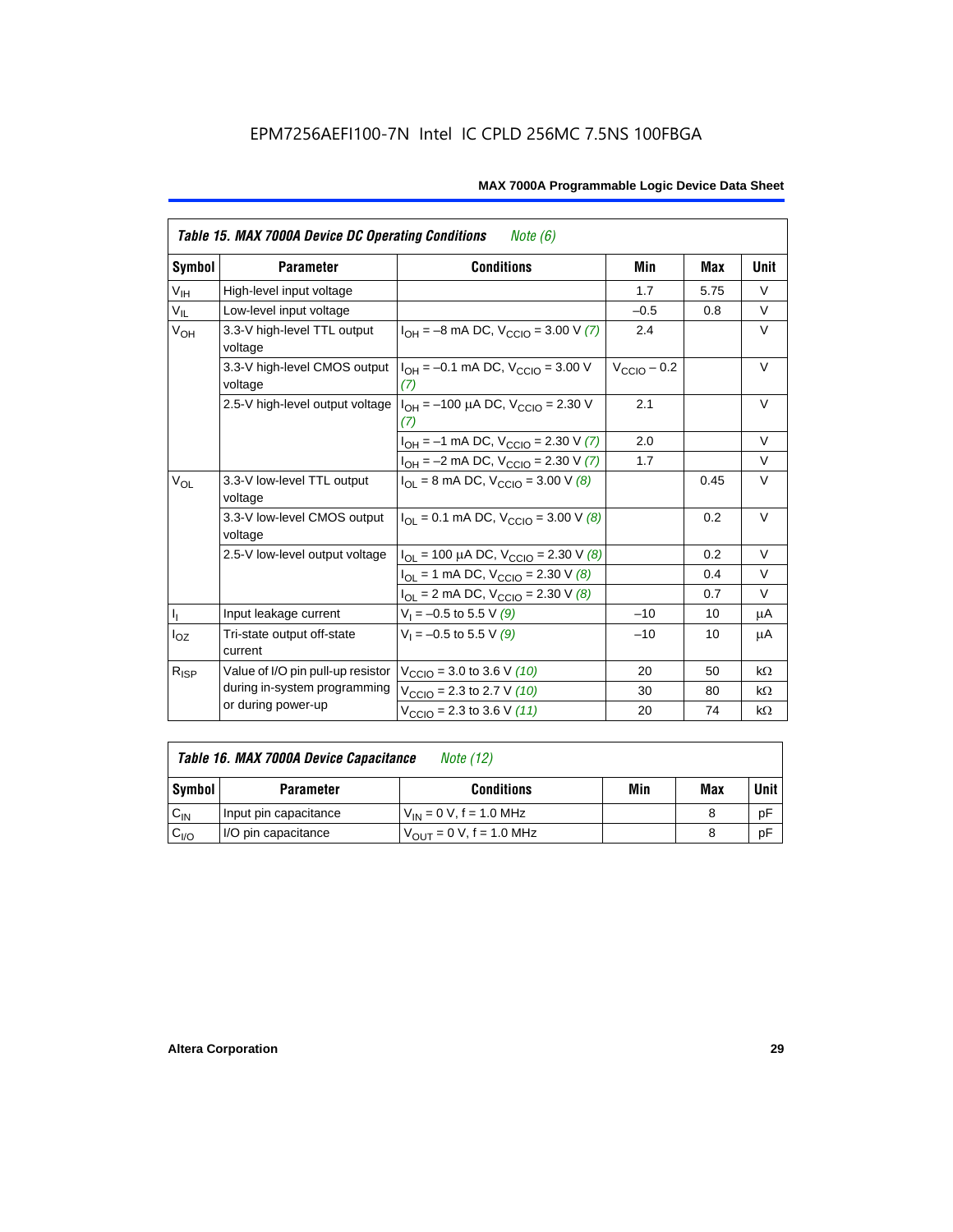|                            | Table 15. MAX 7000A Device DC Operating Conditions<br><i>Note</i> $(6)$ |                                                                             |                         |      |           |  |  |  |  |  |
|----------------------------|-------------------------------------------------------------------------|-----------------------------------------------------------------------------|-------------------------|------|-----------|--|--|--|--|--|
| Symbol                     | <b>Parameter</b>                                                        | <b>Conditions</b>                                                           | Min                     | Max  | Unit      |  |  |  |  |  |
| $\mathsf{V}_{\mathsf{IH}}$ | High-level input voltage                                                |                                                                             | 1.7                     | 5.75 | $\vee$    |  |  |  |  |  |
| $V_{IL}$                   | Low-level input voltage                                                 |                                                                             | $-0.5$                  | 0.8  | V         |  |  |  |  |  |
| $V_{OH}$                   | 3.3-V high-level TTL output<br>voltage                                  | $I_{OH} = -8$ mA DC, $V_{CCIO} = 3.00$ V (7)                                | 2.4                     |      | V         |  |  |  |  |  |
|                            | 3.3-V high-level CMOS output<br>voltage                                 | $I_{OH} = -0.1$ mA DC, $V_{CCD} = 3.00$ V<br>(7)                            | $V_{\text{CCIO}} - 0.2$ |      | $\vee$    |  |  |  |  |  |
|                            | 2.5-V high-level output voltage                                         | 2.1                                                                         |                         | V    |           |  |  |  |  |  |
|                            |                                                                         | $I_{OH} = -1$ mA DC, $V_{CCIO} = 2.30$ V (7)                                | 2.0                     |      | $\vee$    |  |  |  |  |  |
|                            |                                                                         | $I_{OH} = -2$ mA DC, $V_{CCIO} = 2.30$ V (7)                                | 1.7                     |      | $\vee$    |  |  |  |  |  |
| $V_{OL}$                   | 3.3-V low-level TTL output<br>voltage                                   | $I_{\text{OI}}$ = 8 mA DC, $V_{\text{CCl}}$ = 3.00 V (8)                    |                         | 0.45 | $\vee$    |  |  |  |  |  |
|                            | 3.3-V low-level CMOS output<br>voltage                                  | $I_{\text{OI}} = 0.1 \text{ mA DC}$ , $V_{\text{CCl}} = 3.00 \text{ V}$ (8) |                         | 0.2  | V         |  |  |  |  |  |
|                            | 2.5-V low-level output voltage                                          | $I_{OL}$ = 100 µA DC, $V_{CCIO}$ = 2.30 V (8)                               |                         | 0.2  | $\vee$    |  |  |  |  |  |
|                            |                                                                         | $I_{OL}$ = 1 mA DC, $V_{CCIO}$ = 2.30 V (8)                                 |                         | 0.4  | $\vee$    |  |  |  |  |  |
|                            |                                                                         | $I_{OL}$ = 2 mA DC, $V_{CCIO}$ = 2.30 V (8)                                 |                         | 0.7  | $\vee$    |  |  |  |  |  |
| $\mathsf{I}_1$             | Input leakage current                                                   | $V_1 = -0.5$ to 5.5 V (9)                                                   | $-10$                   | 10   | μA        |  |  |  |  |  |
| $I_{OZ}$                   | Tri-state output off-state<br>current                                   | $V_1 = -0.5$ to 5.5 V (9)                                                   | $-10$                   | 10   | μA        |  |  |  |  |  |
| $R_{ISP}$                  | Value of I/O pin pull-up resistor                                       | $V_{\text{CCIO}} = 3.0$ to 3.6 V (10)                                       | 20                      | 50   | $k\Omega$ |  |  |  |  |  |
|                            | during in-system programming                                            | $V_{\text{CCIO}}$ = 2.3 to 2.7 V (10)                                       | 30                      | 80   | $k\Omega$ |  |  |  |  |  |
|                            | or during power-up                                                      | $V_{\text{CCIO}} = 2.3$ to 3.6 V (11)                                       | 20                      | 74   | $k\Omega$ |  |  |  |  |  |

| Table 16. MAX 7000A Device Capacitance | Note (12) |
|----------------------------------------|-----------|
|                                        |           |

| Symbol    | <b>Parameter</b>      | <b>Conditions</b>                   | Min | Max | Unit |
|-----------|-----------------------|-------------------------------------|-----|-----|------|
| $C_{IN}$  | Input pin capacitance | $V_{IN} = 0$ V, f = 1.0 MHz         |     |     | рF   |
| $v_{I/O}$ | I/O pin capacitance   | $V_{\text{OUT}} = 0 V, f = 1.0 MHz$ |     |     | рF   |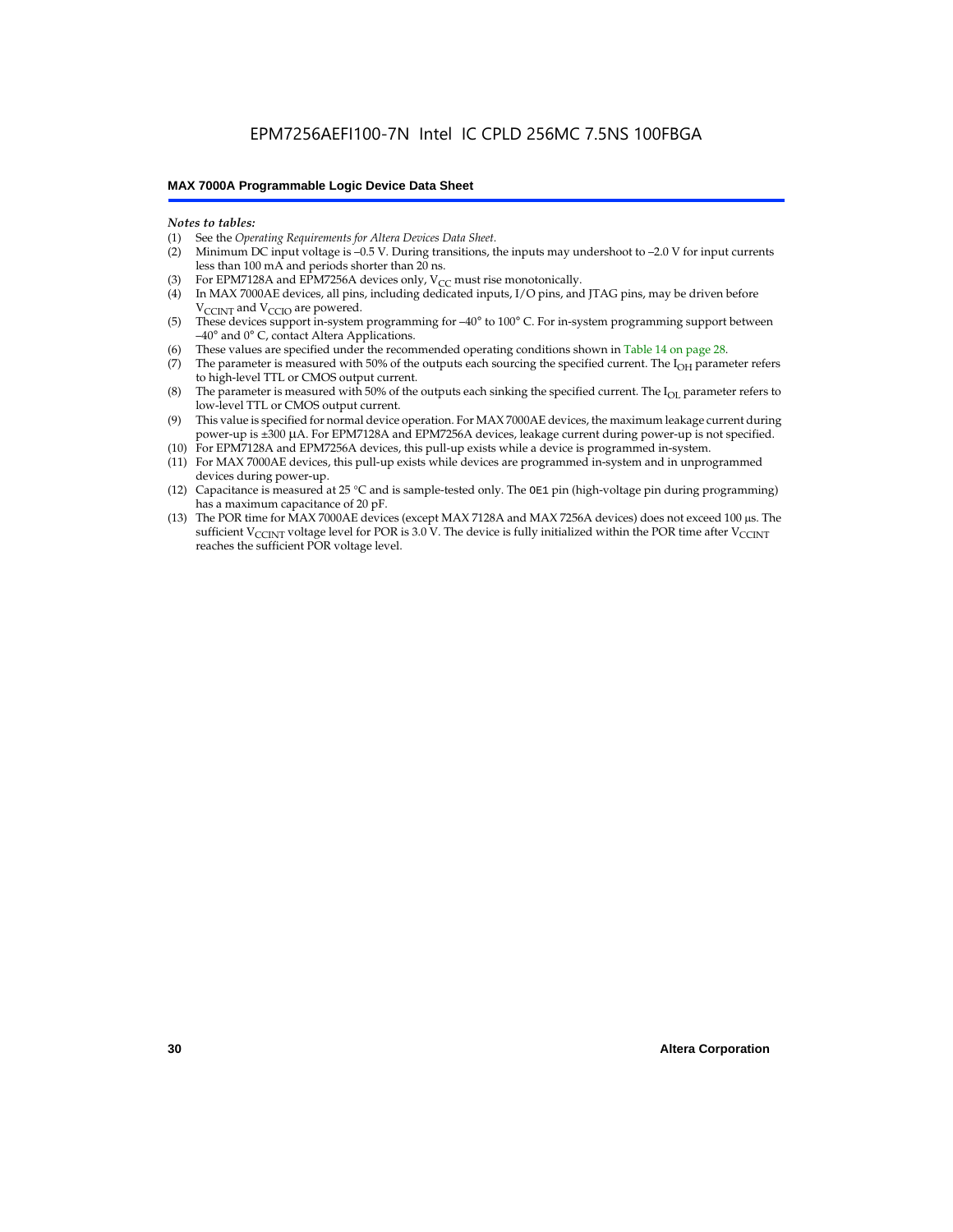#### *Notes to tables:*

- (1) See the *Operating Requirements for Altera Devices Data Sheet.*
- Minimum DC input voltage is –0.5 V. During transitions, the inputs may undershoot to –2.0 V for input currents less than 100 mA and periods shorter than 20 ns.
- (3) For EPM7128A and EPM7256A devices only,  $V_{CC}$  must rise monotonically.
- (4) In MAX 7000AE devices, all pins, including dedicated inputs, I/O pins, and JTAG pins, may be driven before V<sub>CCINT</sub> and V<sub>CCIO</sub> are powered.
- (5) These devices support in-system programming for –40° to 100° C. For in-system programming support between –40° and 0° C, contact Altera Applications.
- (6) These values are specified under the recommended operating conditions shown in Table 14 on page 28.
- (7) The parameter is measured with 50% of the outputs each sourcing the specified current. The  $I_{OH}$  parameter refers to high-level TTL or CMOS output current.
- (8) The parameter is measured with 50% of the outputs each sinking the specified current. The  $I_{OL}$  parameter refers to low-level TTL or CMOS output current.
- (9) This value is specified for normal device operation. For MAX 7000AE devices, the maximum leakage current during power-up is ±300 µA. For EPM7128A and EPM7256A devices, leakage current during power-up is not specified.
- (10) For EPM7128A and EPM7256A devices, this pull-up exists while a device is programmed in-system.
- (11) For MAX 7000AE devices, this pull-up exists while devices are programmed in-system and in unprogrammed devices during power-up.
- (12) Capacitance is measured at 25 °C and is sample-tested only. The OE1 pin (high-voltage pin during programming) has a maximum capacitance of 20 pF.
- (13) The POR time for MAX 7000AE devices (except MAX 7128A and MAX 7256A devices) does not exceed 100 µs. The sufficient V<sub>CCINT</sub> voltage level for POR is 3.0 V. The device is fully initialized within the POR time after V<sub>CCINT</sub> reaches the sufficient POR voltage level.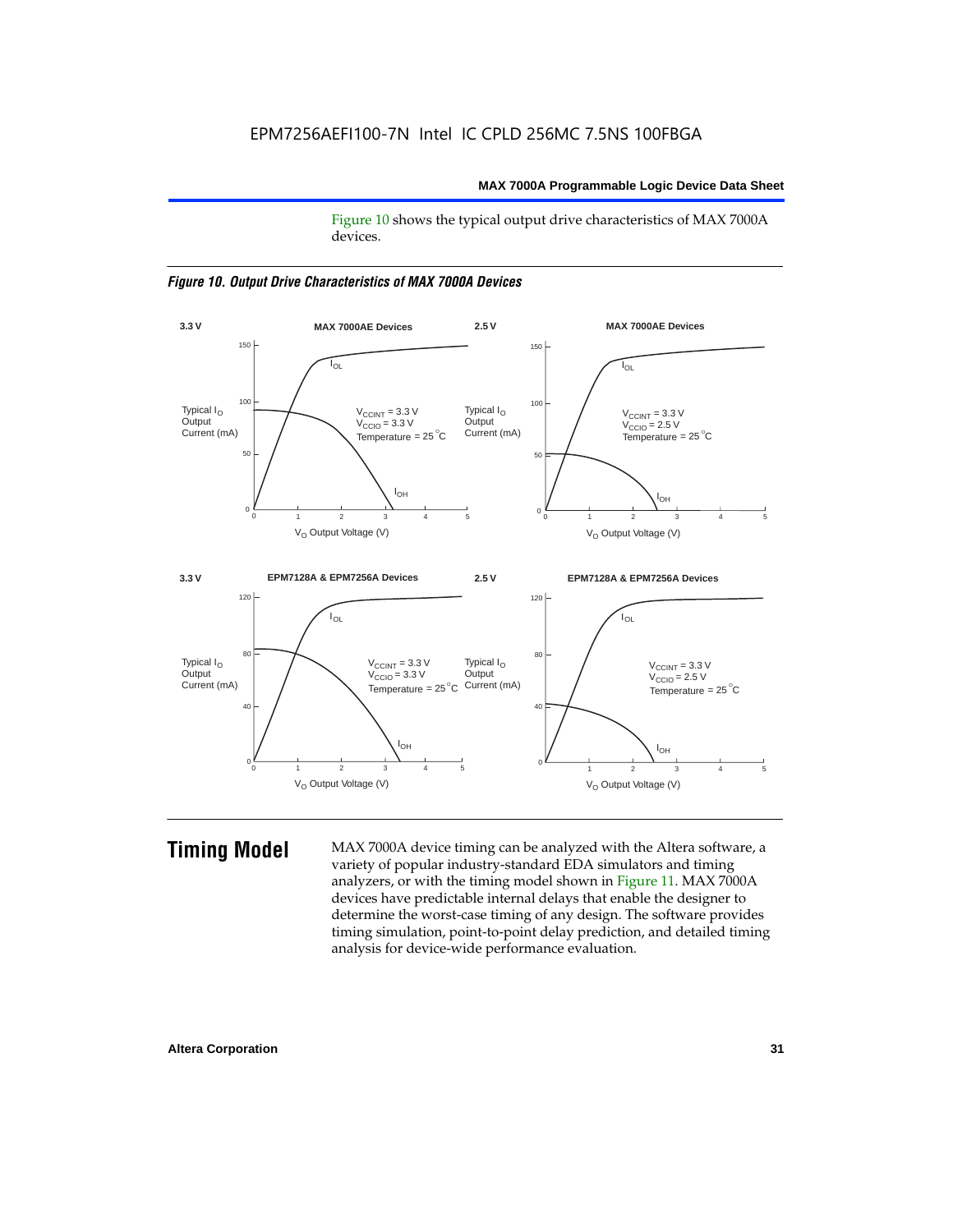Figure 10 shows the typical output drive characteristics of MAX 7000A devices.





**Timing Model** MAX 7000A device timing can be analyzed with the Altera software, a variety of popular industry-standard EDA simulators and timing analyzers, or with the timing model shown in Figure 11. MAX 7000A devices have predictable internal delays that enable the designer to determine the worst-case timing of any design. The software provides timing simulation, point-to-point delay prediction, and detailed timing analysis for device-wide performance evaluation.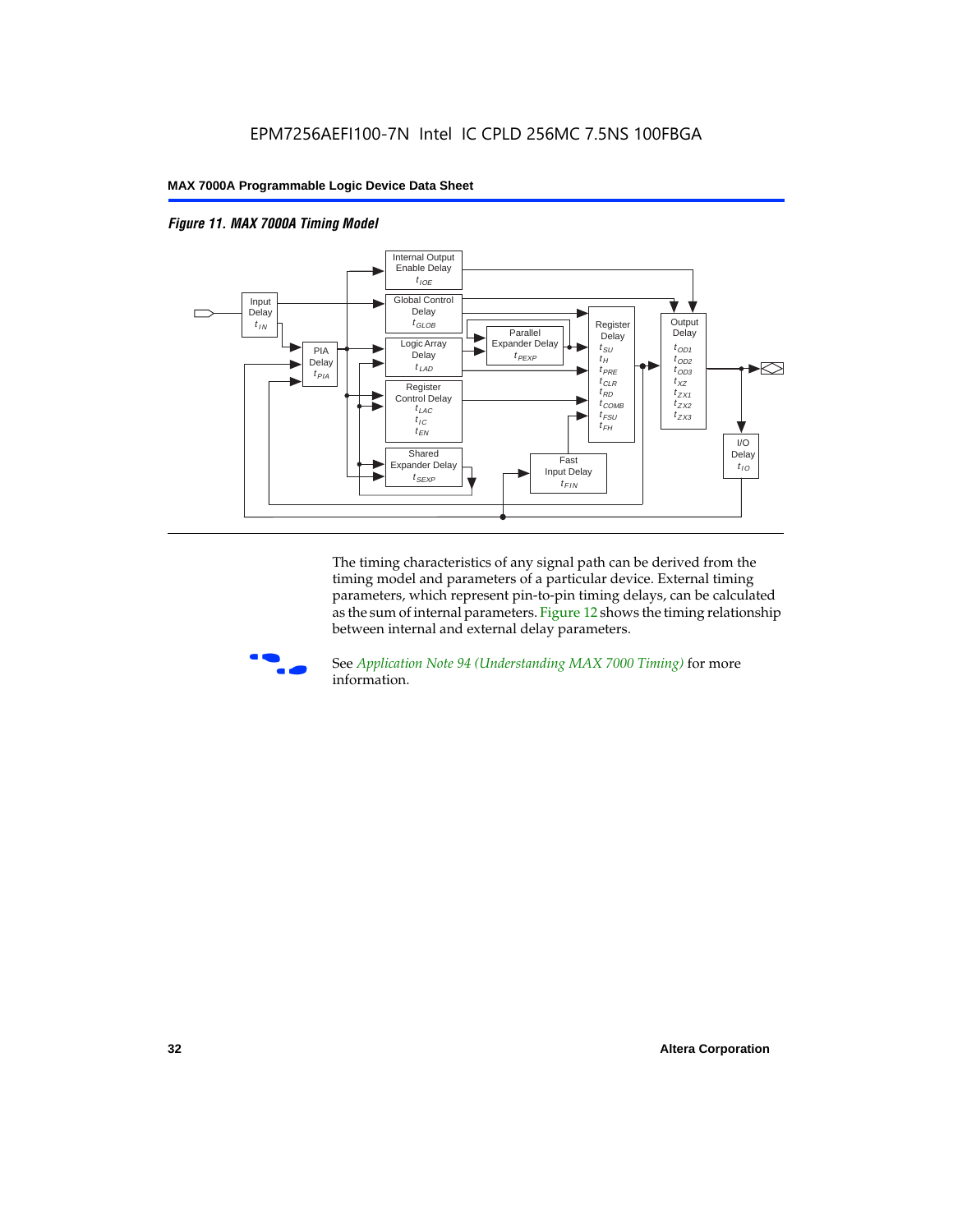



The timing characteristics of any signal path can be derived from the timing model and parameters of a particular device. External timing parameters, which represent pin-to-pin timing delays, can be calculated as the sum of internal parameters. Figure 12 shows the timing relationship between internal and external delay parameters.



f See *Application Note 94 (Understanding MAX 7000 Timing)* for more information.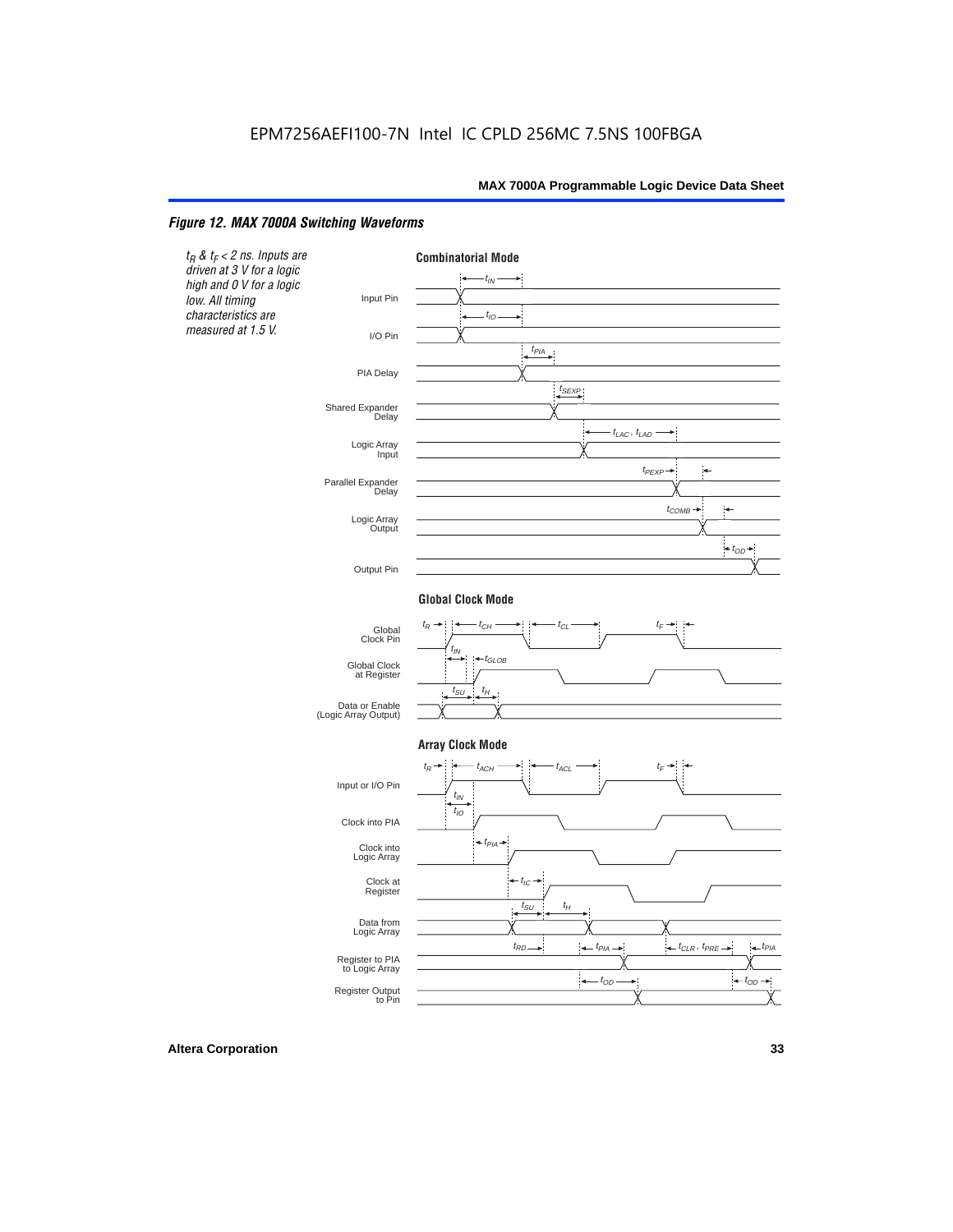#### *Figure 12. MAX 7000A Switching Waveforms*

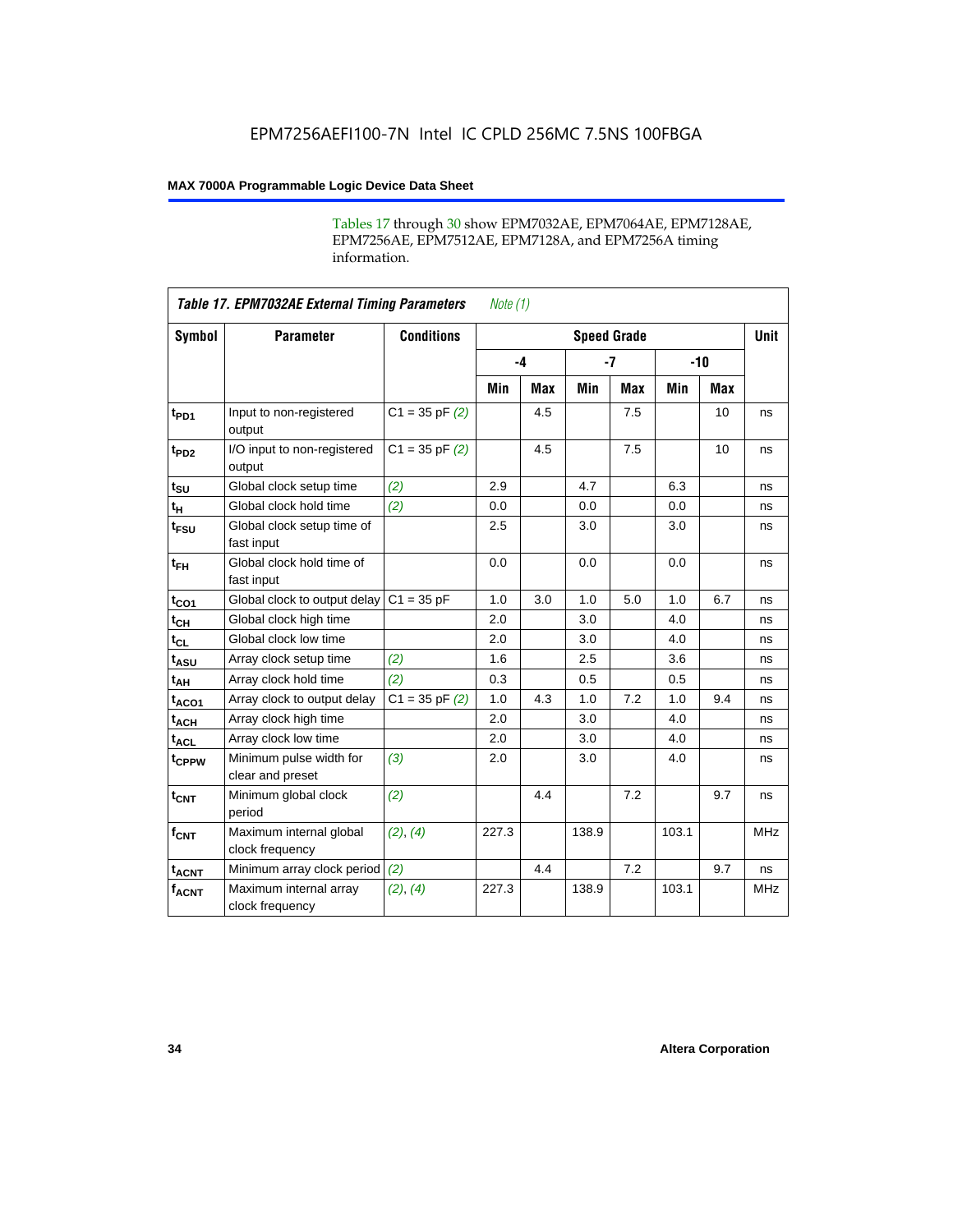Tables 17 through 30 show EPM7032AE, EPM7064AE, EPM7128AE, EPM7256AE, EPM7512AE, EPM7128A, and EPM7256A timing information.

|                  | <b>Table 17. EPM7032AE External Timing Parameters</b><br>Note $(1)$ |                    |       |            |                    |            |       |     |             |  |
|------------------|---------------------------------------------------------------------|--------------------|-------|------------|--------------------|------------|-------|-----|-------------|--|
| Symbol           | <b>Parameter</b>                                                    | <b>Conditions</b>  |       |            | <b>Speed Grade</b> |            |       |     | <b>Unit</b> |  |
|                  |                                                                     |                    | $-4$  |            | $-7$               |            | $-10$ |     |             |  |
|                  |                                                                     |                    | Min   | <b>Max</b> | Min                | <b>Max</b> | Min   | Max |             |  |
| t <sub>PD1</sub> | Input to non-registered<br>output                                   | $C1 = 35$ pF $(2)$ |       | 4.5        |                    | 7.5        |       | 10  | ns          |  |
| t <sub>PD2</sub> | I/O input to non-registered<br>output                               | $C1 = 35 pF(2)$    |       | 4.5        |                    | 7.5        |       | 10  | ns          |  |
| $t_{\text{SU}}$  | Global clock setup time                                             | (2)                | 2.9   |            | 4.7                |            | 6.3   |     | ns          |  |
| $t_H$            | Global clock hold time                                              | (2)                | 0.0   |            | 0.0                |            | 0.0   |     | ns          |  |
| t <sub>FSU</sub> | Global clock setup time of<br>fast input                            |                    | 2.5   |            | 3.0                |            | 3.0   |     | ns          |  |
| $t_{FH}$         | Global clock hold time of<br>fast input                             |                    | 0.0   |            | 0.0                |            | 0.0   |     | ns          |  |
| $t_{CO1}$        | Global clock to output delay                                        | $C1 = 35 pF$       | 1.0   | 3.0        | 1.0                | 5.0        | 1.0   | 6.7 | ns          |  |
| $t_{CH}$         | Global clock high time                                              |                    | 2.0   |            | 3.0                |            | 4.0   |     | ns          |  |
| $t_{CL}$         | Global clock low time                                               |                    | 2.0   |            | 3.0                |            | 4.0   |     | ns          |  |
| $t_{ASU}$        | Array clock setup time                                              | (2)                | 1.6   |            | 2.5                |            | 3.6   |     | ns          |  |
| t <sub>AH</sub>  | Array clock hold time                                               | (2)                | 0.3   |            | 0.5                |            | 0.5   |     | ns          |  |
| $t_{ACO1}$       | Array clock to output delay                                         | $C1 = 35 pF(2)$    | 1.0   | 4.3        | 1.0                | 7.2        | 1.0   | 9.4 | ns          |  |
| $t_{ACH}$        | Array clock high time                                               |                    | 2.0   |            | 3.0                |            | 4.0   |     | ns          |  |
| $t_{ACL}$        | Array clock low time                                                |                    | 2.0   |            | 3.0                |            | 4.0   |     | ns          |  |
| tcppw            | Minimum pulse width for<br>clear and preset                         | (3)                | 2.0   |            | 3.0                |            | 4.0   |     | ns          |  |
| $t_{\text{CNT}}$ | Minimum global clock<br>period                                      | (2)                |       | 4.4        |                    | 7.2        |       | 9.7 | ns          |  |
| $f_{CNT}$        | Maximum internal global<br>clock frequency                          | (2), (4)           | 227.3 |            | 138.9              |            | 103.1 |     | <b>MHz</b>  |  |
| $t_{ACNT}$       | Minimum array clock period                                          | (2)                |       | 4.4        |                    | 7.2        |       | 9.7 | ns          |  |
| <b>fACNT</b>     | Maximum internal array<br>clock frequency                           | (2), (4)           | 227.3 |            | 138.9              |            | 103.1 |     | <b>MHz</b>  |  |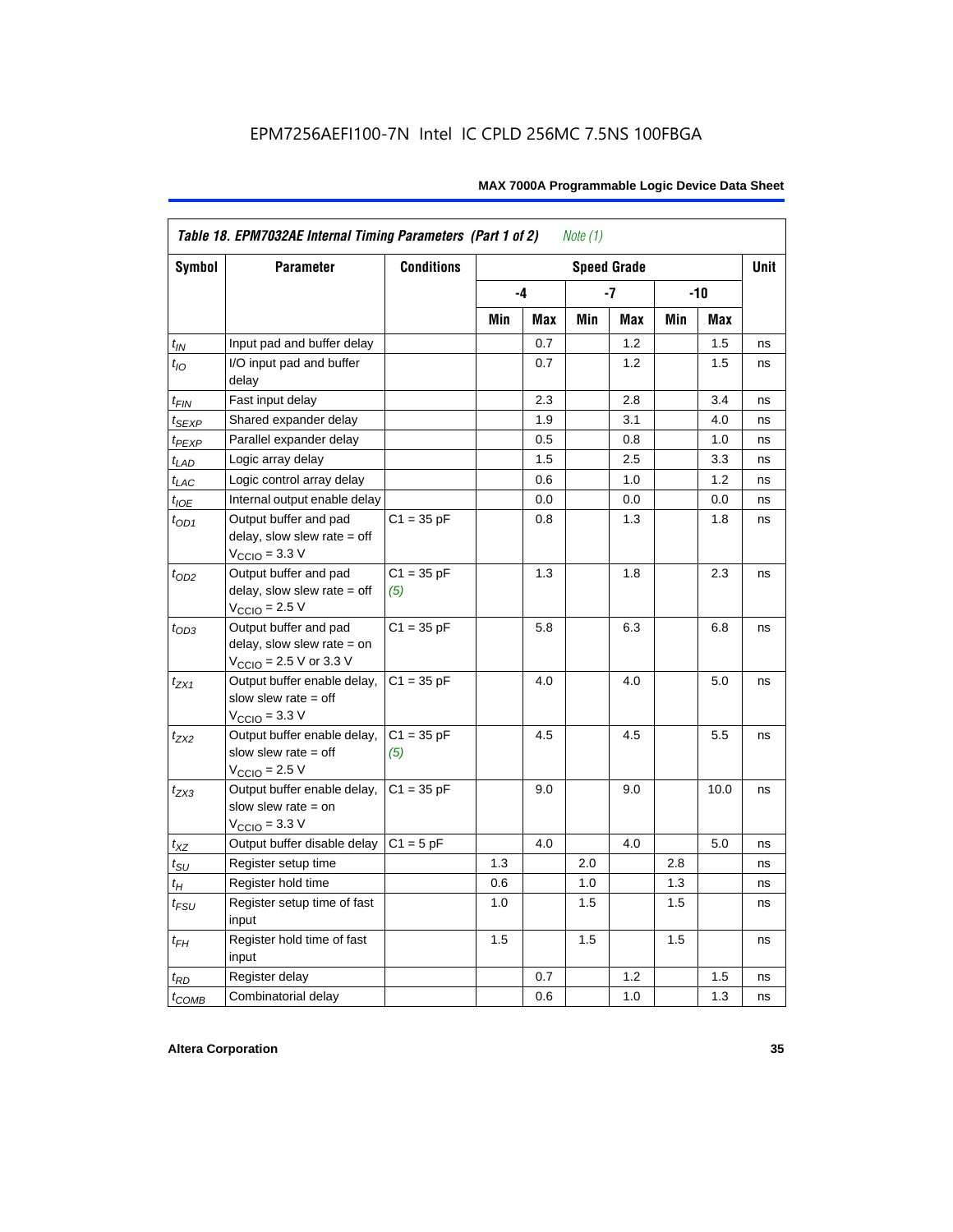|                    | Table 18. EPM7032AE Internal Timing Parameters (Part 1 of 2)<br>Note $(1)$                                   |                     |     |     |     |                    |     |      |             |
|--------------------|--------------------------------------------------------------------------------------------------------------|---------------------|-----|-----|-----|--------------------|-----|------|-------------|
| Symbol             | <b>Parameter</b>                                                                                             | <b>Conditions</b>   |     |     |     | <b>Speed Grade</b> |     |      | <b>Unit</b> |
|                    |                                                                                                              |                     |     | -4  |     | -7                 | -10 |      |             |
|                    |                                                                                                              |                     | Min | Max | Min | Max                | Min | Max  |             |
| $t_{IN}$           | Input pad and buffer delay                                                                                   |                     |     | 0.7 |     | 1.2                |     | 1.5  | ns          |
| $t_{IO}$           | I/O input pad and buffer<br>delay                                                                            |                     |     | 0.7 |     | 1.2                |     | 1.5  | ns          |
| $t_{\sf FIN}$      | Fast input delay                                                                                             |                     |     | 2.3 |     | 2.8                |     | 3.4  | ns          |
| $t_{SEXP}$         | Shared expander delay                                                                                        |                     |     | 1.9 |     | 3.1                |     | 4.0  | ns          |
| t <sub>PEXP</sub>  | Parallel expander delay                                                                                      |                     |     | 0.5 |     | 0.8                |     | 1.0  | ns          |
| $t_{LAD}$          | Logic array delay                                                                                            |                     |     | 1.5 |     | 2.5                |     | 3.3  | ns          |
| $t_{LAC}$          | Logic control array delay                                                                                    |                     |     | 0.6 |     | 1.0                |     | 1.2  | ns          |
| $t_{IOE}$          | Internal output enable delay                                                                                 |                     |     | 0.0 |     | 0.0                |     | 0.0  | ns          |
| $t_{OD1}$          | Output buffer and pad<br>delay, slow slew rate $=$ off<br>$V_{\text{CCIO}} = 3.3 \text{ V}$                  | $C1 = 35 pF$        |     | 0.8 |     | 1.3                |     | 1.8  | ns          |
| $t_{OD2}$          | Output buffer and pad<br>delay, slow slew rate $=$ off<br>$V_{\text{CCIO}}$ = 2.5 V                          | $C1 = 35 pF$<br>(5) |     | 1.3 |     | 1.8                |     | 2.3  | ns          |
| $t_{OD3}$          | Output buffer and pad<br>delay, slow slew rate $=$ on<br>$V_{\text{CCIO}} = 2.5 \text{ V or } 3.3 \text{ V}$ | $C1 = 35 pF$        |     | 5.8 |     | 6.3                |     | 6.8  | ns          |
| $t_{ZX1}$          | Output buffer enable delay,<br>slow slew rate $=$ off<br>$V_{\text{CCIO}} = 3.3 \text{ V}$                   | $C1 = 35 pF$        |     | 4.0 |     | 4.0                |     | 5.0  | ns          |
| $t_{ZX2}$          | Output buffer enable delay,<br>slow slew rate $=$ off<br>$V_{\text{CCIO}}$ = 2.5 V                           | $C1 = 35 pF$<br>(5) |     | 4.5 |     | 4.5                |     | 5.5  | ns          |
| $t_{ZX3}$          | Output buffer enable delay,<br>slow slew rate $=$ on<br>$V_{\text{CCIO}} = 3.3 \text{ V}$                    | $C1 = 35 pF$        |     | 9.0 |     | 9.0                |     | 10.0 | ns          |
| $t_{\mathsf{XZ}}$  | Output buffer disable delay                                                                                  | $C1 = 5pF$          |     | 4.0 |     | 4.0                |     | 5.0  | ns          |
| $t_{\text{SU}}$    | Register setup time                                                                                          |                     | 1.3 |     | 2.0 |                    | 2.8 |      | ns          |
| $t_H$              | Register hold time                                                                                           |                     | 0.6 |     | 1.0 |                    | 1.3 |      | ns          |
| $t_{\mathit{FSU}}$ | Register setup time of fast<br>input                                                                         |                     | 1.0 |     | 1.5 |                    | 1.5 |      | ns          |
| $t_{FH}$           | Register hold time of fast<br>input                                                                          |                     | 1.5 |     | 1.5 |                    | 1.5 |      | ns          |
| $t_{RD}$           | Register delay                                                                                               |                     |     | 0.7 |     | 1.2                |     | 1.5  | ns          |
| $t_{COMB}$         | Combinatorial delay                                                                                          |                     |     | 0.6 |     | 1.0                |     | 1.3  | ns          |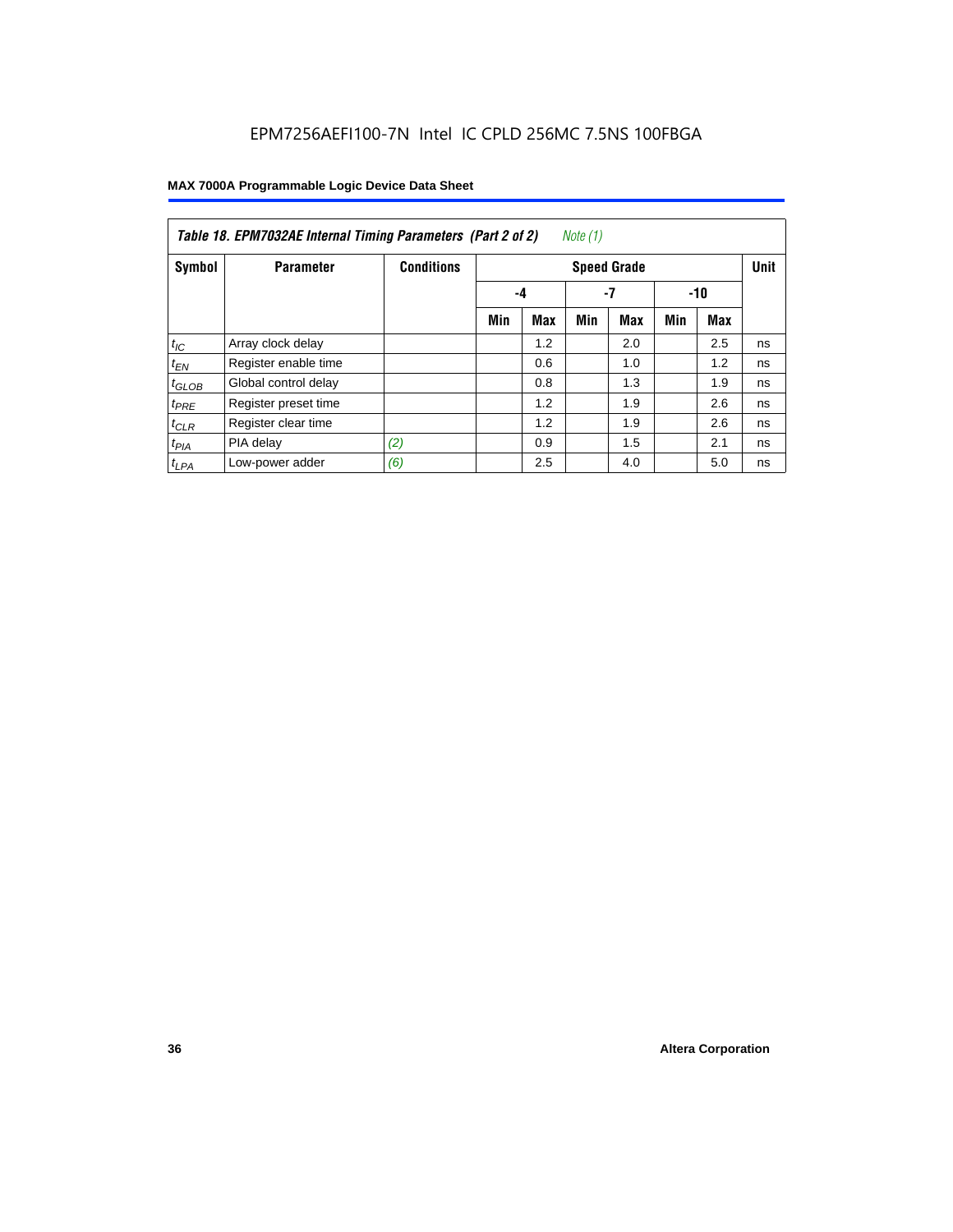|            | Table 18. EPM7032AE Internal Timing Parameters (Part 2 of 2)<br>Note (1) |                   |     |                    |     |            |     |       |    |  |
|------------|--------------------------------------------------------------------------|-------------------|-----|--------------------|-----|------------|-----|-------|----|--|
| Symbol     | <b>Parameter</b>                                                         | <b>Conditions</b> |     | <b>Speed Grade</b> |     |            |     |       |    |  |
|            |                                                                          |                   |     | -4                 |     | -7         |     | $-10$ |    |  |
|            |                                                                          |                   | Min | <b>Max</b>         | Min | <b>Max</b> | Min | Max   |    |  |
| $t_{IC}$   | Array clock delay                                                        |                   |     | 1.2                |     | 2.0        |     | 2.5   | ns |  |
| $t_{EN}$   | Register enable time                                                     |                   |     | 0.6                |     | 1.0        |     | 1.2   | ns |  |
| $t_{GLOB}$ | Global control delay                                                     |                   |     | 0.8                |     | 1.3        |     | 1.9   | ns |  |
| $t_{PRE}$  | Register preset time                                                     |                   |     | 1.2                |     | 1.9        |     | 2.6   | ns |  |
| $t_{CLR}$  | Register clear time                                                      |                   |     | 1.2                |     | 1.9        |     | 2.6   | ns |  |
| $t_{PIA}$  | PIA delay                                                                | (2)               |     | 0.9                |     | 1.5        |     | 2.1   | ns |  |
| $t_{LPA}$  | Low-power adder                                                          | (6)               |     | 2.5                |     | 4.0        |     | 5.0   | ns |  |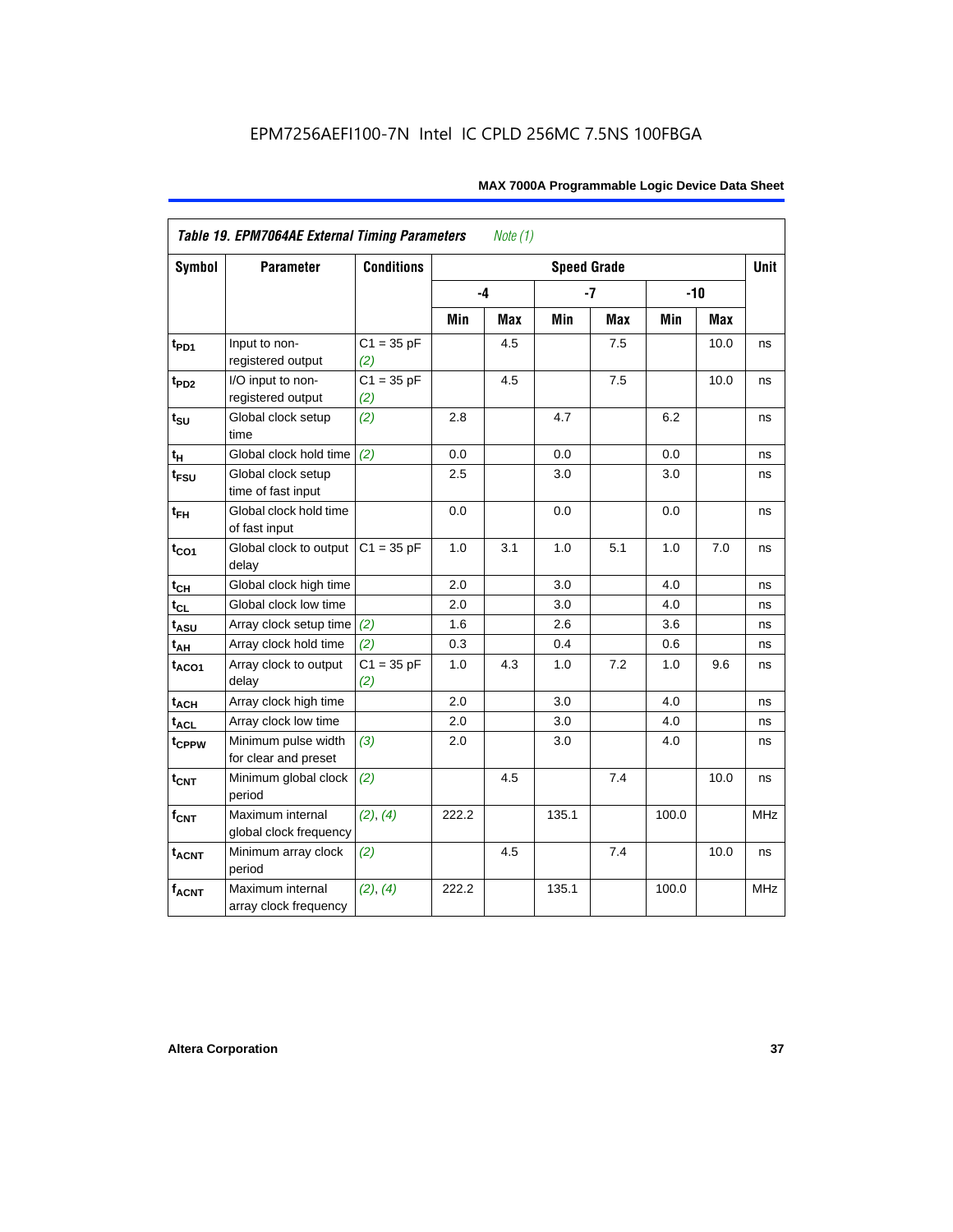| <b>Symbol</b>               | <b>Parameter</b>                            | <b>Conditions</b>   | <b>Speed Grade</b> |     |       |            |       |       |            |
|-----------------------------|---------------------------------------------|---------------------|--------------------|-----|-------|------------|-------|-------|------------|
|                             |                                             |                     |                    | -4  |       | $-7$       |       | $-10$ |            |
|                             |                                             |                     | Min                | Max | Min   | <b>Max</b> | Min   | Max   |            |
| $t_{PD1}$                   | Input to non-<br>registered output          | $C1 = 35 pF$<br>(2) |                    | 4.5 |       | 7.5        |       | 10.0  | ns         |
| $t_{PD2}$                   | I/O input to non-<br>registered output      | $C1 = 35 pF$<br>(2) |                    | 4.5 |       | 7.5        |       | 10.0  | ns         |
| $t_{\scriptstyle\text{SU}}$ | Global clock setup<br>time                  | (2)                 | 2.8                |     | 4.7   |            | 6.2   |       | ns         |
| $t_H$                       | Global clock hold time                      | (2)                 | 0.0                |     | 0.0   |            | 0.0   |       | ns         |
| t <sub>FSU</sub>            | Global clock setup<br>time of fast input    |                     | 2.5                |     | 3.0   |            | 3.0   |       | ns         |
| $t_{FH}$                    | Global clock hold time<br>of fast input     |                     | 0.0                |     | 0.0   |            | 0.0   |       | ns         |
| $t_{CO1}$                   | Global clock to output<br>delay             | $C1 = 35 pF$        | 1.0                | 3.1 | 1.0   | 5.1        | 1.0   | 7.0   | ns         |
| $t_{CH}$                    | Global clock high time                      |                     | 2.0                |     | 3.0   |            | 4.0   |       | ns         |
| $t_{CL}$                    | Global clock low time                       |                     | 2.0                |     | 3.0   |            | 4.0   |       | ns         |
| t <sub>ASU</sub>            | Array clock setup time                      | (2)                 | 1.6                |     | 2.6   |            | 3.6   |       | ns         |
| $t_{AH}$                    | Array clock hold time                       | (2)                 | 0.3                |     | 0.4   |            | 0.6   |       | ns         |
| $t_{ACO1}$                  | Array clock to output<br>delay              | $C1 = 35 pF$<br>(2) | 1.0                | 4.3 | 1.0   | 7.2        | 1.0   | 9.6   | ns         |
| $t_{ACH}$                   | Array clock high time                       |                     | 2.0                |     | 3.0   |            | 4.0   |       | ns         |
| t <sub>ACL</sub>            | Array clock low time                        |                     | 2.0                |     | 3.0   |            | 4.0   |       | ns         |
| t <sub>CPPW</sub>           | Minimum pulse width<br>for clear and preset | (3)                 | 2.0                |     | 3.0   |            | 4.0   |       | ns         |
| $t_{\text{CNT}}$            | Minimum global clock<br>period              | (2)                 |                    | 4.5 |       | 7.4        |       | 10.0  | ns         |
| $f_{CNT}$                   | Maximum internal<br>global clock frequency  | (2), (4)            | 222.2              |     | 135.1 |            | 100.0 |       | <b>MHz</b> |
| $t_{ACNT}$                  | Minimum array clock<br>period               | (2)                 |                    | 4.5 |       | 7.4        |       | 10.0  | ns         |
| <b>fACNT</b>                | Maximum internal<br>array clock frequency   | (2), (4)            | 222.2              |     | 135.1 |            | 100.0 |       | <b>MHz</b> |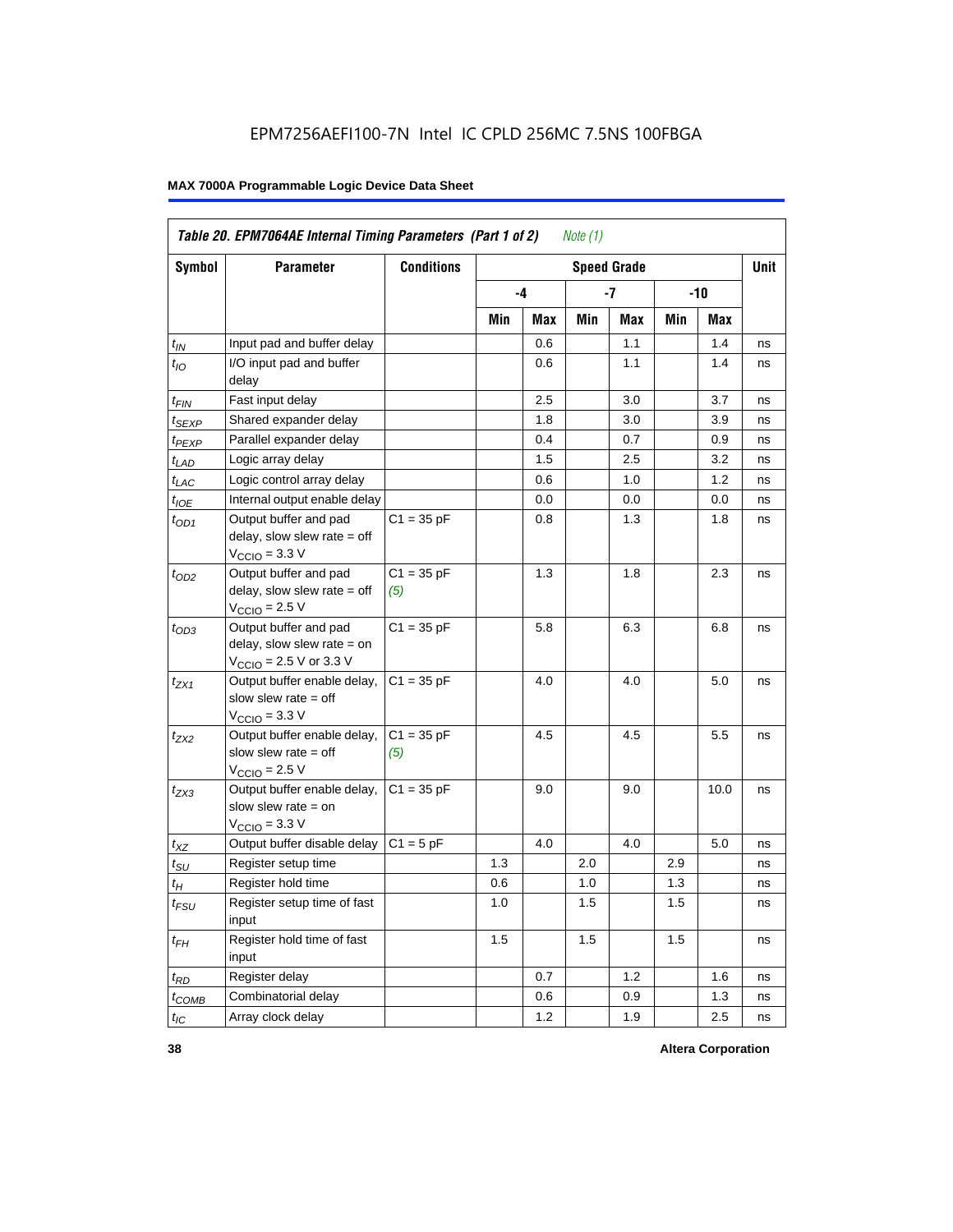| Table 20. EPM7064AE Internal Timing Parameters (Part 1 of 2)<br>Note $(1)$ |                                                                                                              |                     |     |      |     |                    |     |       |             |  |  |
|----------------------------------------------------------------------------|--------------------------------------------------------------------------------------------------------------|---------------------|-----|------|-----|--------------------|-----|-------|-------------|--|--|
| <b>Symbol</b>                                                              | <b>Parameter</b>                                                                                             | <b>Conditions</b>   |     |      |     | <b>Speed Grade</b> |     |       | <b>Unit</b> |  |  |
|                                                                            |                                                                                                              |                     |     | $-4$ |     | -7                 |     | $-10$ |             |  |  |
|                                                                            |                                                                                                              |                     | Min | Max  | Min | Max                | Min | Max   |             |  |  |
| $t_{IN}$                                                                   | Input pad and buffer delay                                                                                   |                     |     | 0.6  |     | 1.1                |     | 1.4   | ns          |  |  |
| $t_{IO}$                                                                   | I/O input pad and buffer<br>delay                                                                            |                     |     | 0.6  |     | 1.1                |     | 1.4   | ns          |  |  |
| $t_{FIN}$                                                                  | Fast input delay                                                                                             |                     |     | 2.5  |     | 3.0                |     | 3.7   | ns          |  |  |
| t <sub>SEXP</sub>                                                          | Shared expander delay                                                                                        |                     |     | 1.8  |     | 3.0                |     | 3.9   | ns          |  |  |
| t <sub>PEXP</sub>                                                          | Parallel expander delay                                                                                      |                     |     | 0.4  |     | 0.7                |     | 0.9   | ns          |  |  |
| $t_{LAD}$                                                                  | Logic array delay                                                                                            |                     |     | 1.5  |     | 2.5                |     | 3.2   | ns          |  |  |
| $t_{LAC}$                                                                  | Logic control array delay                                                                                    |                     |     | 0.6  |     | 1.0                |     | 1.2   | ns          |  |  |
| $t_{IOE}$                                                                  | Internal output enable delay                                                                                 |                     |     | 0.0  |     | 0.0                |     | 0.0   | ns          |  |  |
| $t_{OD1}$                                                                  | Output buffer and pad<br>delay, slow slew rate $=$ off<br>$V_{\text{CCIO}} = 3.3 \text{ V}$                  | $C1 = 35 pF$        |     | 0.8  |     | 1.3                |     | 1.8   | ns          |  |  |
| $t_{OD2}$                                                                  | Output buffer and pad<br>delay, slow slew rate $=$ off<br>$V_{\text{CCIO}}$ = 2.5 V                          | $C1 = 35 pF$<br>(5) |     | 1.3  |     | 1.8                |     | 2.3   | ns          |  |  |
| $t_{OD3}$                                                                  | Output buffer and pad<br>delay, slow slew rate $=$ on<br>$V_{\text{CCIO}} = 2.5 \text{ V or } 3.3 \text{ V}$ | $C1 = 35 pF$        |     | 5.8  |     | 6.3                |     | 6.8   | ns          |  |  |
| $t_{ZX1}$                                                                  | Output buffer enable delay,<br>slow slew rate $=$ off<br>$V_{\text{CCIO}} = 3.3 \text{ V}$                   | $C1 = 35 pF$        |     | 4.0  |     | 4.0                |     | 5.0   | ns          |  |  |
| $t_{ZX2}$                                                                  | Output buffer enable delay,<br>slow slew rate $=$ off<br>$V_{\text{CCIO}} = 2.5 V$                           | $C1 = 35 pF$<br>(5) |     | 4.5  |     | 4.5                |     | 5.5   | ns          |  |  |
| $t_{ZX3}$                                                                  | Output buffer enable delay,<br>slow slew rate $=$ on<br>$V_{\text{CCIO}} = 3.3 \text{ V}$                    | $C1 = 35 pF$        |     | 9.0  |     | 9.0                |     | 10.0  | ns          |  |  |
| $t_{XZ}$                                                                   | Output buffer disable delay                                                                                  | $C1 = 5pF$          |     | 4.0  |     | 4.0                |     | 5.0   | ns          |  |  |
| $t_{\text{SU}}$                                                            | Register setup time                                                                                          |                     | 1.3 |      | 2.0 |                    | 2.9 |       | ns          |  |  |
| $t_H$                                                                      | Register hold time                                                                                           |                     | 0.6 |      | 1.0 |                    | 1.3 |       | ns          |  |  |
| $t_{FSU}$                                                                  | Register setup time of fast<br>input                                                                         |                     | 1.0 |      | 1.5 |                    | 1.5 |       | ns          |  |  |
| $t_{FH}$                                                                   | Register hold time of fast<br>input                                                                          |                     | 1.5 |      | 1.5 |                    | 1.5 |       | ns          |  |  |
| $t_{RD}$                                                                   | Register delay                                                                                               |                     |     | 0.7  |     | 1.2                |     | 1.6   | ns          |  |  |
| $t_{COMB}$                                                                 | Combinatorial delay                                                                                          |                     |     | 0.6  |     | 0.9                |     | 1.3   | ns          |  |  |
| $t_{IC}$                                                                   | Array clock delay                                                                                            |                     |     | 1.2  |     | 1.9                |     | 2.5   | ns          |  |  |

**38 Altera Corporation**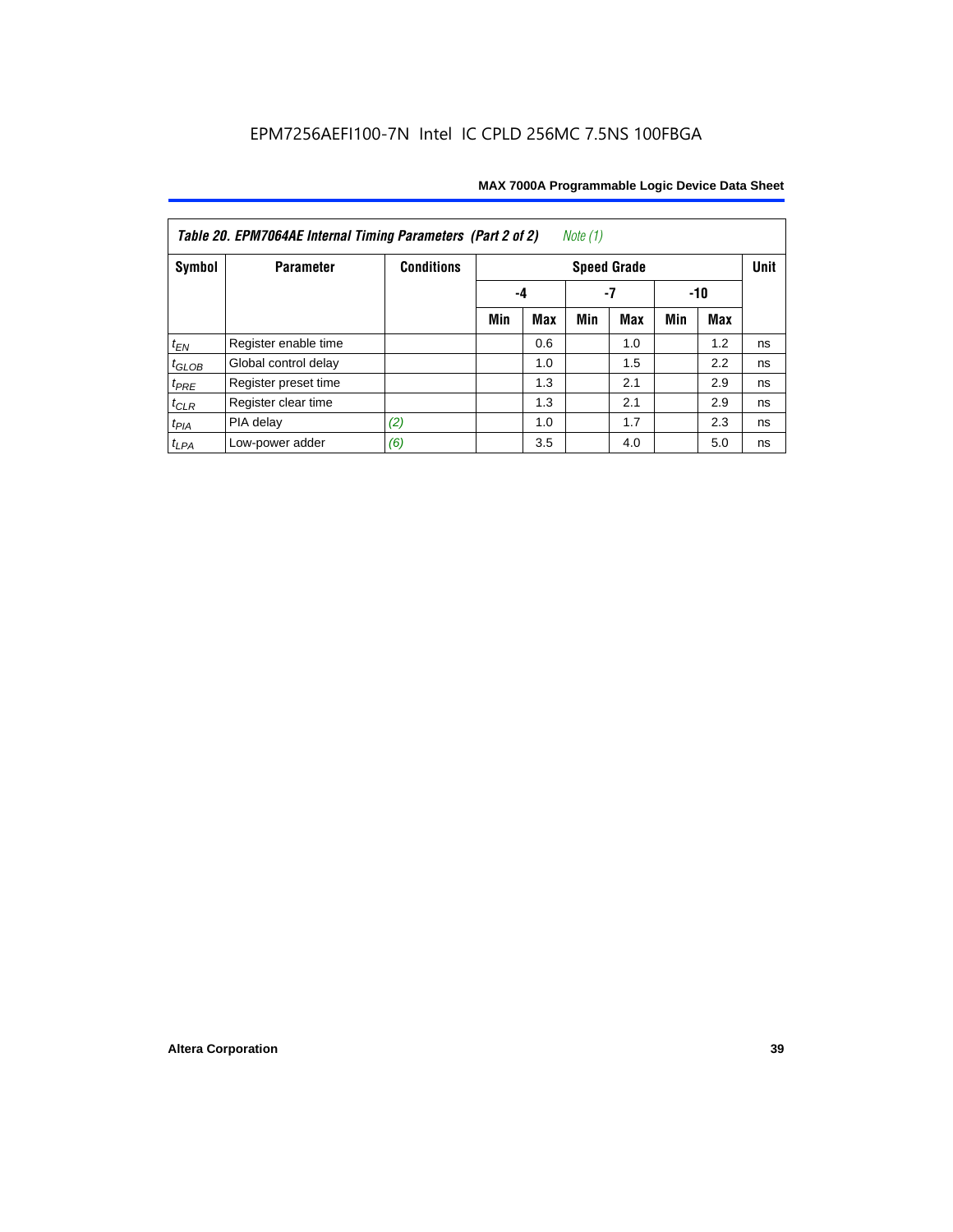| Note $(1)$<br>Table 20. EPM7064AE Internal Timing Parameters (Part 2 of 2) |                      |                   |     |     |     |                    |     |     |             |  |  |
|----------------------------------------------------------------------------|----------------------|-------------------|-----|-----|-----|--------------------|-----|-----|-------------|--|--|
| Symbol                                                                     | <b>Parameter</b>     | <b>Conditions</b> |     |     |     | <b>Speed Grade</b> |     |     | <b>Unit</b> |  |  |
|                                                                            |                      |                   | -4  | -10 |     |                    |     |     |             |  |  |
|                                                                            |                      |                   | Min | Max | Min | <b>Max</b>         | Min | Max |             |  |  |
| $t_{EN}$                                                                   | Register enable time |                   |     | 0.6 |     | 1.0                |     | 1.2 | ns          |  |  |
| $t_{GLOB}$                                                                 | Global control delay |                   |     | 1.0 |     | 1.5                |     | 2.2 | ns          |  |  |
| $t_{PRE}$                                                                  | Register preset time |                   |     | 1.3 |     | 2.1                |     | 2.9 | ns          |  |  |
| $t_{CLR}$                                                                  | Register clear time  |                   |     | 1.3 |     | 2.1                |     | 2.9 | ns          |  |  |
| $t_{PIA}$                                                                  | PIA delay            | (2)               |     | 1.0 |     | 1.7                |     | 2.3 | ns          |  |  |
| $t_{LPA}$                                                                  | Low-power adder      | (6)               |     | 3.5 |     | 4.0                |     | 5.0 | ns          |  |  |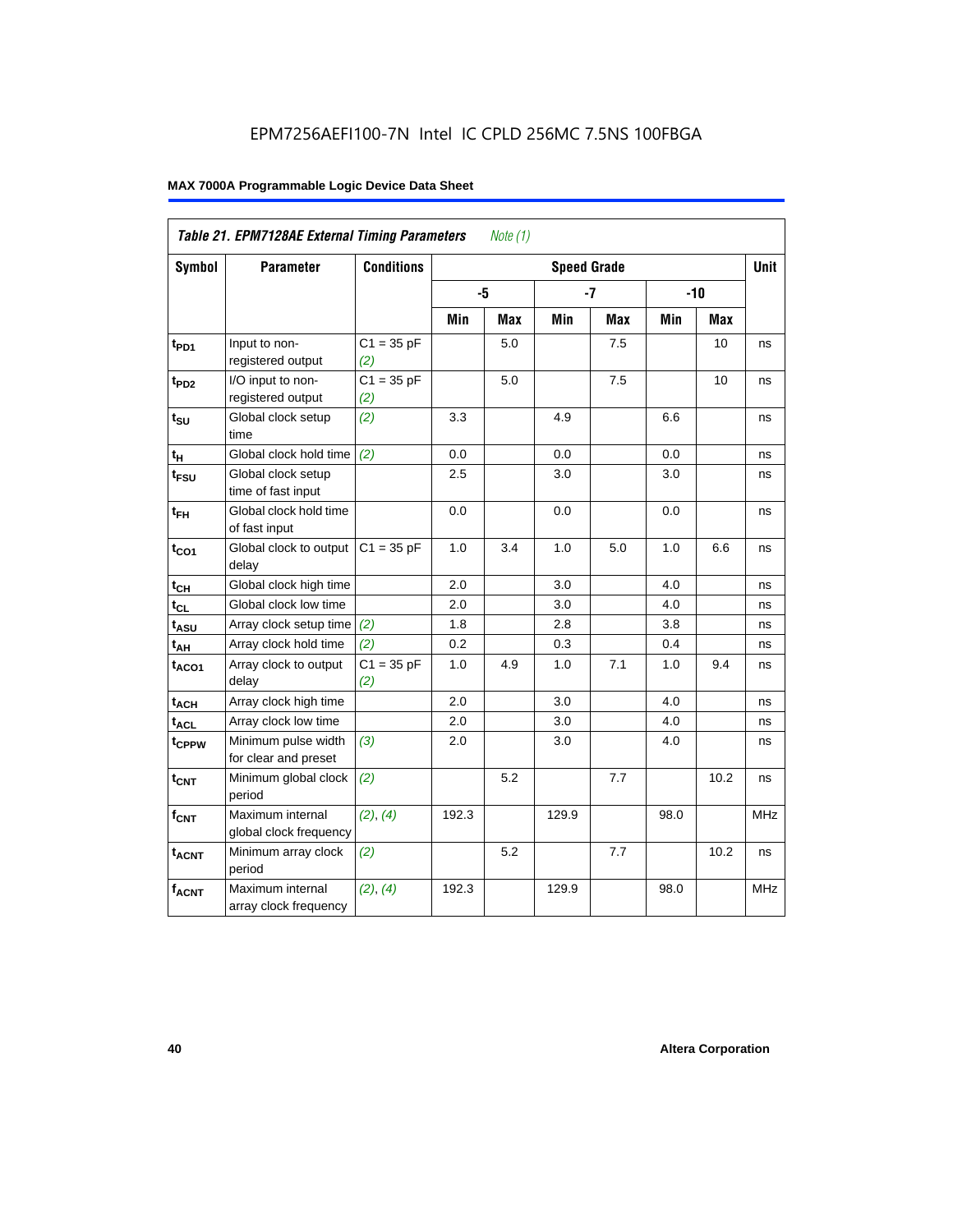| <b>Table 21. EPM7128AE External Timing Parameters</b><br>Note $(1)$ |                                             |                     |       |            |                    |            |            |            |            |  |
|---------------------------------------------------------------------|---------------------------------------------|---------------------|-------|------------|--------------------|------------|------------|------------|------------|--|
| Symbol                                                              | <b>Parameter</b>                            | <b>Conditions</b>   |       |            | <b>Speed Grade</b> |            |            |            | Unit       |  |
|                                                                     |                                             |                     | -5    |            |                    | $-7$       |            | $-10$      |            |  |
|                                                                     |                                             |                     | Min   | <b>Max</b> | Min                | <b>Max</b> | <b>Min</b> | <b>Max</b> |            |  |
| t <sub>PD1</sub>                                                    | Input to non-<br>registered output          | $C1 = 35 pF$<br>(2) |       | 5.0        |                    | 7.5        |            | 10         | ns         |  |
| t <sub>PD2</sub>                                                    | I/O input to non-<br>registered output      | $C1 = 35 pF$<br>(2) |       | 5.0        |                    | 7.5        |            | 10         | ns         |  |
| $t_{\text{SU}}$                                                     | Global clock setup<br>time                  | (2)                 | 3.3   |            | 4.9                |            | 6.6        |            | ns         |  |
| $t_H$                                                               | Global clock hold time                      | (2)                 | 0.0   |            | 0.0                |            | 0.0        |            | ns         |  |
| t <sub>FSU</sub>                                                    | Global clock setup<br>time of fast input    |                     | 2.5   |            | 3.0                |            | 3.0        |            | ns         |  |
| $t_{FH}$                                                            | Global clock hold time<br>of fast input     |                     | 0.0   |            | 0.0                |            | 0.0        |            | ns         |  |
| $t_{CO1}$                                                           | Global clock to output<br>delay             | $C1 = 35 pF$        | 1.0   | 3.4        | 1.0                | 5.0        | 1.0        | 6.6        | ns         |  |
| $t_{CH}$                                                            | Global clock high time                      |                     | 2.0   |            | 3.0                |            | 4.0        |            | ns         |  |
| $t_{CL}$                                                            | Global clock low time                       |                     | 2.0   |            | 3.0                |            | 4.0        |            | ns         |  |
| $t_{ASU}$                                                           | Array clock setup time                      | (2)                 | 1.8   |            | 2.8                |            | 3.8        |            | ns         |  |
| $t_{AH}$                                                            | Array clock hold time                       | (2)                 | 0.2   |            | 0.3                |            | 0.4        |            | ns         |  |
| $t_{ACO1}$                                                          | Array clock to output<br>delay              | $C1 = 35 pF$<br>(2) | 1.0   | 4.9        | 1.0                | 7.1        | 1.0        | 9.4        | ns         |  |
| $t_{ACH}$                                                           | Array clock high time                       |                     | 2.0   |            | 3.0                |            | 4.0        |            | ns         |  |
| t <sub>ACL</sub>                                                    | Array clock low time                        |                     | 2.0   |            | 3.0                |            | 4.0        |            | ns         |  |
| t <sub>CPPW</sub>                                                   | Minimum pulse width<br>for clear and preset | (3)                 | 2.0   |            | 3.0                |            | 4.0        |            | ns         |  |
| $t_{\text{CNT}}$                                                    | Minimum global clock<br>period              | (2)                 |       | 5.2        |                    | 7.7        |            | 10.2       | ns         |  |
| $f_{CNT}$                                                           | Maximum internal<br>global clock frequency  | (2), (4)            | 192.3 |            | 129.9              |            | 98.0       |            | <b>MHz</b> |  |
| $t_{ACNT}$                                                          | Minimum array clock<br>period               | (2)                 |       | 5.2        |                    | 7.7        |            | 10.2       | ns         |  |
| <b>fACNT</b>                                                        | Maximum internal<br>array clock frequency   | (2), (4)            | 192.3 |            | 129.9              |            | 98.0       |            | <b>MHz</b> |  |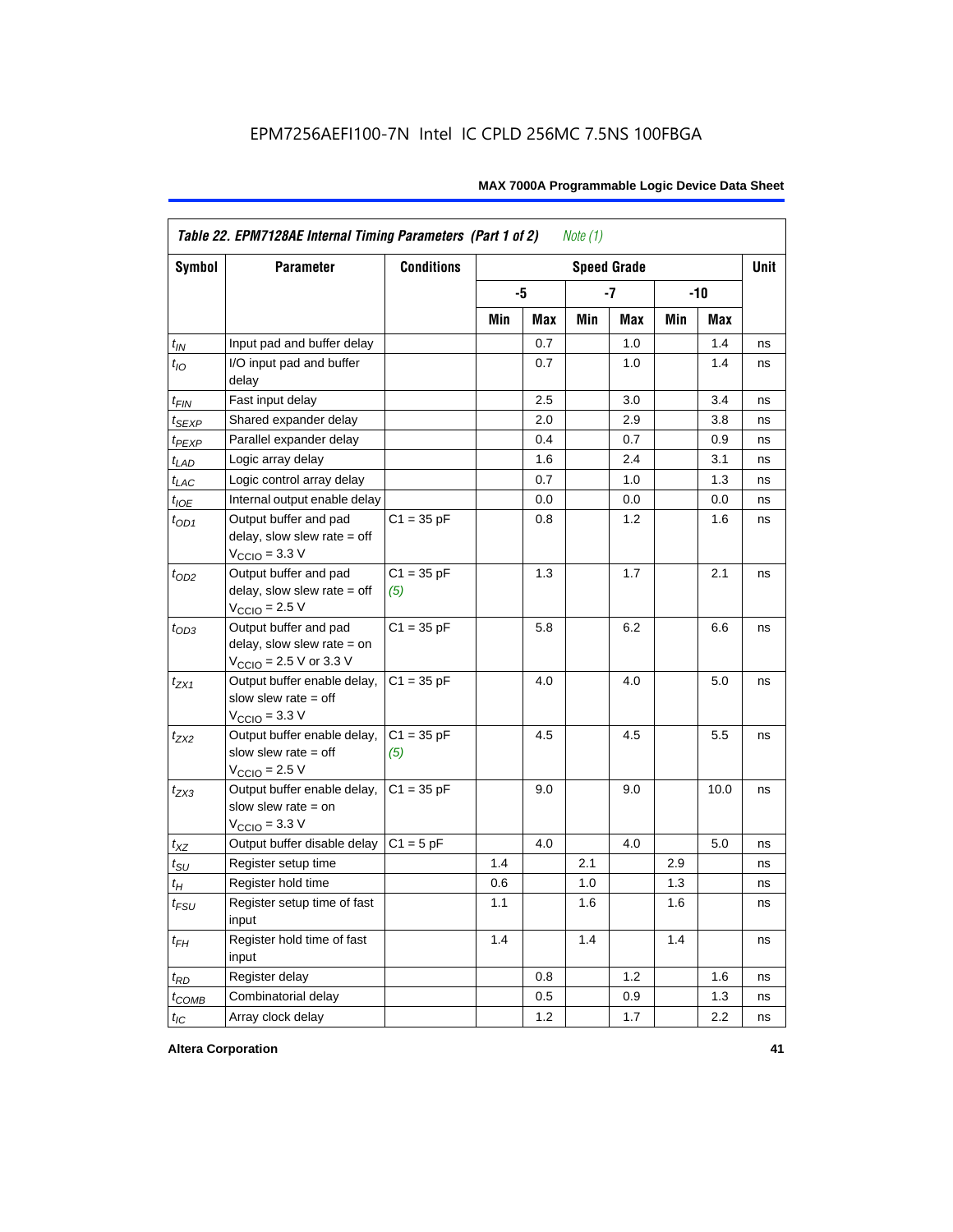|                    | Table 22. EPM7128AE Internal Timing Parameters (Part 1 of 2)<br>Note $(1)$                  |                     |     |     |     |                    |     |       |             |  |  |  |
|--------------------|---------------------------------------------------------------------------------------------|---------------------|-----|-----|-----|--------------------|-----|-------|-------------|--|--|--|
| Symbol             | <b>Parameter</b>                                                                            | <b>Conditions</b>   |     |     |     | <b>Speed Grade</b> |     |       | <b>Unit</b> |  |  |  |
|                    |                                                                                             |                     |     | -5  |     | $-7$               |     | $-10$ |             |  |  |  |
|                    |                                                                                             |                     | Min | Max | Min | Max                | Min | Max   |             |  |  |  |
| $t_{IN}$           | Input pad and buffer delay                                                                  |                     |     | 0.7 |     | 1.0                |     | 1.4   | ns          |  |  |  |
| $t_{IO}$           | I/O input pad and buffer<br>delay                                                           |                     |     | 0.7 |     | $1.0\,$            |     | 1.4   | ns          |  |  |  |
| $t_{\mathsf{FIN}}$ | Fast input delay                                                                            |                     |     | 2.5 |     | 3.0                |     | 3.4   | ns          |  |  |  |
| $t_{SEXP}$         | Shared expander delay                                                                       |                     |     | 2.0 |     | 2.9                |     | 3.8   | ns          |  |  |  |
| $t_{PEXP}$         | Parallel expander delay                                                                     |                     |     | 0.4 |     | 0.7                |     | 0.9   | ns          |  |  |  |
| $t_{LAD}$          | Logic array delay                                                                           |                     |     | 1.6 |     | 2.4                |     | 3.1   | ns          |  |  |  |
| $t_{LAC}$          | Logic control array delay                                                                   |                     |     | 0.7 |     | 1.0                |     | 1.3   | ns          |  |  |  |
| $t_{IOE}$          | Internal output enable delay                                                                |                     |     | 0.0 |     | 0.0                |     | 0.0   | ns          |  |  |  |
| $t_{OD1}$          | Output buffer and pad<br>delay, slow slew rate $=$ off<br>$V_{\text{CCIO}} = 3.3 \text{ V}$ | $C1 = 35 pF$        |     | 0.8 |     | 1.2                |     | 1.6   | ns          |  |  |  |
| $t_{OD2}$          | Output buffer and pad<br>delay, slow slew rate $=$ off<br>$V_{\text{CCIO}}$ = 2.5 V         | $C1 = 35 pF$<br>(5) |     | 1.3 |     | 1.7                |     | 2.1   | ns          |  |  |  |
| $t_{OD3}$          | Output buffer and pad<br>delay, slow slew rate $=$ on<br>$V_{\text{CCIO}}$ = 2.5 V or 3.3 V | $C1 = 35 pF$        |     | 5.8 |     | 6.2                |     | 6.6   | ns          |  |  |  |
| $t_{ZX1}$          | Output buffer enable delay,<br>slow slew rate $=$ off<br>$V_{\text{CCIO}} = 3.3 \text{ V}$  | $C1 = 35 pF$        |     | 4.0 |     | 4.0                |     | 5.0   | ns          |  |  |  |
| $t_{7X2}$          | Output buffer enable delay,<br>slow slew rate $=$ off<br>$V_{\text{CCIO}} = 2.5 V$          | $C1 = 35 pF$<br>(5) |     | 4.5 |     | 4.5                |     | 5.5   | ns          |  |  |  |
| $t_{ZX3}$          | Output buffer enable delay,<br>slow slew rate $=$ on<br>$V_{\text{CCIO}} = 3.3 \text{ V}$   | $C1 = 35 pF$        |     | 9.0 |     | 9.0                |     | 10.0  | ns          |  |  |  |
| $t_{XZ}$           | Output buffer disable delay                                                                 | $C1 = 5pF$          |     | 4.0 |     | 4.0                |     | 5.0   | ns          |  |  |  |
| $t_{\text{SU}}$    | Register setup time                                                                         |                     | 1.4 |     | 2.1 |                    | 2.9 |       | ns          |  |  |  |
| $t_H$              | Register hold time                                                                          |                     | 0.6 |     | 1.0 |                    | 1.3 |       | ns          |  |  |  |
| $t_{FSU}$          | Register setup time of fast<br>input                                                        |                     | 1.1 |     | 1.6 |                    | 1.6 |       | ns          |  |  |  |
| $t_{FH}$           | Register hold time of fast<br>input                                                         |                     | 1.4 |     | 1.4 |                    | 1.4 |       | ns          |  |  |  |
| $t_{RD}$           | Register delay                                                                              |                     |     | 0.8 |     | 1.2                |     | 1.6   | ns          |  |  |  |
| $t_{COMB}$         | Combinatorial delay                                                                         |                     |     | 0.5 |     | 0.9                |     | 1.3   | ns          |  |  |  |
| $t_{IC}$           | Array clock delay                                                                           |                     |     | 1.2 |     | 1.7                |     | 2.2   | ns          |  |  |  |

**Altera Corporation 41**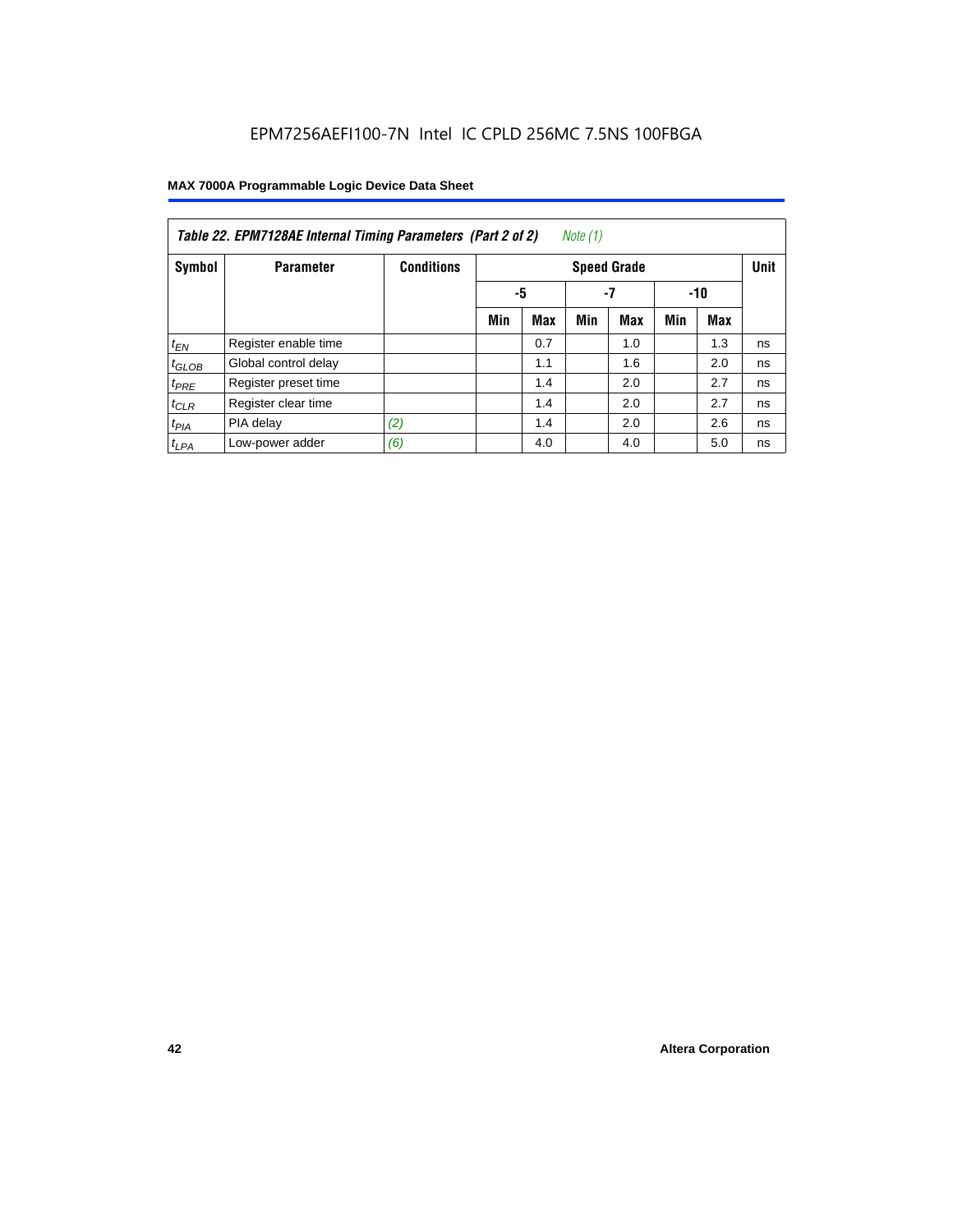| Note (1)<br>Table 22. EPM7128AE Internal Timing Parameters (Part 2 of 2) |                      |                   |     |                 |     |                    |     |            |             |  |  |
|--------------------------------------------------------------------------|----------------------|-------------------|-----|-----------------|-----|--------------------|-----|------------|-------------|--|--|
| Symbol                                                                   | <b>Parameter</b>     | <b>Conditions</b> |     |                 |     | <b>Speed Grade</b> |     |            | <b>Unit</b> |  |  |
|                                                                          |                      |                   |     | -5<br>-7<br>-10 |     |                    |     |            |             |  |  |
|                                                                          |                      |                   | Min | <b>Max</b>      | Min | <b>Max</b>         | Min | <b>Max</b> |             |  |  |
| $t_{EN}$                                                                 | Register enable time |                   |     | 0.7             |     | 1.0                |     | 1.3        | ns          |  |  |
| $t_{GLOB}$                                                               | Global control delay |                   |     | 1.1             |     | 1.6                |     | 2.0        | ns          |  |  |
| $t_{PRE}$                                                                | Register preset time |                   |     | 1.4             |     | 2.0                |     | 2.7        | ns          |  |  |
| $t_{CLR}$                                                                | Register clear time  |                   |     | 1.4             |     | 2.0                |     | 2.7        | ns          |  |  |
| $t_{PIA}$                                                                | PIA delay            | (2)               |     | 1.4             |     | 2.0                |     | 2.6        | ns          |  |  |
| $t_{LPA}$                                                                | Low-power adder      | (6)               |     | 4.0             |     | 4.0                |     | 5.0        | ns          |  |  |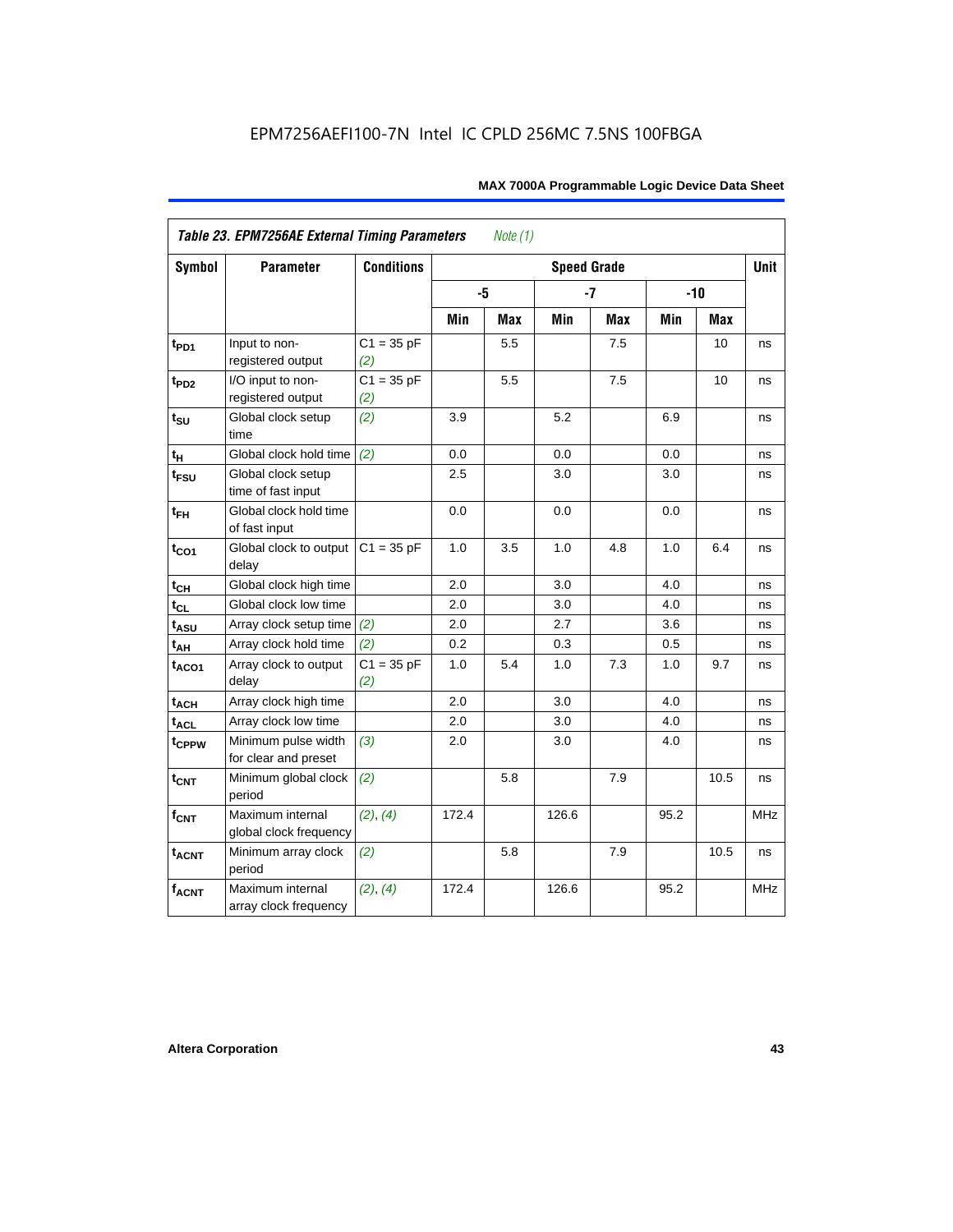| <b>Symbol</b>               | <b>Parameter</b>                            | <b>Conditions</b>   |       |     | <b>Speed Grade</b> |            |      |       | <b>Unit</b> |
|-----------------------------|---------------------------------------------|---------------------|-------|-----|--------------------|------------|------|-------|-------------|
|                             |                                             |                     | -5    |     |                    | $-7$       |      | $-10$ |             |
|                             |                                             |                     | Min   | Max | Min                | <b>Max</b> | Min  | Max   |             |
| $t_{PD1}$                   | Input to non-<br>registered output          | $C1 = 35 pF$<br>(2) |       | 5.5 |                    | 7.5        |      | 10    | ns          |
| $t_{PD2}$                   | I/O input to non-<br>registered output      | $C1 = 35 pF$<br>(2) |       | 5.5 |                    | 7.5        |      | 10    | ns          |
| $t_{\scriptstyle\text{SU}}$ | Global clock setup<br>time                  | (2)                 | 3.9   |     | 5.2                |            | 6.9  |       | ns          |
| $t_H$                       | Global clock hold time                      | (2)                 | 0.0   |     | 0.0                |            | 0.0  |       | ns          |
| t <sub>FSU</sub>            | Global clock setup<br>time of fast input    |                     | 2.5   |     | 3.0                |            | 3.0  |       | ns          |
| $t_{FH}$                    | Global clock hold time<br>of fast input     |                     | 0.0   |     | 0.0                |            | 0.0  |       | ns          |
| $t_{CO1}$                   | Global clock to output<br>delay             | $C1 = 35 pF$        | 1.0   | 3.5 | 1.0                | 4.8        | 1.0  | 6.4   | ns          |
| $t_{CH}$                    | Global clock high time                      |                     | 2.0   |     | 3.0                |            | 4.0  |       | ns          |
| $t_{CL}$                    | Global clock low time                       |                     | 2.0   |     | 3.0                |            | 4.0  |       | ns          |
| t <sub>ASU</sub>            | Array clock setup time                      | (2)                 | 2.0   |     | 2.7                |            | 3.6  |       | ns          |
| $t_{AH}$                    | Array clock hold time                       | (2)                 | 0.2   |     | 0.3                |            | 0.5  |       | ns          |
| t <sub>ACO1</sub>           | Array clock to output<br>delay              | $C1 = 35 pF$<br>(2) | 1.0   | 5.4 | 1.0                | 7.3        | 1.0  | 9.7   | ns          |
| $t_{ACH}$                   | Array clock high time                       |                     | 2.0   |     | 3.0                |            | 4.0  |       | ns          |
| t <sub>ACL</sub>            | Array clock low time                        |                     | 2.0   |     | 3.0                |            | 4.0  |       | ns          |
| t <sub>CPPW</sub>           | Minimum pulse width<br>for clear and preset | (3)                 | 2.0   |     | 3.0                |            | 4.0  |       | ns          |
| $t_{\text{CNT}}$            | Minimum global clock<br>period              | (2)                 |       | 5.8 |                    | 7.9        |      | 10.5  | ns          |
| $f_{CNT}$                   | Maximum internal<br>global clock frequency  | (2), (4)            | 172.4 |     | 126.6              |            | 95.2 |       | <b>MHz</b>  |
| $t_{ACNT}$                  | Minimum array clock<br>period               | (2)                 |       | 5.8 |                    | 7.9        |      | 10.5  | ns          |
| <b>fACNT</b>                | Maximum internal<br>array clock frequency   | (2), (4)            | 172.4 |     | 126.6              |            | 95.2 |       | <b>MHz</b>  |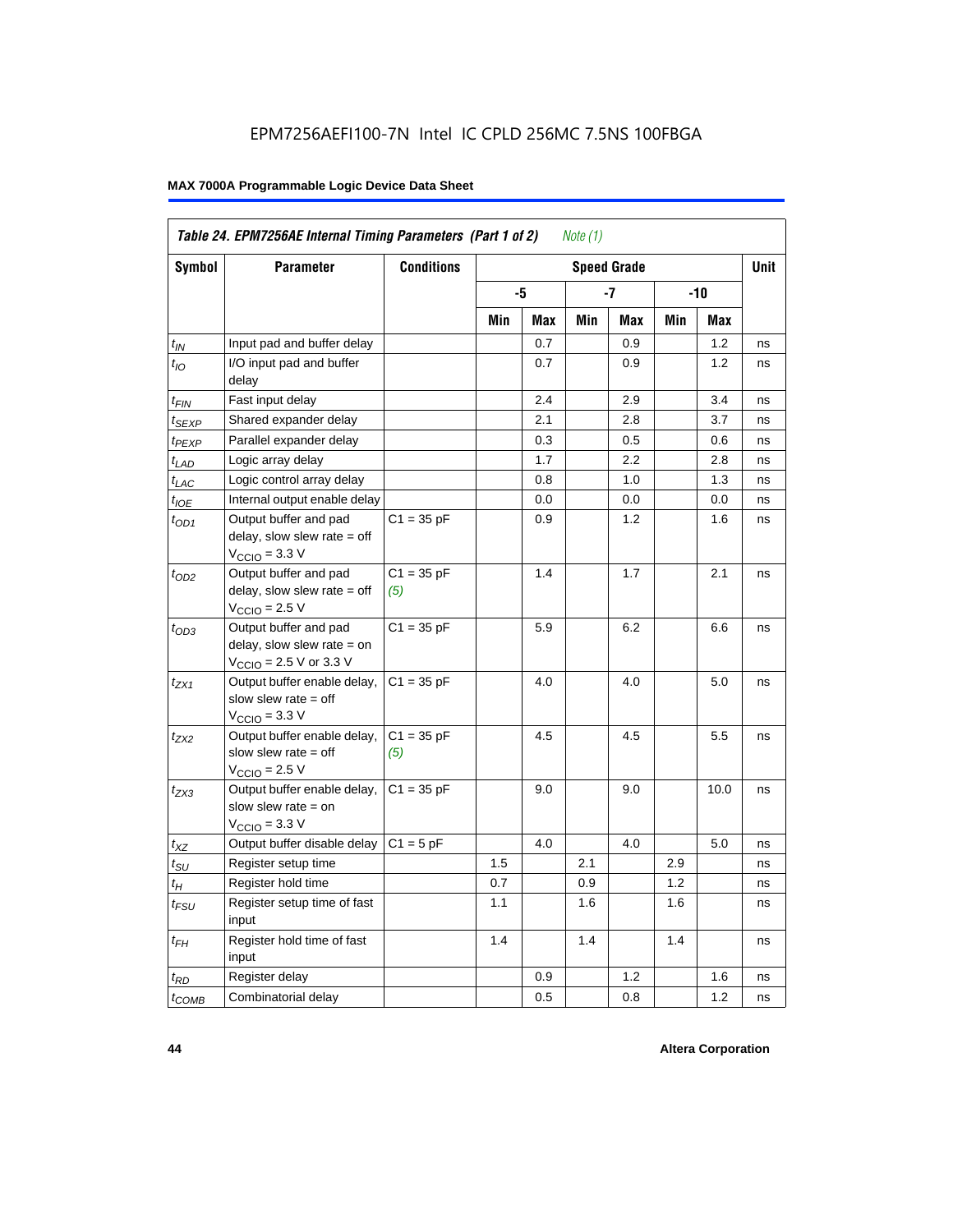| Symbol                      | <b>Parameter</b>                                                                                             | <b>Conditions</b>   |     |     |     | <b>Speed Grade</b> |     |      | <b>Unit</b> |
|-----------------------------|--------------------------------------------------------------------------------------------------------------|---------------------|-----|-----|-----|--------------------|-----|------|-------------|
|                             |                                                                                                              |                     |     | -5  |     | -7                 |     | -10  |             |
|                             |                                                                                                              |                     | Min | Max | Min | Max                | Min | Max  |             |
| $t_{IN}$                    | Input pad and buffer delay                                                                                   |                     |     | 0.7 |     | 0.9                |     | 1.2  | ns          |
| $t_{IO}$                    | I/O input pad and buffer<br>delay                                                                            |                     |     | 0.7 |     | 0.9                |     | 1.2  | ns          |
| t <sub>FIN</sub>            | Fast input delay                                                                                             |                     |     | 2.4 |     | 2.9                |     | 3.4  | ns          |
| $t_{SEXP}$                  | Shared expander delay                                                                                        |                     |     | 2.1 |     | 2.8                |     | 3.7  | ns          |
| t <sub>PEXP</sub>           | Parallel expander delay                                                                                      |                     |     | 0.3 |     | 0.5                |     | 0.6  | ns          |
| $t_{LAD}$                   | Logic array delay                                                                                            |                     |     | 1.7 |     | 2.2                |     | 2.8  | ns          |
| $t_{LAC}$                   | Logic control array delay                                                                                    |                     |     | 0.8 |     | 1.0                |     | 1.3  | ns          |
| $t_{IOE}$                   | Internal output enable delay                                                                                 |                     |     | 0.0 |     | 0.0                |     | 0.0  | ns          |
| $t_{OD1}$                   | Output buffer and pad<br>delay, slow slew rate $=$ off<br>$V_{\text{CCIO}} = 3.3 \text{ V}$                  | $C1 = 35 pF$        |     | 0.9 |     | 1.2                |     | 1.6  | ns          |
| $t_{OD2}$                   | Output buffer and pad<br>delay, slow slew rate $=$ off<br>$V_{\text{CCIO}}$ = 2.5 V                          | $C1 = 35 pF$<br>(5) |     | 1.4 |     | 1.7                |     | 2.1  | ns          |
| $t_{OD3}$                   | Output buffer and pad<br>delay, slow slew rate $=$ on<br>$V_{\text{CCIO}} = 2.5 \text{ V or } 3.3 \text{ V}$ | $C1 = 35 pF$        |     | 5.9 |     | 6.2                |     | 6.6  | ns          |
| t <sub>ZX1</sub>            | Output buffer enable delay,<br>slow slew rate $=$ off<br>$V_{\text{CCIO}} = 3.3 \text{ V}$                   | $C1 = 35 pF$        |     | 4.0 |     | 4.0                |     | 5.0  | ns          |
| t <sub>ZX2</sub>            | Output buffer enable delay,<br>slow slew rate $=$ off<br>$V_{\text{CCIO}} = 2.5 V$                           | $C1 = 35 pF$<br>(5) |     | 4.5 |     | 4.5                |     | 5.5  | ns          |
| $t_{ZX3}$                   | Output buffer enable delay,<br>slow slew rate $=$ on<br>$VCCIO = 3.3 V$                                      | $C1 = 35 pF$        |     | 9.0 |     | 9.0                |     | 10.0 | ns          |
| $t_{XZ}$                    | Output buffer disable delay                                                                                  | $C1 = 5pF$          |     | 4.0 |     | 4.0                |     | 5.0  | ns          |
| $t_{\scriptstyle\text{SU}}$ | Register setup time                                                                                          |                     | 1.5 |     | 2.1 |                    | 2.9 |      | ns          |
| $t_H$                       | Register hold time                                                                                           |                     | 0.7 |     | 0.9 |                    | 1.2 |      | ns          |
| $t_{\it FSU}$               | Register setup time of fast<br>input                                                                         |                     | 1.1 |     | 1.6 |                    | 1.6 |      | ns          |
| $t_{FH}$                    | Register hold time of fast<br>input                                                                          |                     | 1.4 |     | 1.4 |                    | 1.4 |      | ns          |
| $t_{RD}$                    | Register delay                                                                                               |                     |     | 0.9 |     | 1.2                |     | 1.6  | ns          |
| $t_{\text{COMB}}$           | Combinatorial delay                                                                                          |                     |     | 0.5 |     | 0.8                |     | 1.2  | ns          |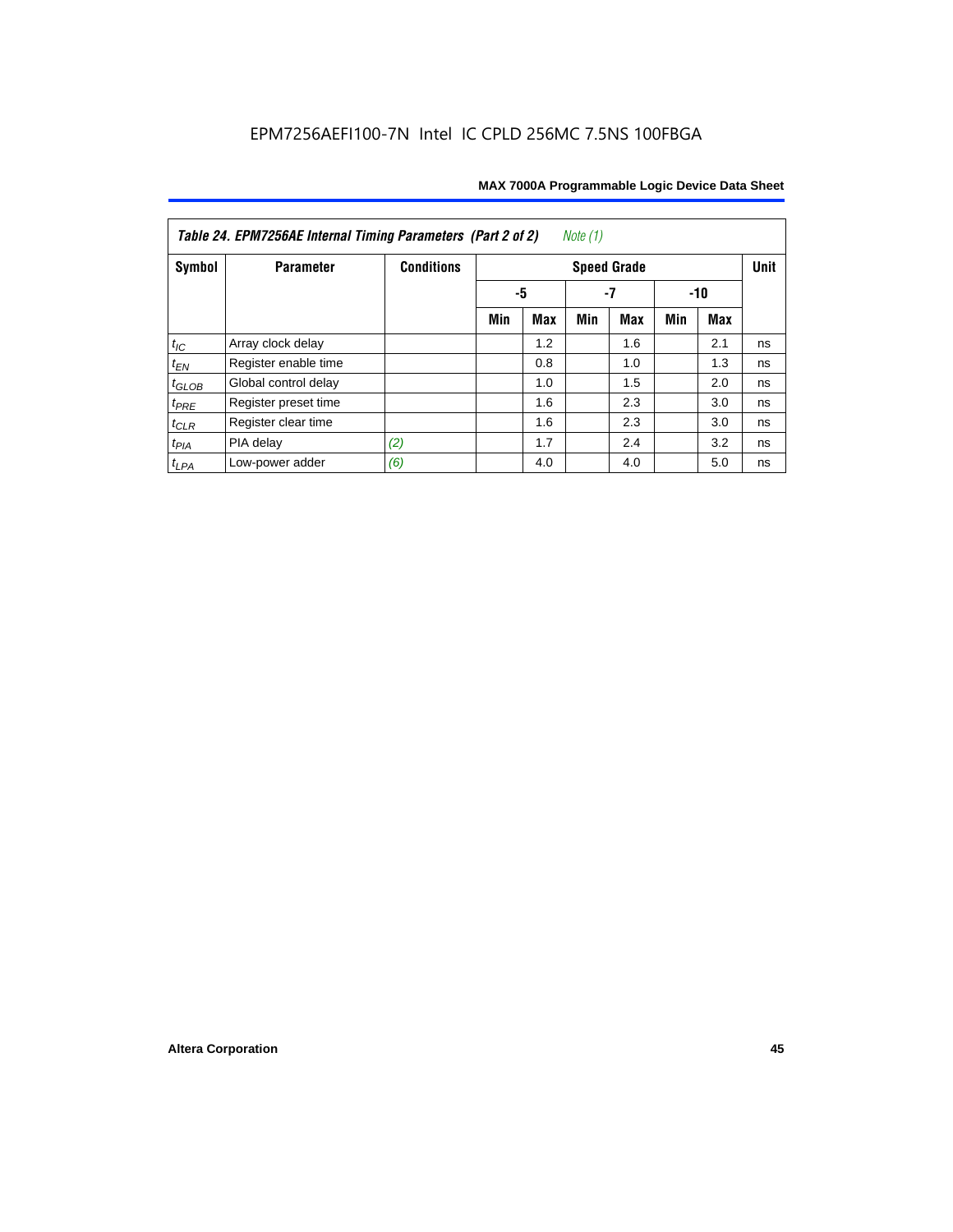| Table 24. EPM7256AE Internal Timing Parameters (Part 2 of 2)<br>Note (1) |                      |                   |                   |     |     |                    |     |     |             |  |
|--------------------------------------------------------------------------|----------------------|-------------------|-------------------|-----|-----|--------------------|-----|-----|-------------|--|
| Symbol                                                                   | <b>Parameter</b>     | <b>Conditions</b> |                   |     |     | <b>Speed Grade</b> |     |     | <b>Unit</b> |  |
|                                                                          |                      |                   | -5<br>-7<br>$-10$ |     |     |                    |     |     |             |  |
|                                                                          |                      |                   | Min               | Max | Min | Max                | Min | Max |             |  |
| $t_{\mathit{IC}}$                                                        | Array clock delay    |                   |                   | 1.2 |     | 1.6                |     | 2.1 | ns          |  |
| $t_{EN}$                                                                 | Register enable time |                   |                   | 0.8 |     | 1.0                |     | 1.3 | ns          |  |
| $t_{GLOB}$                                                               | Global control delay |                   |                   | 1.0 |     | 1.5                |     | 2.0 | ns          |  |
| $t_{PRE}$                                                                | Register preset time |                   |                   | 1.6 |     | 2.3                |     | 3.0 | ns          |  |
| $t_{CLR}$                                                                | Register clear time  |                   |                   | 1.6 |     | 2.3                |     | 3.0 | ns          |  |
| $t_{PIA}$                                                                | PIA delay            | (2)               |                   | 1.7 |     | 2.4                |     | 3.2 | ns          |  |
| $t_{LPA}$                                                                | Low-power adder      | (6)               |                   | 4.0 |     | 4.0                |     | 5.0 | ns          |  |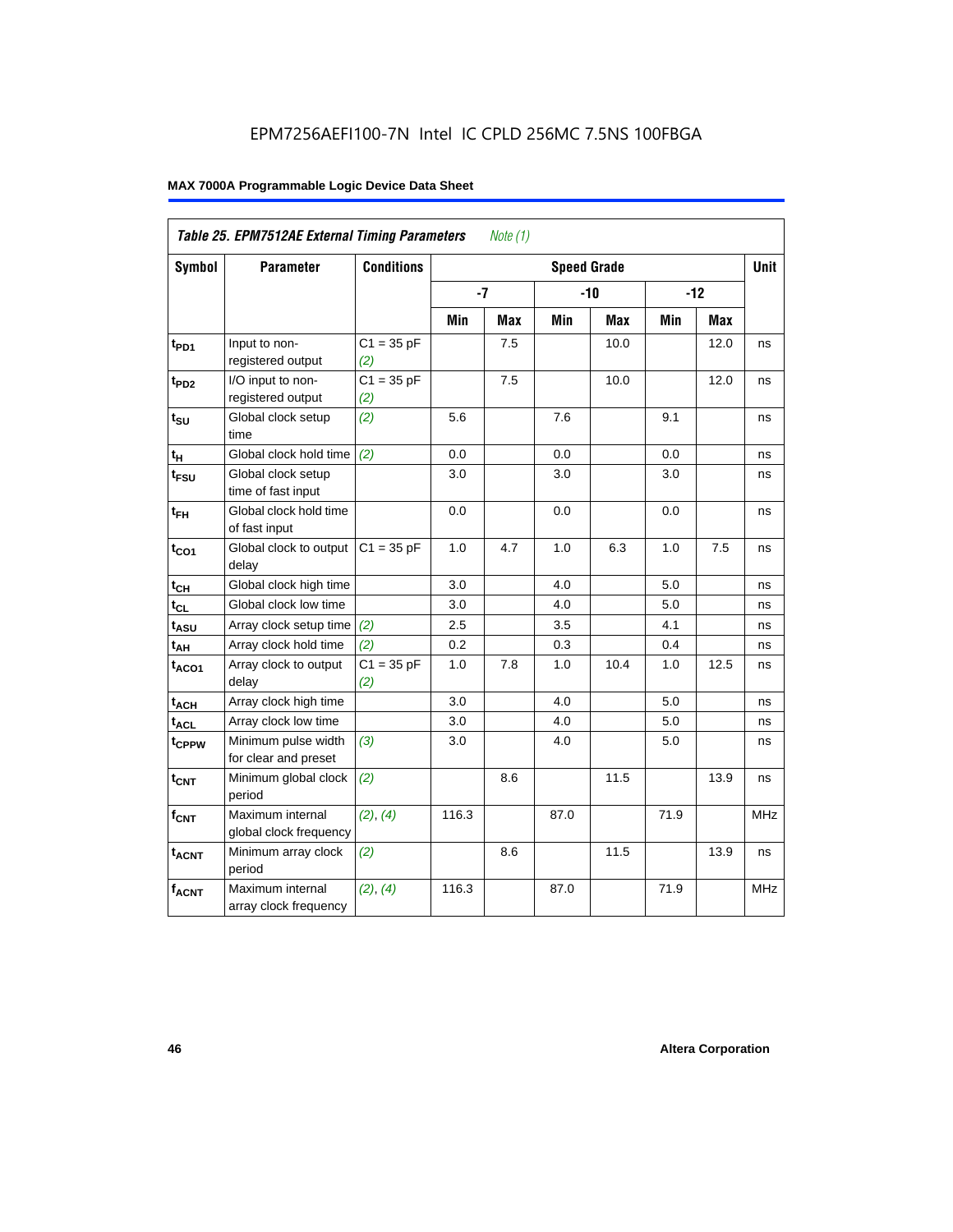| Table 25. EPM7512AE External Timing Parameters<br>Note $(1)$ |                                             |                     |       |            |                    |            |      |            |             |  |
|--------------------------------------------------------------|---------------------------------------------|---------------------|-------|------------|--------------------|------------|------|------------|-------------|--|
| Symbol                                                       | <b>Parameter</b>                            | <b>Conditions</b>   |       |            | <b>Speed Grade</b> |            |      |            | <b>Unit</b> |  |
|                                                              |                                             |                     | $-7$  |            |                    | $-10$      |      | $-12$      |             |  |
|                                                              |                                             |                     | Min   | <b>Max</b> | Min                | <b>Max</b> | Min  | <b>Max</b> |             |  |
| t <sub>PD1</sub>                                             | Input to non-<br>registered output          | $C1 = 35 pF$<br>(2) |       | 7.5        |                    | 10.0       |      | 12.0       | ns          |  |
| t <sub>PD2</sub>                                             | I/O input to non-<br>registered output      | $C1 = 35 pF$<br>(2) |       | 7.5        |                    | 10.0       |      | 12.0       | ns          |  |
| $t_{\text{SU}}$                                              | Global clock setup<br>time                  | (2)                 | 5.6   |            | 7.6                |            | 9.1  |            | ns          |  |
| tμ                                                           | Global clock hold time                      | (2)                 | 0.0   |            | 0.0                |            | 0.0  |            | ns          |  |
| t <sub>FSU</sub>                                             | Global clock setup<br>time of fast input    |                     | 3.0   |            | 3.0                |            | 3.0  |            | ns          |  |
| $t_{FH}$                                                     | Global clock hold time<br>of fast input     |                     | 0.0   |            | 0.0                |            | 0.0  |            | ns          |  |
| $t_{CO1}$                                                    | Global clock to output<br>delay             | $C1 = 35 pF$        | 1.0   | 4.7        | 1.0                | 6.3        | 1.0  | 7.5        | ns          |  |
| $t_{CH}$                                                     | Global clock high time                      |                     | 3.0   |            | 4.0                |            | 5.0  |            | ns          |  |
| $t_{CL}$                                                     | Global clock low time                       |                     | 3.0   |            | 4.0                |            | 5.0  |            | ns          |  |
| $t_{ASU}$                                                    | Array clock setup time                      | (2)                 | 2.5   |            | 3.5                |            | 4.1  |            | ns          |  |
| $t_{AH}$                                                     | Array clock hold time                       | (2)                 | 0.2   |            | 0.3                |            | 0.4  |            | ns          |  |
| $t_{ACO1}$                                                   | Array clock to output<br>delay              | $C1 = 35 pF$<br>(2) | 1.0   | 7.8        | 1.0                | 10.4       | 1.0  | 12.5       | ns          |  |
| $t_{ACH}$                                                    | Array clock high time                       |                     | 3.0   |            | 4.0                |            | 5.0  |            | ns          |  |
| $t_{\text{ACL}}$                                             | Array clock low time                        |                     | 3.0   |            | 4.0                |            | 5.0  |            | ns          |  |
| t <sub>CPPW</sub>                                            | Minimum pulse width<br>for clear and preset | (3)                 | 3.0   |            | 4.0                |            | 5.0  |            | ns          |  |
| t <sub>CNT</sub>                                             | Minimum global clock<br>period              | (2)                 |       | 8.6        |                    | 11.5       |      | 13.9       | ns          |  |
| $f_{CNT}$                                                    | Maximum internal<br>global clock frequency  | (2), (4)            | 116.3 |            | 87.0               |            | 71.9 |            | <b>MHz</b>  |  |
| $t_{ACNT}$                                                   | Minimum array clock<br>period               | (2)                 |       | 8.6        |                    | 11.5       |      | 13.9       | ns          |  |
| <b>fACNT</b>                                                 | Maximum internal<br>array clock frequency   | (2), (4)            | 116.3 |            | 87.0               |            | 71.9 |            | <b>MHz</b>  |  |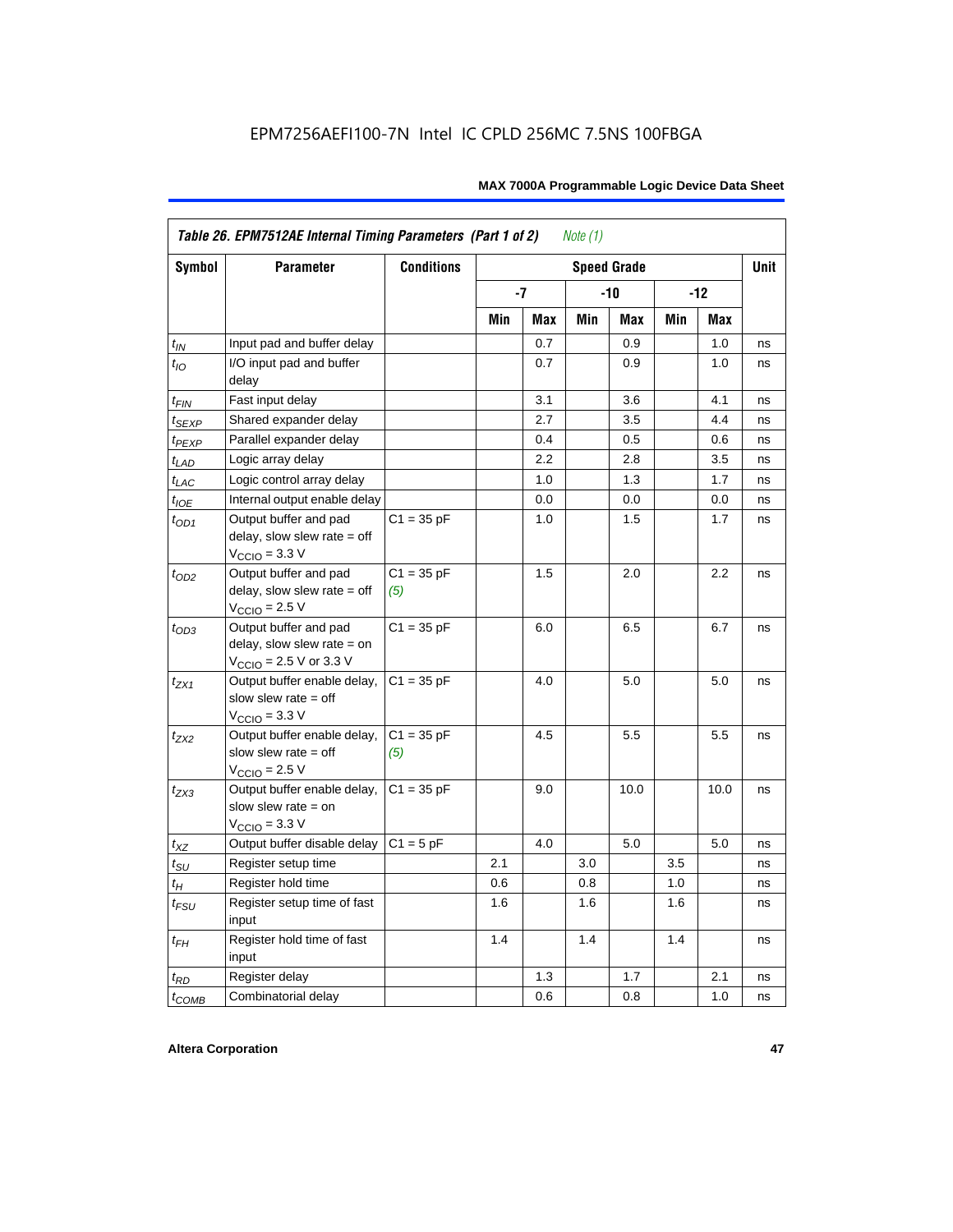|                    | Table 26. EPM7512AE Internal Timing Parameters (Part 1 of 2)<br>Note $(1)$                                   |                     |     |     |     |                    |     |       |             |  |  |
|--------------------|--------------------------------------------------------------------------------------------------------------|---------------------|-----|-----|-----|--------------------|-----|-------|-------------|--|--|
| Symbol             | <b>Parameter</b>                                                                                             | <b>Conditions</b>   |     |     |     | <b>Speed Grade</b> |     |       | <b>Unit</b> |  |  |
|                    |                                                                                                              |                     |     | -7  |     | -10                |     | $-12$ |             |  |  |
|                    |                                                                                                              |                     | Min | Max | Min | Max                | Min | Max   |             |  |  |
| $t_{IN}$           | Input pad and buffer delay                                                                                   |                     |     | 0.7 |     | 0.9                |     | 1.0   | ns          |  |  |
| $t_{IO}$           | I/O input pad and buffer<br>delay                                                                            |                     |     | 0.7 |     | 0.9                |     | 1.0   | ns          |  |  |
| $t_{\sf FIN}$      | Fast input delay                                                                                             |                     |     | 3.1 |     | 3.6                |     | 4.1   | ns          |  |  |
| $t_{SEXP}$         | Shared expander delay                                                                                        |                     |     | 2.7 |     | 3.5                |     | 4.4   | ns          |  |  |
| t <sub>PEXP</sub>  | Parallel expander delay                                                                                      |                     |     | 0.4 |     | 0.5                |     | 0.6   | ns          |  |  |
| $t_{LAD}$          | Logic array delay                                                                                            |                     |     | 2.2 |     | 2.8                |     | 3.5   | ns          |  |  |
| $t_{LAC}$          | Logic control array delay                                                                                    |                     |     | 1.0 |     | 1.3                |     | 1.7   | ns          |  |  |
| $t_{IOE}$          | Internal output enable delay                                                                                 |                     |     | 0.0 |     | 0.0                |     | 0.0   | ns          |  |  |
| $t_{OD1}$          | Output buffer and pad<br>delay, slow slew rate $=$ off<br>$V_{\text{CCIO}} = 3.3 \text{ V}$                  | $C1 = 35 pF$        |     | 1.0 |     | 1.5                |     | 1.7   | ns          |  |  |
| $t_{OD2}$          | Output buffer and pad<br>delay, slow slew rate $=$ off<br>$V_{\text{CCIO}}$ = 2.5 V                          | $C1 = 35 pF$<br>(5) |     | 1.5 |     | 2.0                |     | 2.2   | ns          |  |  |
| $t_{OD3}$          | Output buffer and pad<br>delay, slow slew rate $=$ on<br>$V_{\text{CCIO}} = 2.5 \text{ V or } 3.3 \text{ V}$ | $C1 = 35 pF$        |     | 6.0 |     | 6.5                |     | 6.7   | ns          |  |  |
| $t_{ZX1}$          | Output buffer enable delay,<br>slow slew rate $=$ off<br>$V_{\text{CCIO}} = 3.3 \text{ V}$                   | $C1 = 35 pF$        |     | 4.0 |     | 5.0                |     | 5.0   | ns          |  |  |
| $t_{ZX2}$          | Output buffer enable delay,<br>slow slew rate $=$ off<br>$V_{\text{CCIO}}$ = 2.5 V                           | $C1 = 35 pF$<br>(5) |     | 4.5 |     | 5.5                |     | 5.5   | ns          |  |  |
| $t_{ZX3}$          | Output buffer enable delay,<br>slow slew rate $=$ on<br>$V_{\text{CCIO}} = 3.3 \text{ V}$                    | $C1 = 35 pF$        |     | 9.0 |     | 10.0               |     | 10.0  | ns          |  |  |
| $t_{\mathsf{XZ}}$  | Output buffer disable delay                                                                                  | $C1 = 5pF$          |     | 4.0 |     | 5.0                |     | 5.0   | ns          |  |  |
| $t_{\text{SU}}$    | Register setup time                                                                                          |                     | 2.1 |     | 3.0 |                    | 3.5 |       | ns          |  |  |
| $t_H$              | Register hold time                                                                                           |                     | 0.6 |     | 0.8 |                    | 1.0 |       | ns          |  |  |
| $t_{\mathit{FSU}}$ | Register setup time of fast<br>input                                                                         |                     | 1.6 |     | 1.6 |                    | 1.6 |       | ns          |  |  |
| $t_{FH}$           | Register hold time of fast<br>input                                                                          |                     | 1.4 |     | 1.4 |                    | 1.4 |       | ns          |  |  |
| $t_{RD}$           | Register delay                                                                                               |                     |     | 1.3 |     | 1.7                |     | 2.1   | ns          |  |  |
| $t_{COMB}$         | Combinatorial delay                                                                                          |                     |     | 0.6 |     | 0.8                |     | 1.0   | ns          |  |  |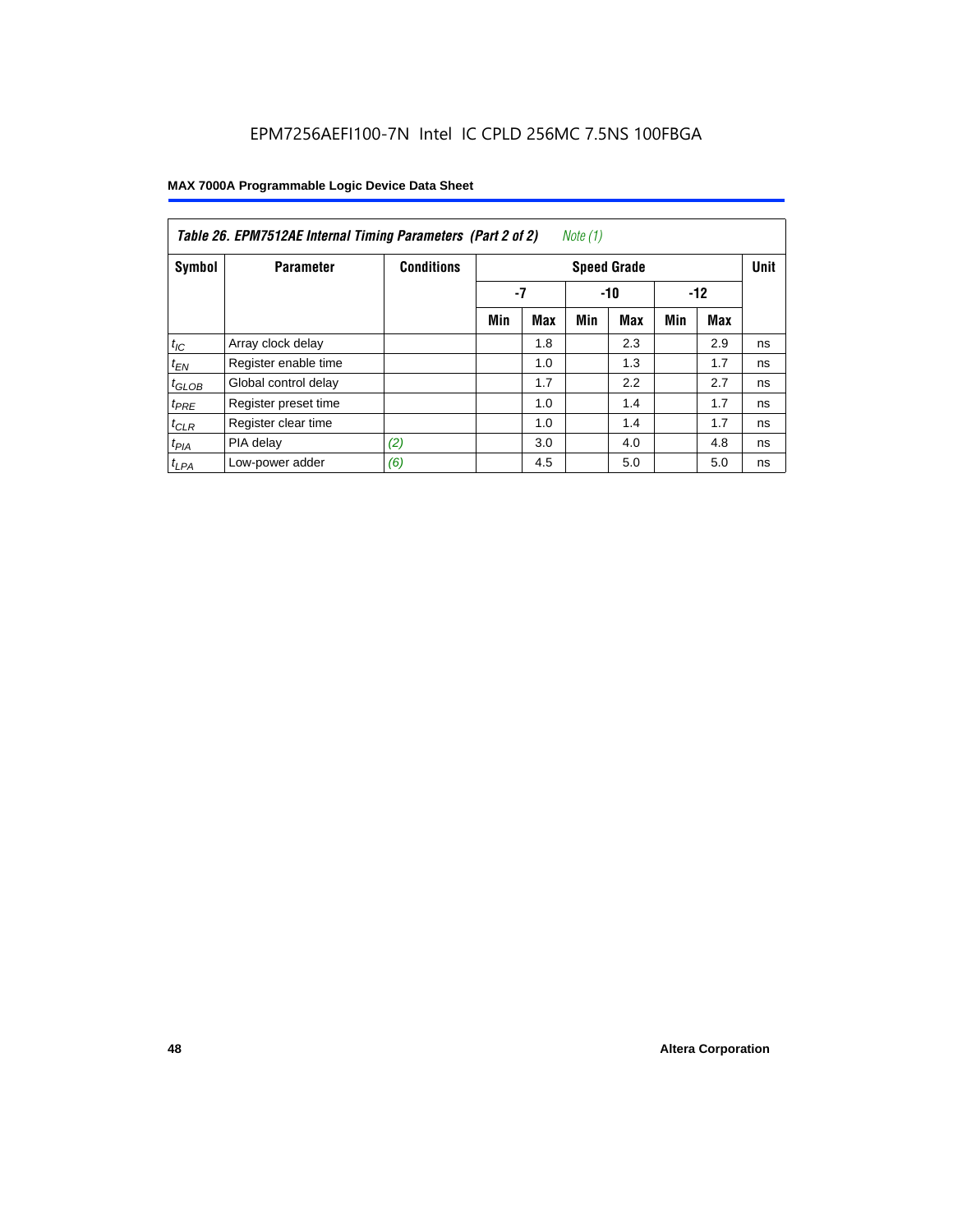| Table 26. EPM7512AE Internal Timing Parameters (Part 2 of 2)<br>Note (1) |                      |                   |                      |     |     |                    |     |     |             |  |  |
|--------------------------------------------------------------------------|----------------------|-------------------|----------------------|-----|-----|--------------------|-----|-----|-------------|--|--|
| Symbol                                                                   | <b>Parameter</b>     | <b>Conditions</b> |                      |     |     | <b>Speed Grade</b> |     |     | <b>Unit</b> |  |  |
|                                                                          |                      |                   | -7<br>$-12$<br>$-10$ |     |     |                    |     |     |             |  |  |
|                                                                          |                      |                   | Min                  | Max | Min | Max                | Min | Max |             |  |  |
| $t_{IC}$                                                                 | Array clock delay    |                   |                      | 1.8 |     | 2.3                |     | 2.9 | ns          |  |  |
| $t_{EN}$                                                                 | Register enable time |                   |                      | 1.0 |     | 1.3                |     | 1.7 | ns          |  |  |
| $t_{\text{GLOB}}$                                                        | Global control delay |                   |                      | 1.7 |     | 2.2                |     | 2.7 | ns          |  |  |
| $t_{PRE}$                                                                | Register preset time |                   |                      | 1.0 |     | 1.4                |     | 1.7 | ns          |  |  |
| $t_{CLR}$                                                                | Register clear time  |                   |                      | 1.0 |     | 1.4                |     | 1.7 | ns          |  |  |
| $t_{PIA}$                                                                | PIA delay            | (2)               |                      | 3.0 |     | 4.0                |     | 4.8 | ns          |  |  |
| $t_{LPA}$                                                                | Low-power adder      | (6)               |                      | 4.5 |     | 5.0                |     | 5.0 | ns          |  |  |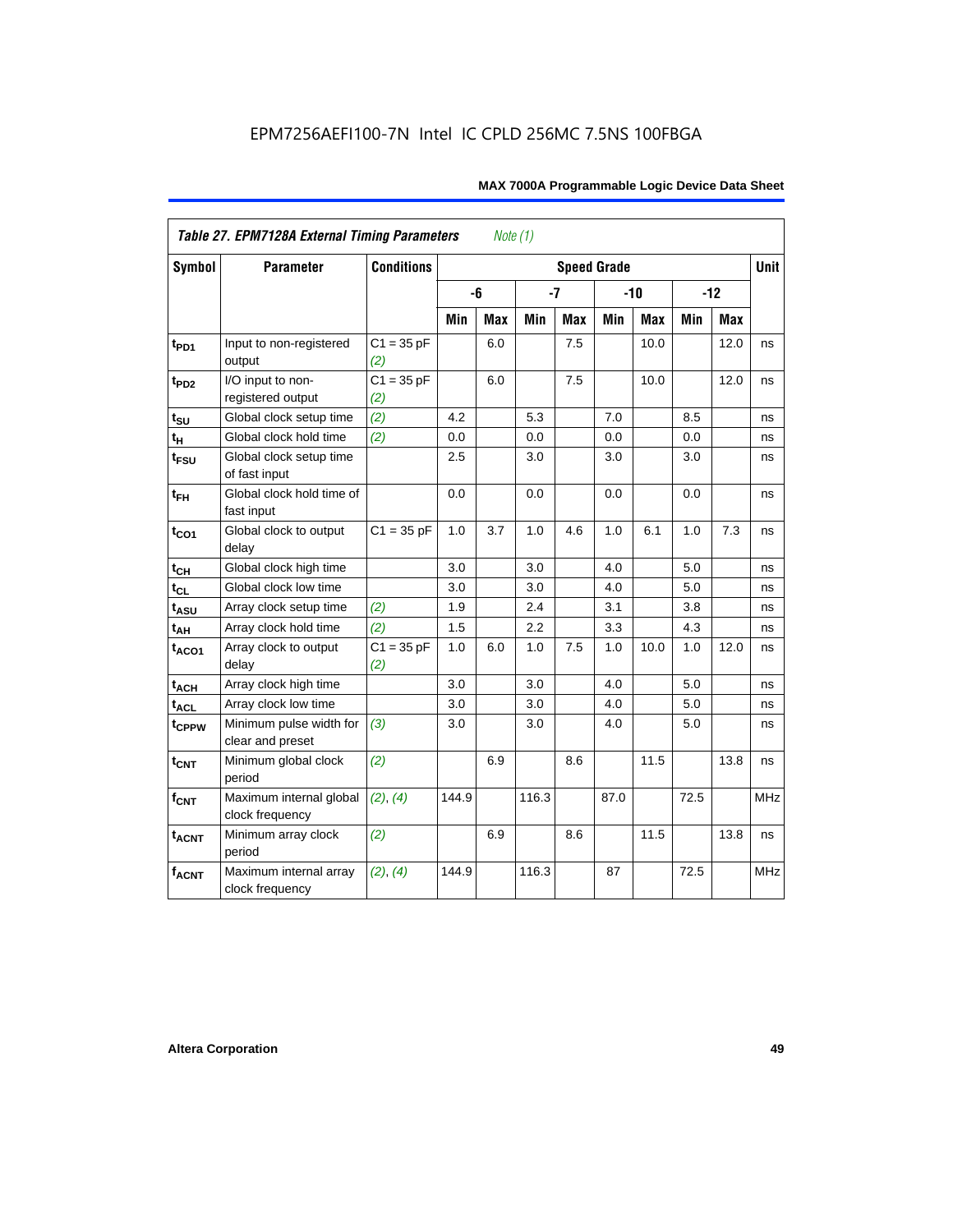| <b>Table 27. EPM7128A External Timing Parameters</b><br>Note (1) |                                             |                     |         |            |       |            |                    |            |      |            |             |
|------------------------------------------------------------------|---------------------------------------------|---------------------|---------|------------|-------|------------|--------------------|------------|------|------------|-------------|
| <b>Symbol</b>                                                    | <b>Parameter</b>                            | <b>Conditions</b>   |         |            |       |            | <b>Speed Grade</b> |            |      |            | <b>Unit</b> |
|                                                                  |                                             |                     |         | -6         | $-7$  |            |                    | $-10$      |      | $-12$      |             |
|                                                                  |                                             |                     | Min     | <b>Max</b> | Min   | <b>Max</b> | Min                | <b>Max</b> | Min  | <b>Max</b> |             |
| t <sub>PD1</sub>                                                 | Input to non-registered<br>output           | $C1 = 35 pF$<br>(2) |         | 6.0        |       | 7.5        |                    | 10.0       |      | 12.0       | ns          |
| $t_{PD2}$                                                        | I/O input to non-<br>registered output      | $C1 = 35 pF$<br>(2) |         | 6.0        |       | 7.5        |                    | 10.0       |      | 12.0       | ns          |
| $t_{\scriptstyle\textrm{SU}}$                                    | Global clock setup time                     | (2)                 | 4.2     |            | 5.3   |            | 7.0                |            | 8.5  |            | ns          |
| $t_H$                                                            | Global clock hold time                      | (2)                 | 0.0     |            | 0.0   |            | 0.0                |            | 0.0  |            | ns          |
| t <sub>FSU</sub>                                                 | Global clock setup time<br>of fast input    |                     | $2.5\,$ |            | 3.0   |            | 3.0                |            | 3.0  |            | ns          |
| $t_{FH}$                                                         | Global clock hold time of<br>fast input     |                     | 0.0     |            | 0.0   |            | 0.0                |            | 0.0  |            | ns          |
| $t_{CO1}$                                                        | Global clock to output<br>delay             | $C1 = 35 pF$        | 1.0     | 3.7        | 1.0   | 4.6        | 1.0                | 6.1        | 1.0  | 7.3        | ns          |
| $t_{CH}$                                                         | Global clock high time                      |                     | 3.0     |            | 3.0   |            | 4.0                |            | 5.0  |            | ns          |
| $t_{CL}$                                                         | Global clock low time                       |                     | 3.0     |            | 3.0   |            | 4.0                |            | 5.0  |            | ns          |
| t <sub>ASU</sub>                                                 | Array clock setup time                      | (2)                 | 1.9     |            | 2.4   |            | 3.1                |            | 3.8  |            | ns          |
| $t_{AH}$                                                         | Array clock hold time                       | (2)                 | 1.5     |            | 2.2   |            | 3.3                |            | 4.3  |            | ns          |
| t <sub>ACO1</sub>                                                | Array clock to output<br>delay              | $C1 = 35 pF$<br>(2) | 1.0     | 6.0        | 1.0   | 7.5        | 1.0                | 10.0       | 1.0  | 12.0       | ns          |
| $t_{ACH}$                                                        | Array clock high time                       |                     | 3.0     |            | 3.0   |            | 4.0                |            | 5.0  |            | ns          |
| t <sub>ACL</sub>                                                 | Array clock low time                        |                     | 3.0     |            | 3.0   |            | 4.0                |            | 5.0  |            | ns          |
| t <sub>CPPW</sub>                                                | Minimum pulse width for<br>clear and preset | (3)                 | 3.0     |            | 3.0   |            | 4.0                |            | 5.0  |            | ns          |
| $t_{\text{CNT}}$                                                 | Minimum global clock<br>period              | (2)                 |         | 6.9        |       | 8.6        |                    | 11.5       |      | 13.8       | ns          |
| $f_{\mathsf{CNT}}$                                               | Maximum internal global<br>clock frequency  | (2), (4)            | 144.9   |            | 116.3 |            | 87.0               |            | 72.5 |            | <b>MHz</b>  |
| <b>t<sub>ACNT</sub></b>                                          | Minimum array clock<br>period               | (2)                 |         | 6.9        |       | 8.6        |                    | 11.5       |      | 13.8       | ns          |
| <b>fACNT</b>                                                     | Maximum internal array<br>clock frequency   | (2), (4)            | 144.9   |            | 116.3 |            | 87                 |            | 72.5 |            | <b>MHz</b>  |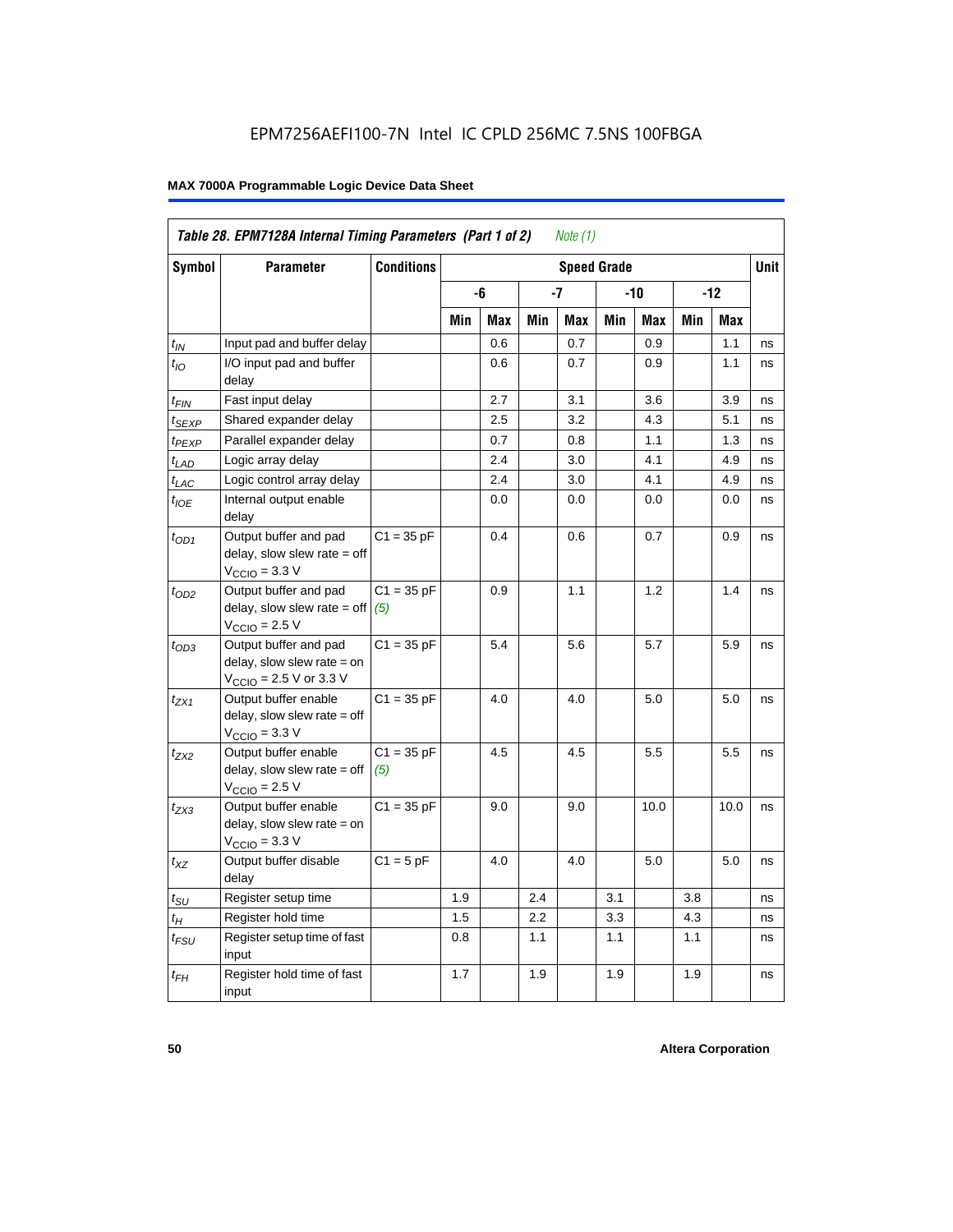|                             | Table 28. EPM7128A Internal Timing Parameters (Part 1 of 2)<br>Note (1)                                    |                     |                    |     |     |     |     |      |       |            |    |
|-----------------------------|------------------------------------------------------------------------------------------------------------|---------------------|--------------------|-----|-----|-----|-----|------|-------|------------|----|
| <b>Symbol</b>               | <b>Parameter</b>                                                                                           | <b>Conditions</b>   | <b>Speed Grade</b> |     |     |     |     |      |       |            |    |
|                             |                                                                                                            |                     |                    | -6  | -7  |     | -10 |      | $-12$ |            |    |
|                             |                                                                                                            |                     | Min                | Max | Min | Max | Min | Max  | Min   | <b>Max</b> |    |
| $t_{IN}$                    | Input pad and buffer delay                                                                                 |                     |                    | 0.6 |     | 0.7 |     | 0.9  |       | 1.1        | ns |
| $t_{IO}$                    | I/O input pad and buffer<br>delay                                                                          |                     |                    | 0.6 |     | 0.7 |     | 0.9  |       | 1.1        | ns |
| t <sub>FIN</sub>            | Fast input delay                                                                                           |                     |                    | 2.7 |     | 3.1 |     | 3.6  |       | 3.9        | ns |
| t <sub>SEXP</sub>           | Shared expander delay                                                                                      |                     |                    | 2.5 |     | 3.2 |     | 4.3  |       | 5.1        | ns |
| t <sub>PEXP</sub>           | Parallel expander delay                                                                                    |                     |                    | 0.7 |     | 0.8 |     | 1.1  |       | 1.3        | ns |
| $t_{LAD}$                   | Logic array delay                                                                                          |                     |                    | 2.4 |     | 3.0 |     | 4.1  |       | 4.9        | ns |
| $t_{LAC}$                   | Logic control array delay                                                                                  |                     |                    | 2.4 |     | 3.0 |     | 4.1  |       | 4.9        | ns |
| $t_{\text{IOE}}$            | Internal output enable<br>delay                                                                            |                     |                    | 0.0 |     | 0.0 |     | 0.0  |       | 0.0        | ns |
| $t_{OD1}$                   | Output buffer and pad<br>delay, slow slew rate = off<br>$VCCIO = 3.3 V$                                    | $C1 = 35 pF$        |                    | 0.4 |     | 0.6 |     | 0.7  |       | 0.9        | ns |
| $t_{OD2}$                   | Output buffer and pad<br>delay, slow slew rate = off<br>$VCCIO = 2.5 V$                                    | $C1 = 35 pF$<br>(5) |                    | 0.9 |     | 1.1 |     | 1.2  |       | 1.4        | ns |
| $t_{OD3}$                   | Output buffer and pad<br>delay, slow slew rate = on<br>$V_{\text{CCIO}} = 2.5 \text{ V or } 3.3 \text{ V}$ | $C1 = 35 pF$        |                    | 5.4 |     | 5.6 |     | 5.7  |       | 5.9        | ns |
| t <sub>ZX1</sub>            | Output buffer enable<br>$delay$ , slow slew rate = off<br>$VCCIO = 3.3 V$                                  | $C1 = 35 pF$        |                    | 4.0 |     | 4.0 |     | 5.0  |       | 5.0        | ns |
| $t_{ZX2}$                   | Output buffer enable<br>$delay$ , slow slew rate = off<br>$VCCIO = 2.5 V$                                  | $C1 = 35 pF$<br>(5) |                    | 4.5 |     | 4.5 |     | 5.5  |       | 5.5        | ns |
| t <sub>ZX3</sub>            | Output buffer enable<br>delay, slow slew rate = on<br>$VCCIO = 3.3 V$                                      | $C1 = 35 pF$        |                    | 9.0 |     | 9.0 |     | 10.0 |       | 10.0       | ns |
| $t_{XZ}$                    | Output buffer disable<br>delay                                                                             | $C1 = 5$ pF         |                    | 4.0 |     | 4.0 |     | 5.0  |       | 5.0        | ns |
| $t_{\scriptstyle\text{SU}}$ | Register setup time                                                                                        |                     | 1.9                |     | 2.4 |     | 3.1 |      | 3.8   |            | ns |
| $t_{\mathcal{H}}$           | Register hold time                                                                                         |                     | 1.5                |     | 2.2 |     | 3.3 |      | 4.3   |            | ns |
| $t_{\mathsf{FSU}}$          | Register setup time of fast<br>input                                                                       |                     | 0.8                |     | 1.1 |     | 1.1 |      | 1.1   |            | ns |
| $t_{FH}$                    | Register hold time of fast<br>input                                                                        |                     | 1.7                |     | 1.9 |     | 1.9 |      | 1.9   |            | ns |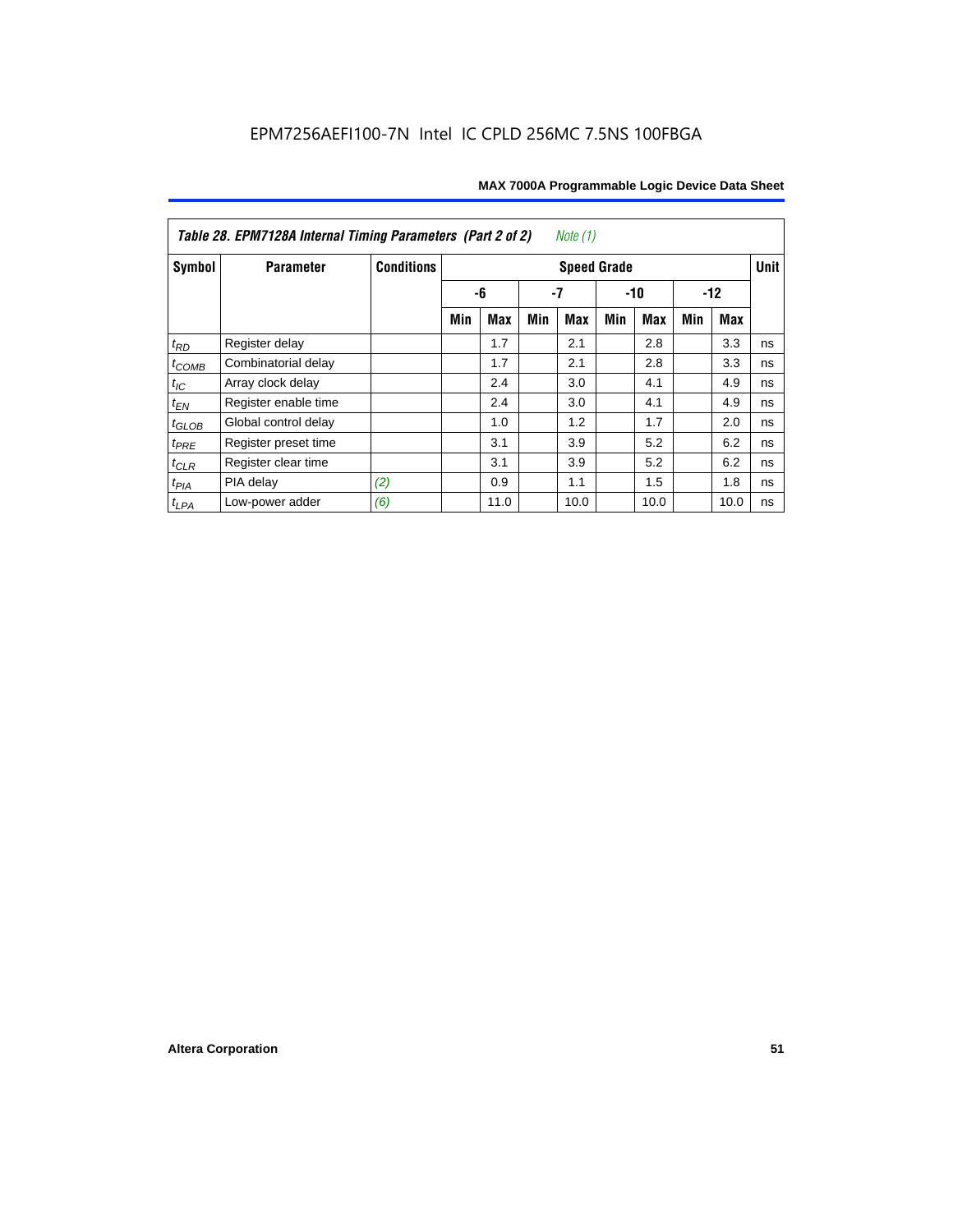| <i>Note</i> $(1)$<br>Table 28. EPM7128A Internal Timing Parameters (Part 2 of 2) |                      |                   |                    |      |     |            |       |            |       |      |    |
|----------------------------------------------------------------------------------|----------------------|-------------------|--------------------|------|-----|------------|-------|------------|-------|------|----|
| Symbol                                                                           | <b>Parameter</b>     | <b>Conditions</b> | <b>Speed Grade</b> |      |     |            |       |            |       |      |    |
|                                                                                  |                      |                   |                    | -6   | -7  |            | $-10$ |            | $-12$ |      |    |
|                                                                                  |                      |                   | Min                | Max  | Min | <b>Max</b> | Min   | <b>Max</b> | Min   | Max  |    |
| $t_{RD}$                                                                         | Register delay       |                   |                    | 1.7  |     | 2.1        |       | 2.8        |       | 3.3  | ns |
| $t_{COMB}$                                                                       | Combinatorial delay  |                   |                    | 1.7  |     | 2.1        |       | 2.8        |       | 3.3  | ns |
| $t_{IC}$                                                                         | Array clock delay    |                   |                    | 2.4  |     | 3.0        |       | 4.1        |       | 4.9  | ns |
| $t_{EN}$                                                                         | Register enable time |                   |                    | 2.4  |     | 3.0        |       | 4.1        |       | 4.9  | ns |
| $t_{\text{GLOB}}$                                                                | Global control delay |                   |                    | 1.0  |     | 1.2        |       | 1.7        |       | 2.0  | ns |
| $t_{PRE}$                                                                        | Register preset time |                   |                    | 3.1  |     | 3.9        |       | 5.2        |       | 6.2  | ns |
| $t_{CLR}$                                                                        | Register clear time  |                   |                    | 3.1  |     | 3.9        |       | 5.2        |       | 6.2  | ns |
| $t_{PIA}$                                                                        | PIA delay            | (2)               |                    | 0.9  |     | 1.1        |       | 1.5        |       | 1.8  | ns |
| $t_{LPA}$                                                                        | Low-power adder      | (6)               |                    | 11.0 |     | 10.0       |       | 10.0       |       | 10.0 | ns |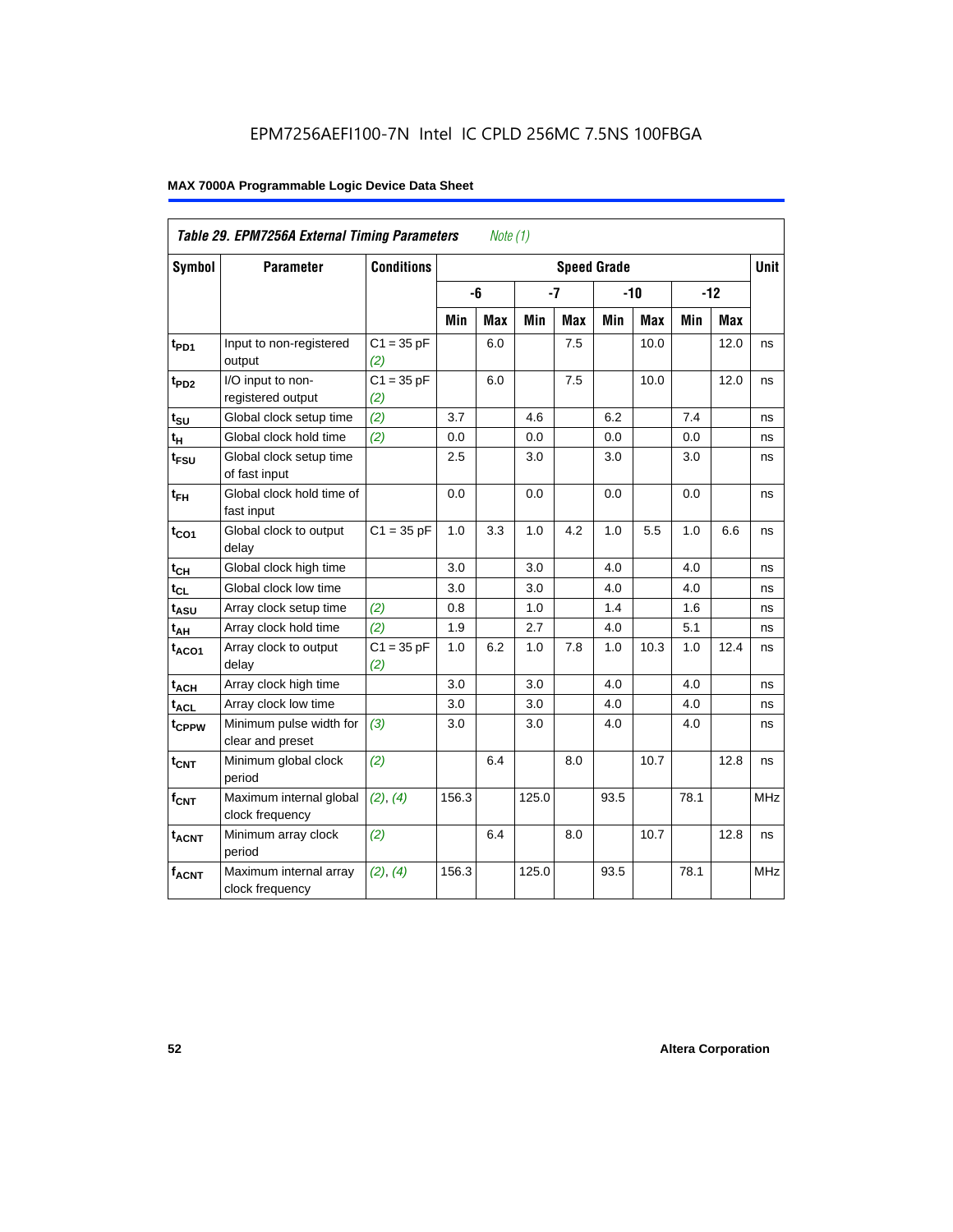| Table 29. EPM7256A External Timing Parameters<br>Note $(1)$ |                                             |                     |                    |            |       |            |       |      |       |             |            |
|-------------------------------------------------------------|---------------------------------------------|---------------------|--------------------|------------|-------|------------|-------|------|-------|-------------|------------|
| Symbol                                                      | <b>Parameter</b>                            | <b>Conditions</b>   | <b>Speed Grade</b> |            |       |            |       |      |       | <b>Unit</b> |            |
|                                                             |                                             |                     |                    | -6         |       | $-7$       | $-10$ |      | $-12$ |             |            |
|                                                             |                                             |                     | Min                | <b>Max</b> | Min   | <b>Max</b> | Min   | Max  | Min   | Max         |            |
| t <sub>PD1</sub>                                            | Input to non-registered<br>output           | $C1 = 35 pF$<br>(2) |                    | 6.0        |       | 7.5        |       | 10.0 |       | 12.0        | ns         |
| $t_{PD2}$                                                   | I/O input to non-<br>registered output      | $C1 = 35 pF$<br>(2) |                    | 6.0        |       | 7.5        |       | 10.0 |       | 12.0        | ns         |
| $t_{\text{SU}}$                                             | Global clock setup time                     | (2)                 | 3.7                |            | 4.6   |            | 6.2   |      | 7.4   |             | ns         |
| $t_H$                                                       | Global clock hold time                      | (2)                 | 0.0                |            | 0.0   |            | 0.0   |      | 0.0   |             | ns         |
| t <sub>FSU</sub>                                            | Global clock setup time<br>of fast input    |                     | 2.5                |            | 3.0   |            | 3.0   |      | 3.0   |             | ns         |
| $t_{FH}$                                                    | Global clock hold time of<br>fast input     |                     | 0.0                |            | 0.0   |            | 0.0   |      | 0.0   |             | ns         |
| $t_{CO1}$                                                   | Global clock to output<br>delay             | $C1 = 35 pF$        | 1.0                | 3.3        | 1.0   | 4.2        | 1.0   | 5.5  | 1.0   | 6.6         | ns         |
| $t_{CH}$                                                    | Global clock high time                      |                     | 3.0                |            | 3.0   |            | 4.0   |      | 4.0   |             | ns         |
| $t_{CL}$                                                    | Global clock low time                       |                     | 3.0                |            | 3.0   |            | 4.0   |      | 4.0   |             | ns         |
| t <sub>ASU</sub>                                            | Array clock setup time                      | (2)                 | 0.8                |            | 1.0   |            | 1.4   |      | 1.6   |             | ns         |
| t <sub>АН</sub>                                             | Array clock hold time                       | (2)                 | 1.9                |            | 2.7   |            | 4.0   |      | 5.1   |             | ns         |
| t <sub>ACO1</sub>                                           | Array clock to output<br>delay              | $C1 = 35 pF$<br>(2) | 1.0                | 6.2        | 1.0   | 7.8        | 1.0   | 10.3 | 1.0   | 12.4        | ns         |
| t <sub>ACH</sub>                                            | Array clock high time                       |                     | 3.0                |            | 3.0   |            | 4.0   |      | 4.0   |             | ns         |
| $t_{\text{ACL}}$                                            | Array clock low time                        |                     | 3.0                |            | 3.0   |            | 4.0   |      | 4.0   |             | ns         |
| t <sub>CPPW</sub>                                           | Minimum pulse width for<br>clear and preset | (3)                 | 3.0                |            | 3.0   |            | 4.0   |      | 4.0   |             | ns         |
| $t_{\text{CNT}}$                                            | Minimum global clock<br>period              | (2)                 |                    | 6.4        |       | 8.0        |       | 10.7 |       | 12.8        | ns         |
| $f_{CNT}$                                                   | Maximum internal global<br>clock frequency  | (2), (4)            | 156.3              |            | 125.0 |            | 93.5  |      | 78.1  |             | <b>MHz</b> |
| $t_{ACNT}$                                                  | Minimum array clock<br>period               | (2)                 |                    | 6.4        |       | 8.0        |       | 10.7 |       | 12.8        | ns         |
| <b>fACNT</b>                                                | Maximum internal array<br>clock frequency   | (2), (4)            | 156.3              |            | 125.0 |            | 93.5  |      | 78.1  |             | <b>MHz</b> |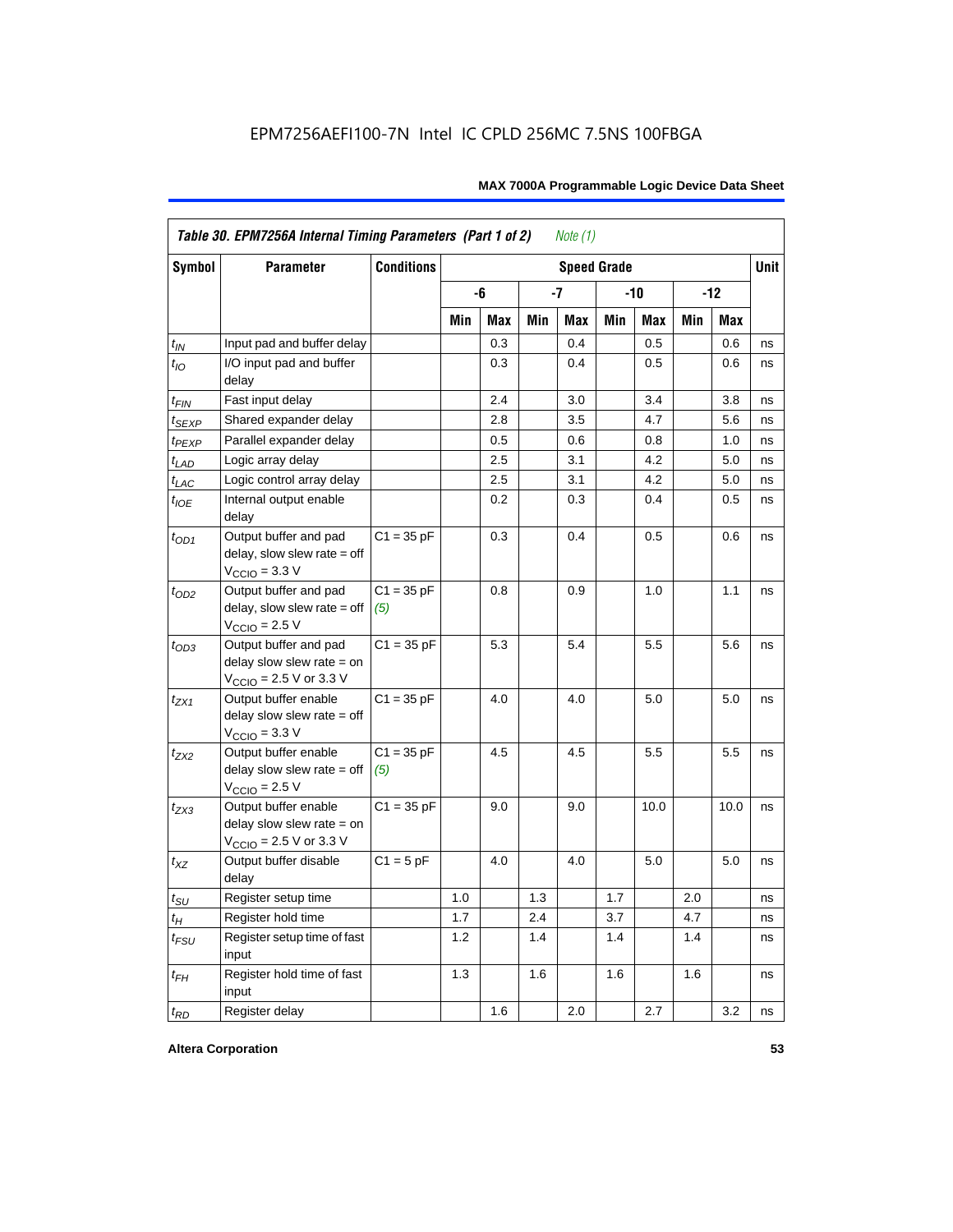| <b>Symbol</b>               | <b>Parameter</b>                                                                             |                     | <b>Speed Grade</b> |     |     |     |     |       |     |            |    |
|-----------------------------|----------------------------------------------------------------------------------------------|---------------------|--------------------|-----|-----|-----|-----|-------|-----|------------|----|
|                             |                                                                                              |                     |                    | -6  |     | -7  |     | $-10$ |     | $-12$      |    |
|                             |                                                                                              |                     | Min                | Max | Min | Max | Min | Max   | Min | <b>Max</b> |    |
| $t_{IN}$                    | Input pad and buffer delay                                                                   |                     |                    | 0.3 |     | 0.4 |     | 0.5   |     | 0.6        | ns |
| $t_{IO}$                    | I/O input pad and buffer<br>delay                                                            |                     |                    | 0.3 |     | 0.4 |     | 0.5   |     | 0.6        | ns |
| t <sub>FIN</sub>            | Fast input delay                                                                             |                     |                    | 2.4 |     | 3.0 |     | 3.4   |     | 3.8        | ns |
| t <sub>SEXP</sub>           | Shared expander delay                                                                        |                     |                    | 2.8 |     | 3.5 |     | 4.7   |     | 5.6        | ns |
| t <sub>PEXP</sub>           | Parallel expander delay                                                                      |                     |                    | 0.5 |     | 0.6 |     | 0.8   |     | 1.0        | ns |
| $t_{LAD}$                   | Logic array delay                                                                            |                     |                    | 2.5 |     | 3.1 |     | 4.2   |     | 5.0        | ns |
| $t_{LAC}$                   | Logic control array delay                                                                    |                     |                    | 2.5 |     | 3.1 |     | 4.2   |     | 5.0        | ns |
| $t_{IOE}$                   | Internal output enable<br>delay                                                              |                     |                    | 0.2 |     | 0.3 |     | 0.4   |     | 0.5        | ns |
| $t_{OD1}$                   | Output buffer and pad<br>$delay$ , slow slew rate = off<br>$V_{\text{CCIO}} = 3.3 \text{ V}$ | $C1 = 35 pF$        |                    | 0.3 |     | 0.4 |     | 0.5   |     | 0.6        | ns |
| $t_{OD2}$                   | Output buffer and pad<br>$delay$ , slow slew rate = off<br>$V_{\text{CCIO}} = 2.5 V$         | $C1 = 35 pF$<br>(5) |                    | 0.8 |     | 0.9 |     | 1.0   |     | 1.1        | ns |
| $t_{OD3}$                   | Output buffer and pad<br>delay slow slew rate $=$ on<br>$V_{\text{CCIO}}$ = 2.5 V or 3.3 V   | $C1 = 35 pF$        |                    | 5.3 |     | 5.4 |     | 5.5   |     | 5.6        | ns |
| $t_{ZX1}$                   | Output buffer enable<br>delay slow slew rate $=$ off<br>$VCCIO = 3.3 V$                      | $C1 = 35 pF$        |                    | 4.0 |     | 4.0 |     | 5.0   |     | 5.0        | ns |
| $t_{ZX2}$                   | Output buffer enable<br>delay slow slew rate $=$ off<br>$VCCIO = 2.5 V$                      | $C1 = 35 pF$<br>(5) |                    | 4.5 |     | 4.5 |     | 5.5   |     | 5.5        | ns |
| $t_{ZX3}$                   | Output buffer enable<br>delay slow slew rate $=$ on<br>$V_{\text{CCIO}}$ = 2.5 V or 3.3 V    | $C1 = 35 pF$        |                    | 9.0 |     | 9.0 |     | 10.0  |     | 10.0       | ns |
| $t_{XZ}$                    | Output buffer disable<br>delay                                                               | $C1 = 5pF$          |                    | 4.0 |     | 4.0 |     | 5.0   |     | 5.0        | ns |
| $t_{\scriptstyle\text{SU}}$ | Register setup time                                                                          |                     | 1.0                |     | 1.3 |     | 1.7 |       | 2.0 |            | ns |
| $t_{H}$                     | Register hold time                                                                           |                     | 1.7                |     | 2.4 |     | 3.7 |       | 4.7 |            | ns |
| $t_{FSU}$                   | Register setup time of fast<br>input                                                         |                     | 1.2                |     | 1.4 |     | 1.4 |       | 1.4 |            | ns |
| $t_{FH}$                    | Register hold time of fast<br>input                                                          |                     | 1.3                |     | 1.6 |     | 1.6 |       | 1.6 |            | ns |
| $t_{RD}$                    | Register delay                                                                               |                     |                    | 1.6 |     | 2.0 |     | 2.7   |     | 3.2        | ns |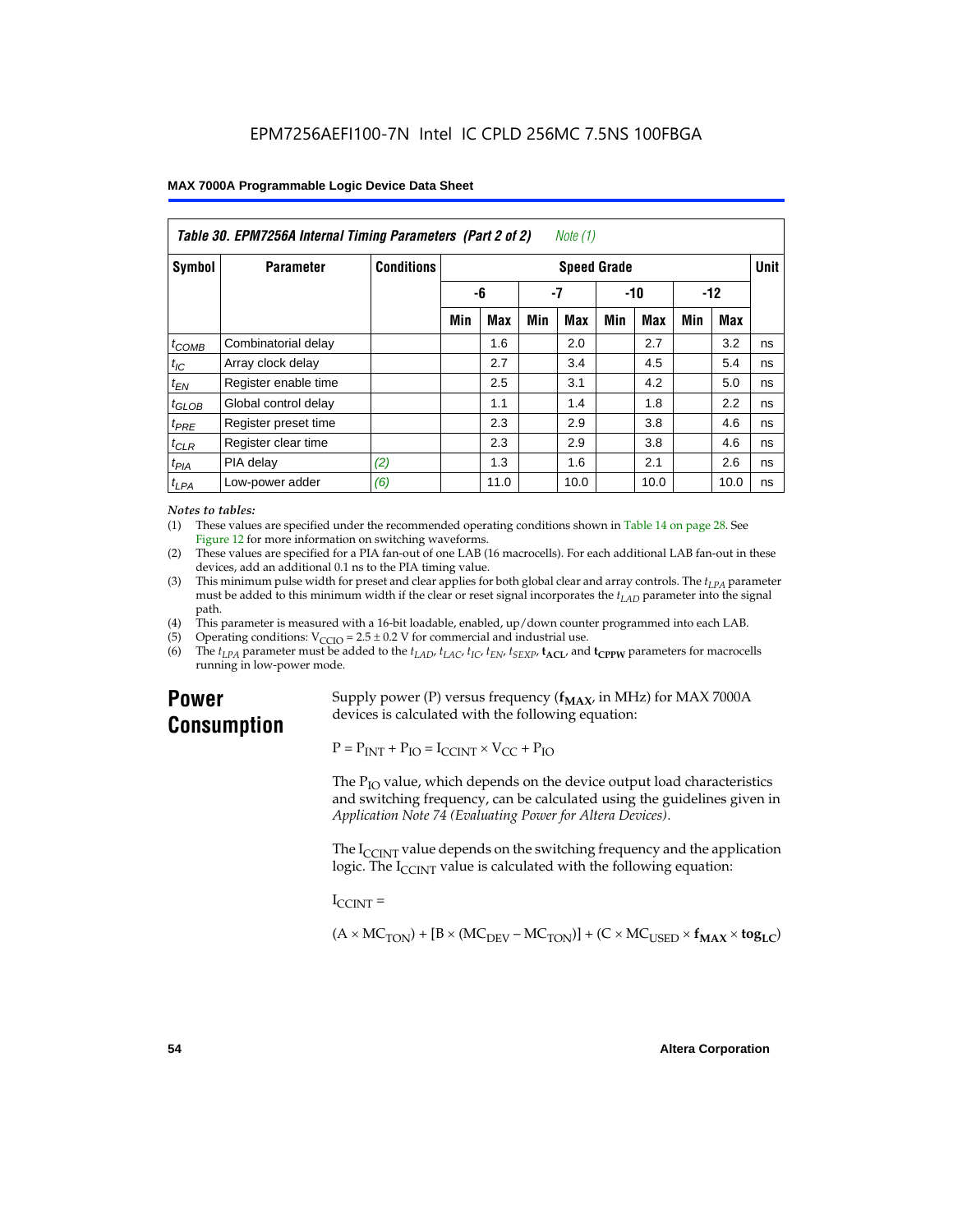| Table 30. EPM7256A Internal Timing Parameters (Part 2 of 2)<br>Note (1) |                      |                   |     |            |     |                    |     |            |     |      |             |
|-------------------------------------------------------------------------|----------------------|-------------------|-----|------------|-----|--------------------|-----|------------|-----|------|-------------|
| Symbol                                                                  | <b>Parameter</b>     | <b>Conditions</b> |     |            |     | <b>Speed Grade</b> |     |            |     |      | <b>Unit</b> |
|                                                                         |                      | -6<br>-7          |     | $-10$      |     | $-12$              |     |            |     |      |             |
|                                                                         |                      |                   | Min | <b>Max</b> | Min | Max                | Min | <b>Max</b> | Min | Max  |             |
| $t_{COMB}$                                                              | Combinatorial delay  |                   |     | 1.6        |     | 2.0                |     | 2.7        |     | 3.2  | ns          |
| $t_{IC}$                                                                | Array clock delay    |                   |     | 2.7        |     | 3.4                |     | 4.5        |     | 5.4  | ns          |
| $t_{EN}$                                                                | Register enable time |                   |     | 2.5        |     | 3.1                |     | 4.2        |     | 5.0  | ns          |
| $t_{GLOB}$                                                              | Global control delay |                   |     | 1.1        |     | 1.4                |     | 1.8        |     | 2.2  | ns          |
| $t_{PRE}$                                                               | Register preset time |                   |     | 2.3        |     | 2.9                |     | 3.8        |     | 4.6  | ns          |
| $t_{CLR}$                                                               | Register clear time  |                   |     | 2.3        |     | 2.9                |     | 3.8        |     | 4.6  | ns          |
| t <sub>PIA</sub>                                                        | PIA delay            | (2)               |     | 1.3        |     | 1.6                |     | 2.1        |     | 2.6  | ns          |
| $t_{LPA}$                                                               | Low-power adder      | (6)               |     | 11.0       |     | 10.0               |     | 10.0       |     | 10.0 | ns          |

#### *Notes to tables:*

(1) These values are specified under the recommended operating conditions shown in Table 14 on page 28. See Figure 12 for more information on switching waveforms.

- (2) These values are specified for a PIA fan-out of one LAB (16 macrocells). For each additional LAB fan-out in these devices, add an additional 0.1 ns to the PIA timing value.
- (3) This minimum pulse width for preset and clear applies for both global clear and array controls. The  $t_{LPA}$  parameter must be added to this minimum width if the clear or reset signal incorporates the  $t_{LAD}$  parameter into the signal path.
- (4) This parameter is measured with a 16-bit loadable, enabled, up/down counter programmed into each LAB.
- (5) Operating conditions:  $V_{\text{CCIO}} = 2.5 \pm 0.2 \text{ V}$  for commercial and industrial use.<br>(6) The  $t_{I/A}$  parameter must be added to the  $t_{I AD}$ ,  $t_{I AC}$ ,  $t_{I C}$ ,  $t_{F N}$ ,  $t_{S F Y P}$ ,  $t_{A C I}$ , and
- The  $t_{LPA}$  parameter must be added to the  $t_{LAD}$ ,  $t_{LAC}$ ,  $t_{IC}$ ,  $t_{EN}$ ,  $t_{SEXP}$ ,  $t_{ACL}$  and  $t_{CPPW}$  parameters for macrocells running in low-power mode.

### **Power Consumption**

Supply power (P) versus frequency  $(f_{MAX}$ , in MHz) for MAX 7000A devices is calculated with the following equation:

 $P = P_{INT} + P_{IO} = I_{CCINT} \times V_{CC} + P_{IO}$ 

The  $P_{IO}$  value, which depends on the device output load characteristics and switching frequency, can be calculated using the guidelines given in *Application Note 74 (Evaluating Power for Altera Devices)*.

The  $I_{\text{CUNT}}$  value depends on the switching frequency and the application logic. The  $I_{\text{CCINT}}$  value is calculated with the following equation:

 $I_{\text{CCMT}} =$ 

 $(A \times MC_{TON}) + [B \times (MC_{DEV} - MC_{TON})] + (C \times MC_{LISED} \times f_{MAX} \times tog_{LC})$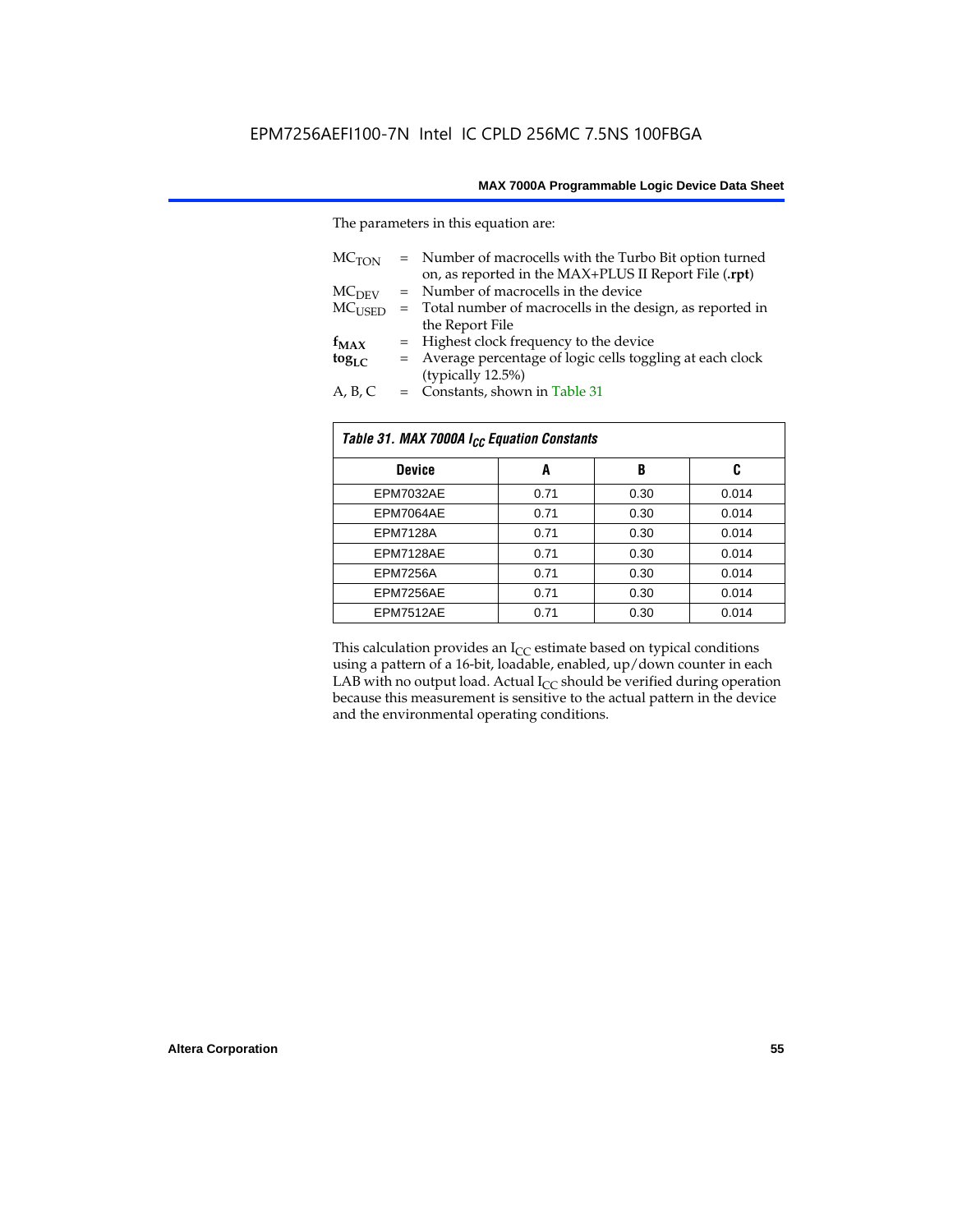The parameters in this equation are:

| MC <sub>TON</sub> | = Number of macrocells with the Turbo Bit option turned<br>on, as reported in the MAX+PLUS II Report File (.rpt) |
|-------------------|------------------------------------------------------------------------------------------------------------------|
| MC <sub>DFV</sub> | = Number of macrocells in the device                                                                             |
| $MC_{LISED}$      | = Total number of macrocells in the design, as reported in                                                       |
|                   | the Report File                                                                                                  |
| $f_{MAX}$         | = Highest clock frequency to the device                                                                          |
| $tog_{LC}$        | = Average percentage of logic cells toggling at each clock                                                       |
|                   | (typically 12.5%)                                                                                                |
| A, B, C           | = Constants, shown in Table 31                                                                                   |

| Table 31. MAX 7000A I <sub>CC</sub> Equation Constants |      |      |       |  |  |  |  |
|--------------------------------------------------------|------|------|-------|--|--|--|--|
| <b>Device</b>                                          | A    | B    | C     |  |  |  |  |
| EPM7032AE                                              | 0.71 | 0.30 | 0.014 |  |  |  |  |
| EPM7064AE                                              | 0.71 | 0.30 | 0.014 |  |  |  |  |
| <b>EPM7128A</b>                                        | 0.71 | 0.30 | 0.014 |  |  |  |  |
| EPM7128AE                                              | 0.71 | 0.30 | 0.014 |  |  |  |  |
| <b>EPM7256A</b>                                        | 0.71 | 0.30 | 0.014 |  |  |  |  |
| EPM7256AE                                              | 0.71 | 0.30 | 0.014 |  |  |  |  |
| EPM7512AE                                              | 0.71 | 0.30 | 0.014 |  |  |  |  |

This calculation provides an  $I_{CC}$  estimate based on typical conditions using a pattern of a 16-bit, loadable, enabled, up/down counter in each LAB with no output load. Actual  $I_{CC}$  should be verified during operation because this measurement is sensitive to the actual pattern in the device and the environmental operating conditions.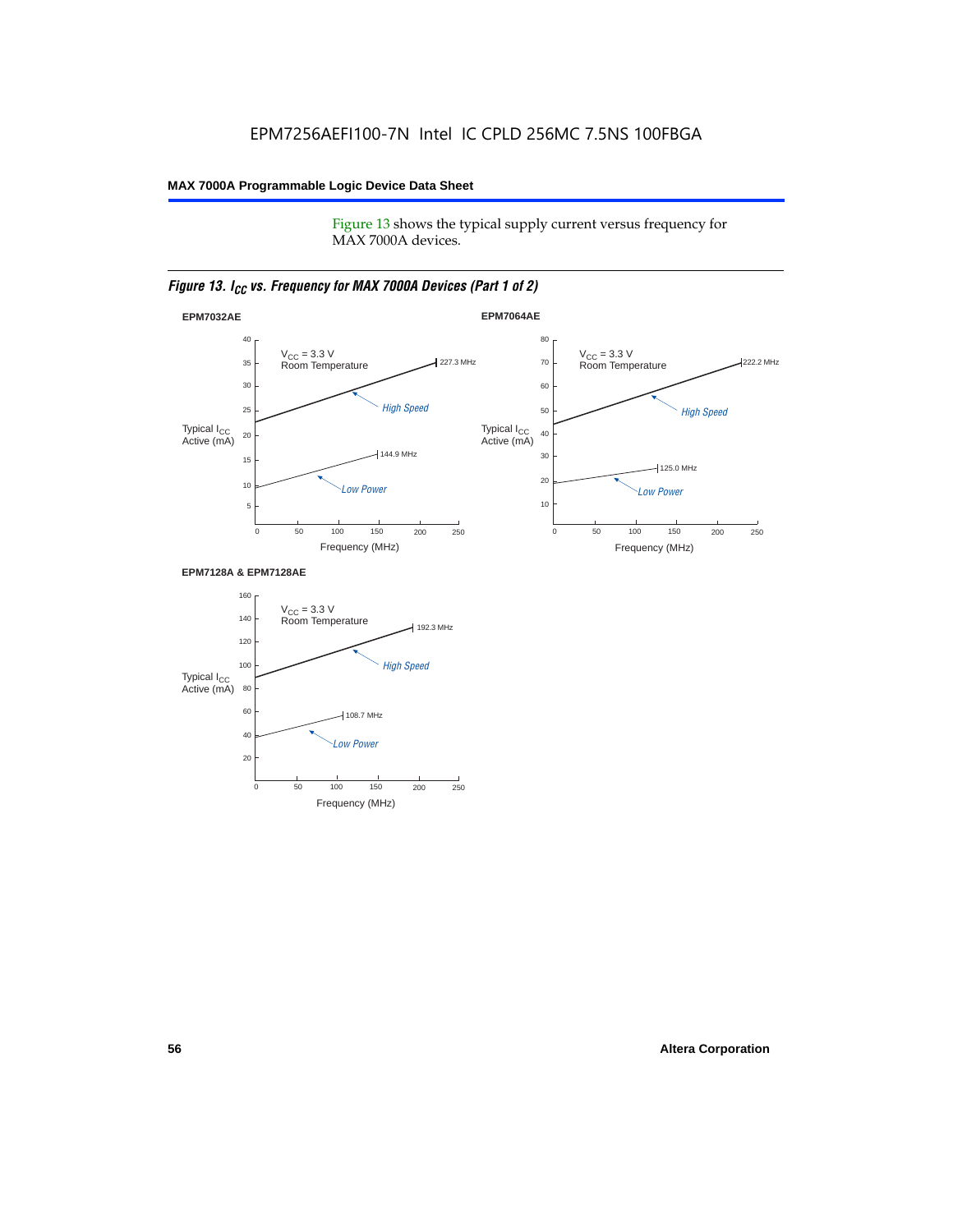Figure 13 shows the typical supply current versus frequency for MAX 7000A devices.

#### *Figure 13. I<sub>CC</sub> vs. Frequency for MAX 7000A Devices (Part 1 of 2)*



#### **EPM7128A & EPM7128AE**

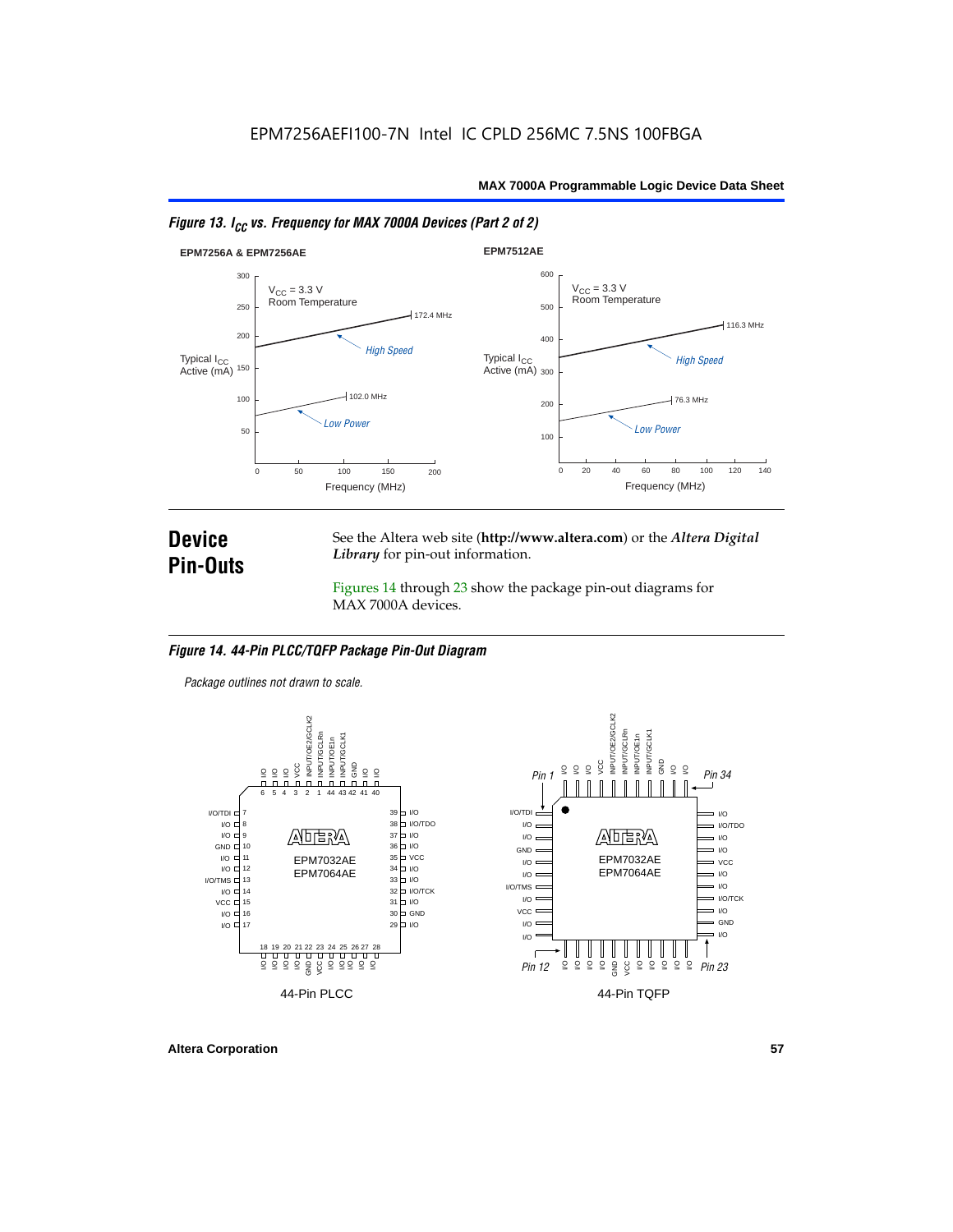



### **Device Pin-Outs**

See the Altera web site (**http://www.altera.com**) or the *Altera Digital Library* for pin-out information.

Figures 14 through 23 show the package pin-out diagrams for MAX 7000A devices.

#### *Figure 14. 44-Pin PLCC/TQFP Package Pin-Out Diagram*

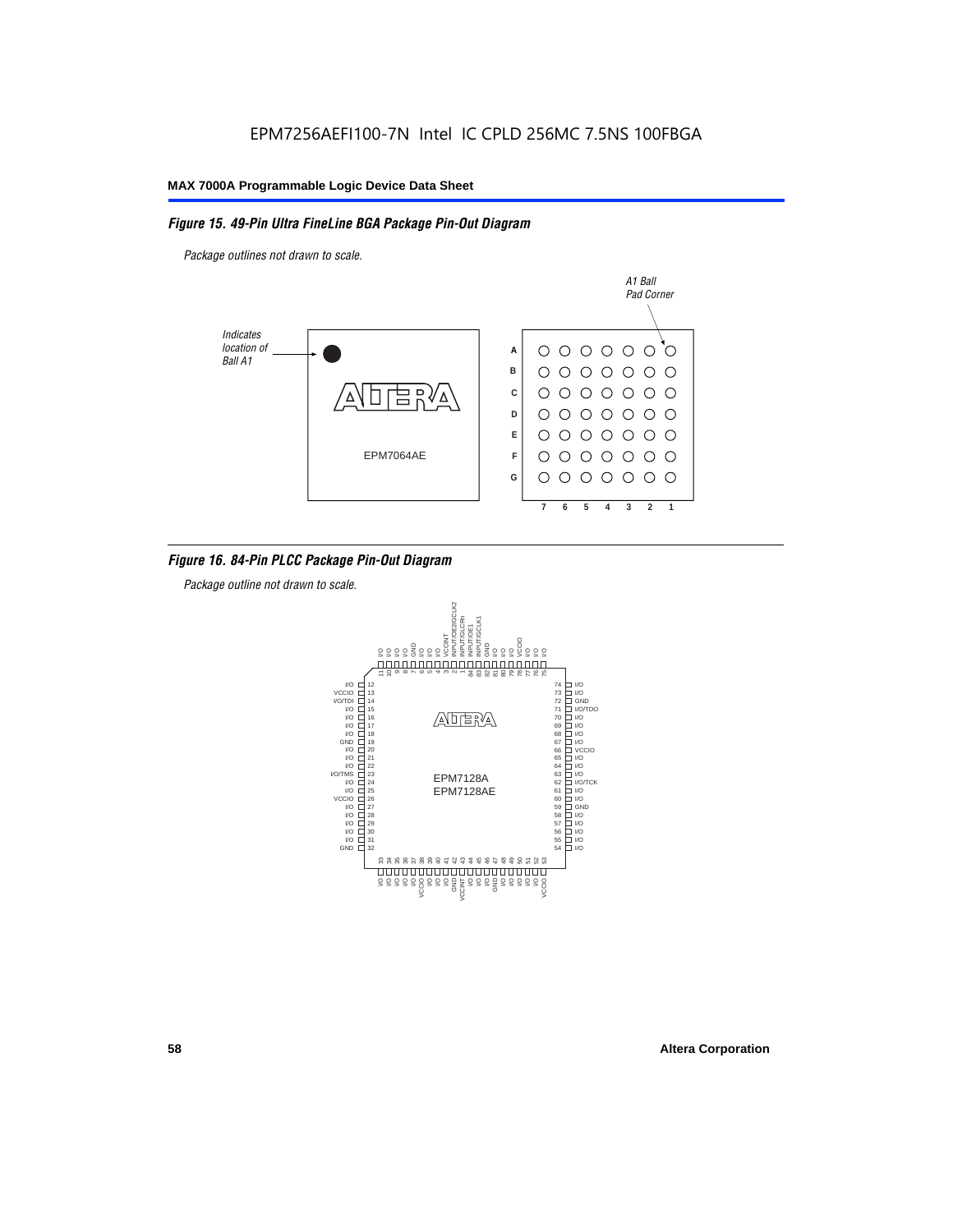#### *Figure 15. 49-Pin Ultra FineLine BGA Package Pin-Out Diagram*

*Package outlines not drawn to scale.*



#### *Figure 16. 84-Pin PLCC Package Pin-Out Diagram*

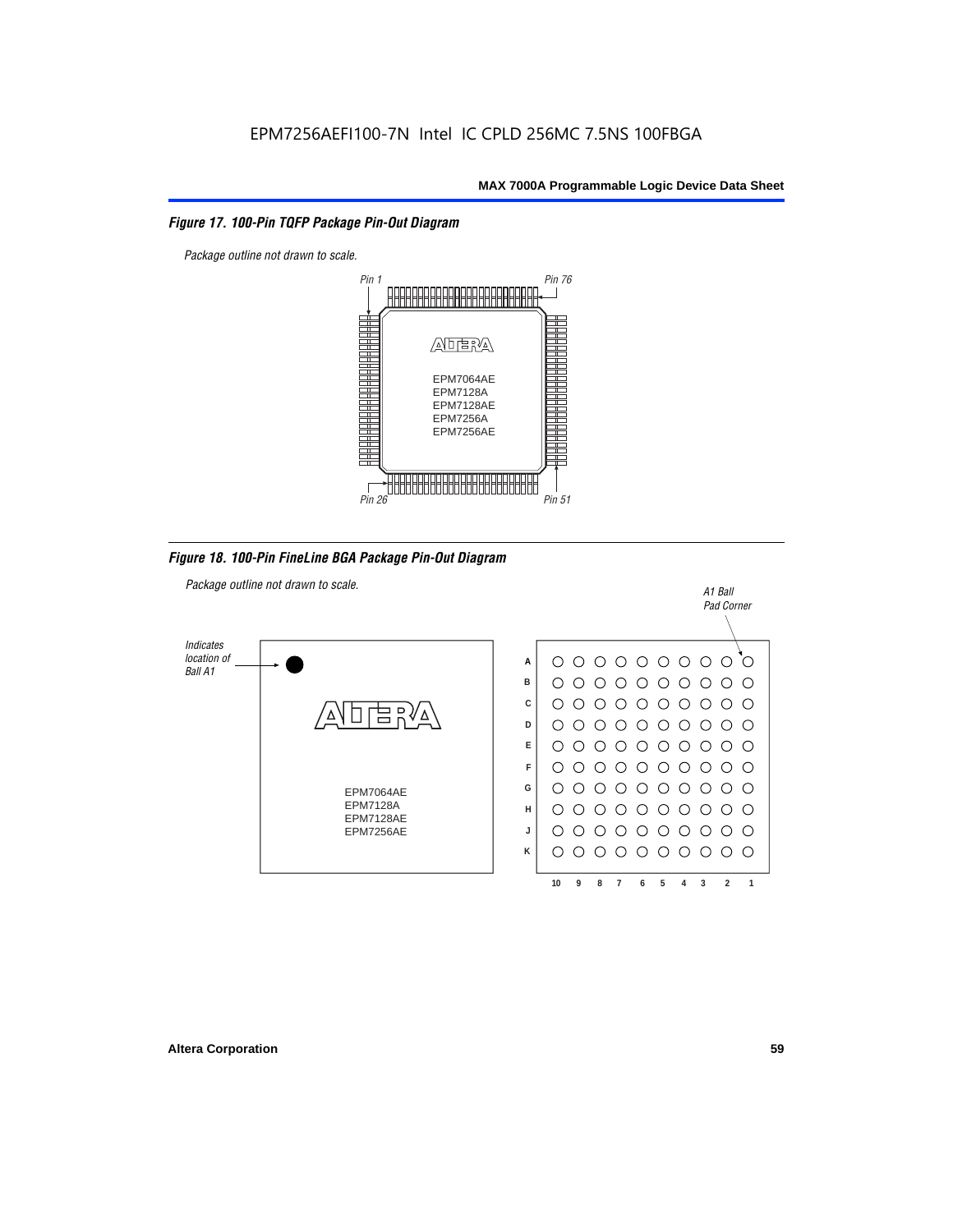#### *Figure 17. 100-Pin TQFP Package Pin-Out Diagram*



*Figure 18. 100-Pin FineLine BGA Package Pin-Out Diagram*

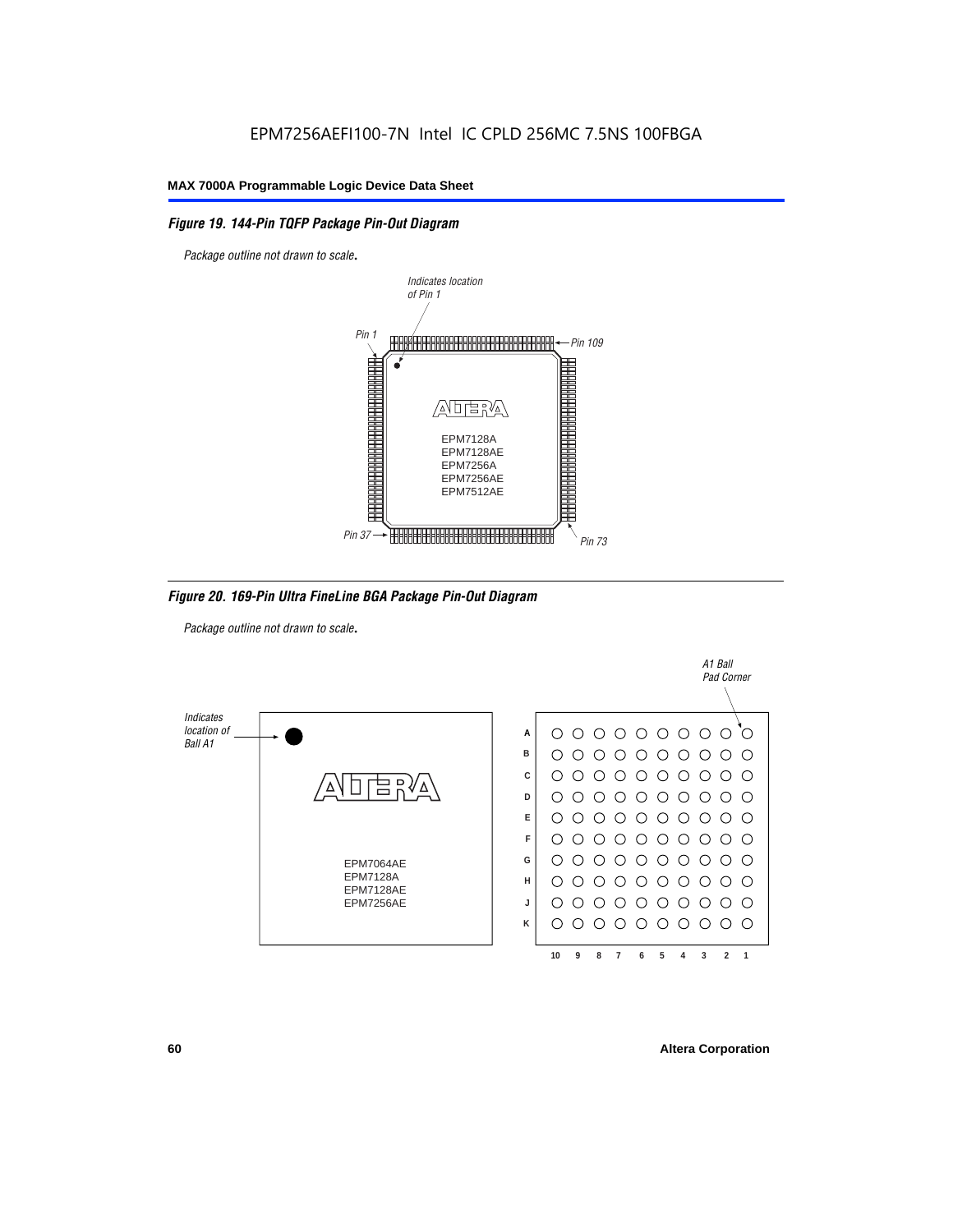#### *Figure 19. 144-Pin TQFP Package Pin-Out Diagram*

*Package outline not drawn to scale*.



*Figure 20. 169-Pin Ultra FineLine BGA Package Pin-Out Diagram*

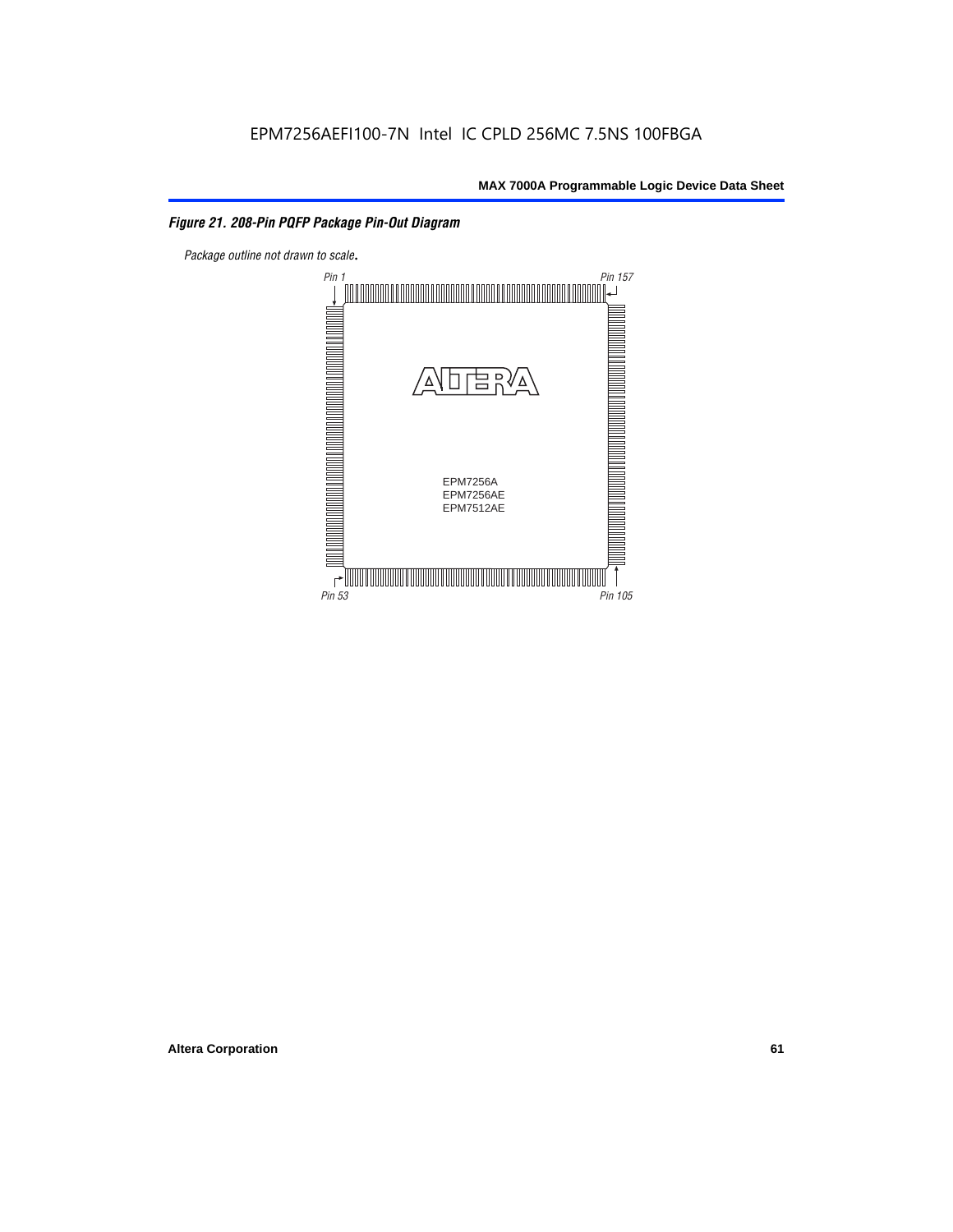#### *Figure 21. 208-Pin PQFP Package Pin-Out Diagram*

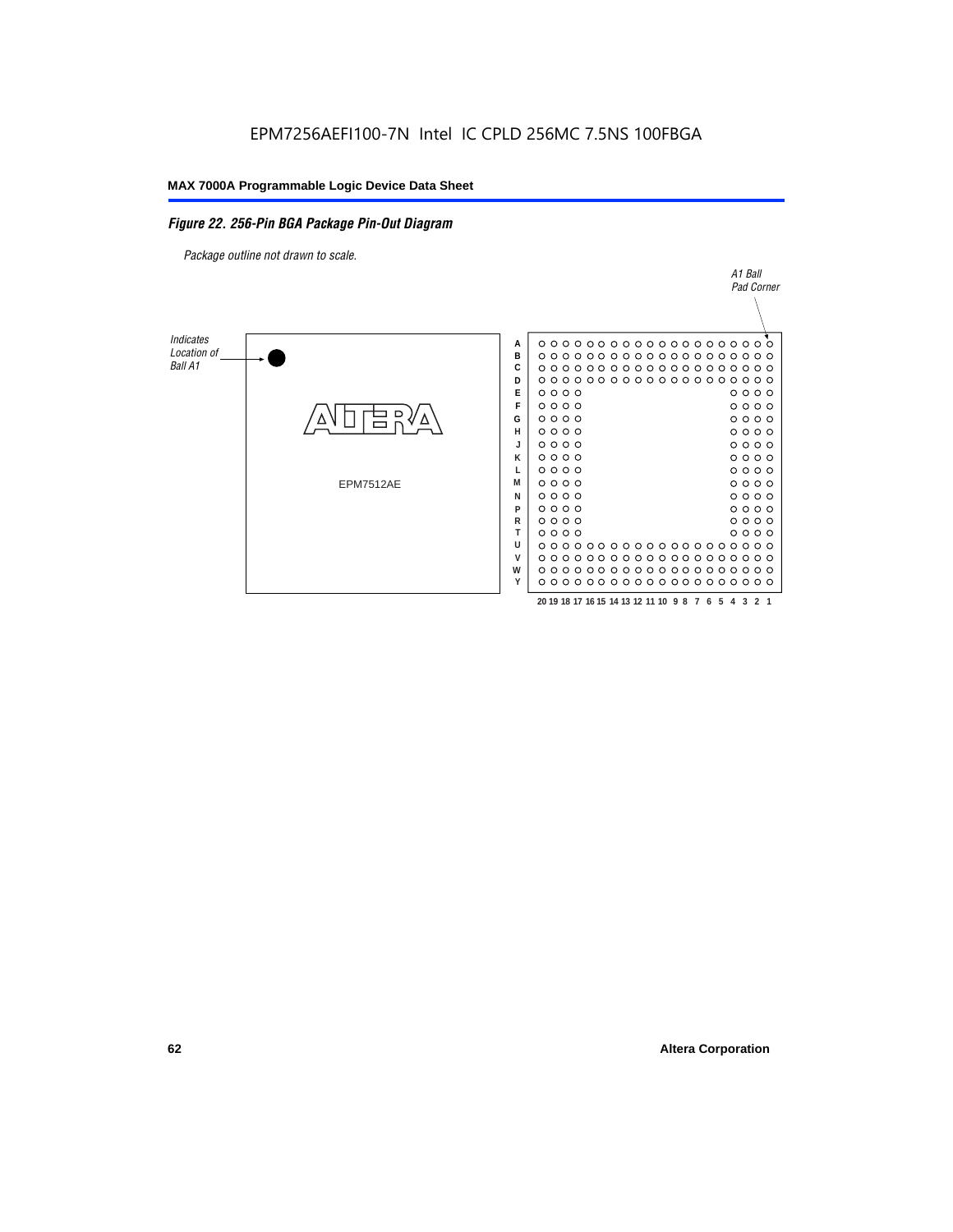#### *Figure 22. 256-Pin BGA Package Pin-Out Diagram*

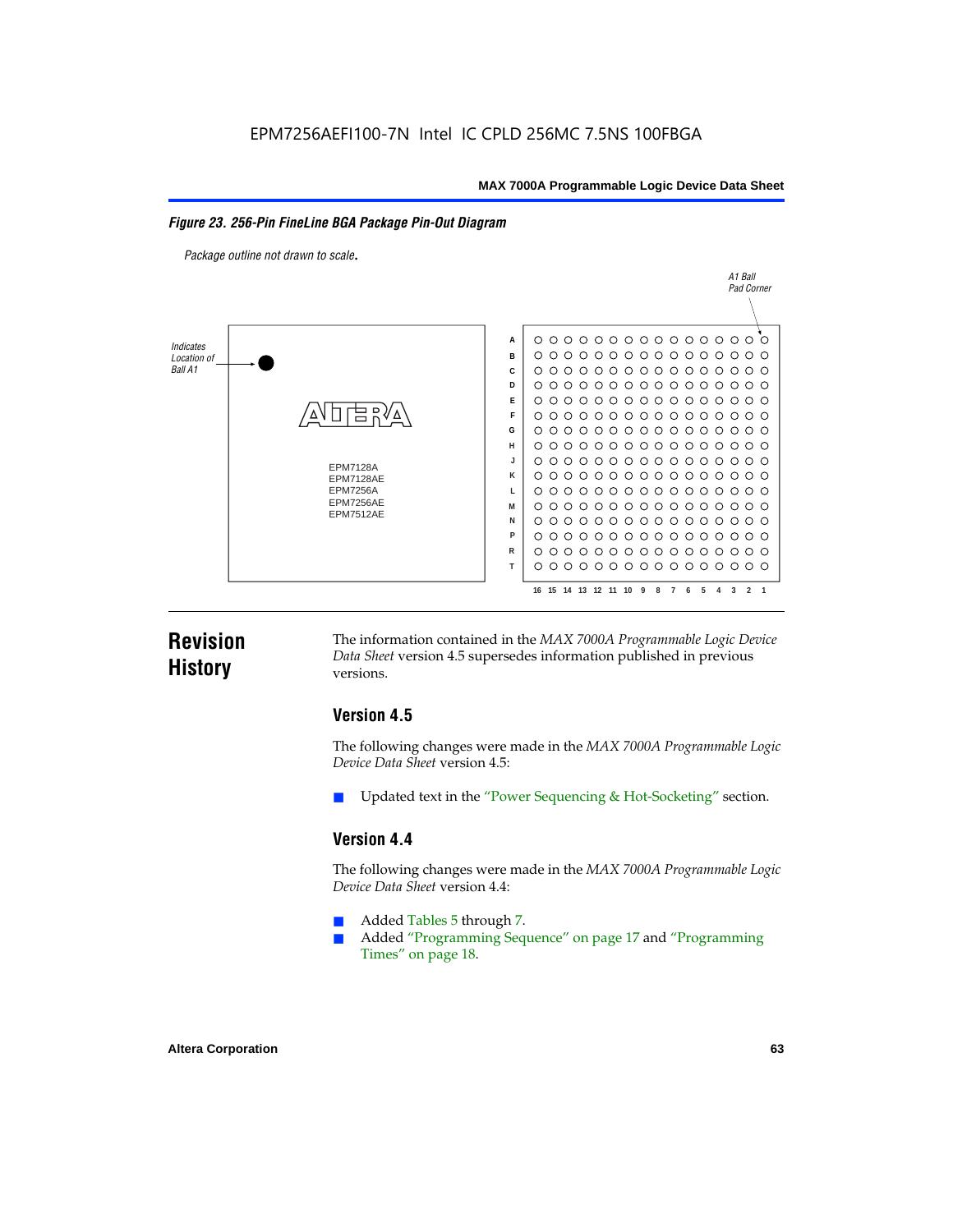#### *Figure 23. 256-Pin FineLine BGA Package Pin-Out Diagram*

*Package outline not drawn to scale*.



### **Revision History**

The information contained in the *MAX 7000A Programmable Logic Device Data Sheet* version 4.5 supersedes information published in previous versions.

#### **Version 4.5**

The following changes were made in the *MAX 7000A Programmable Logic Device Data Sheet* version 4.5:

Updated text in the "Power Sequencing & Hot-Socketing" section.

#### **Version 4.4**

The following changes were made in the *MAX 7000A Programmable Logic Device Data Sheet* version 4.4:

- Added Tables 5 through 7.
	- Added "Programming Sequence" on page 17 and "Programming Times" on page 18.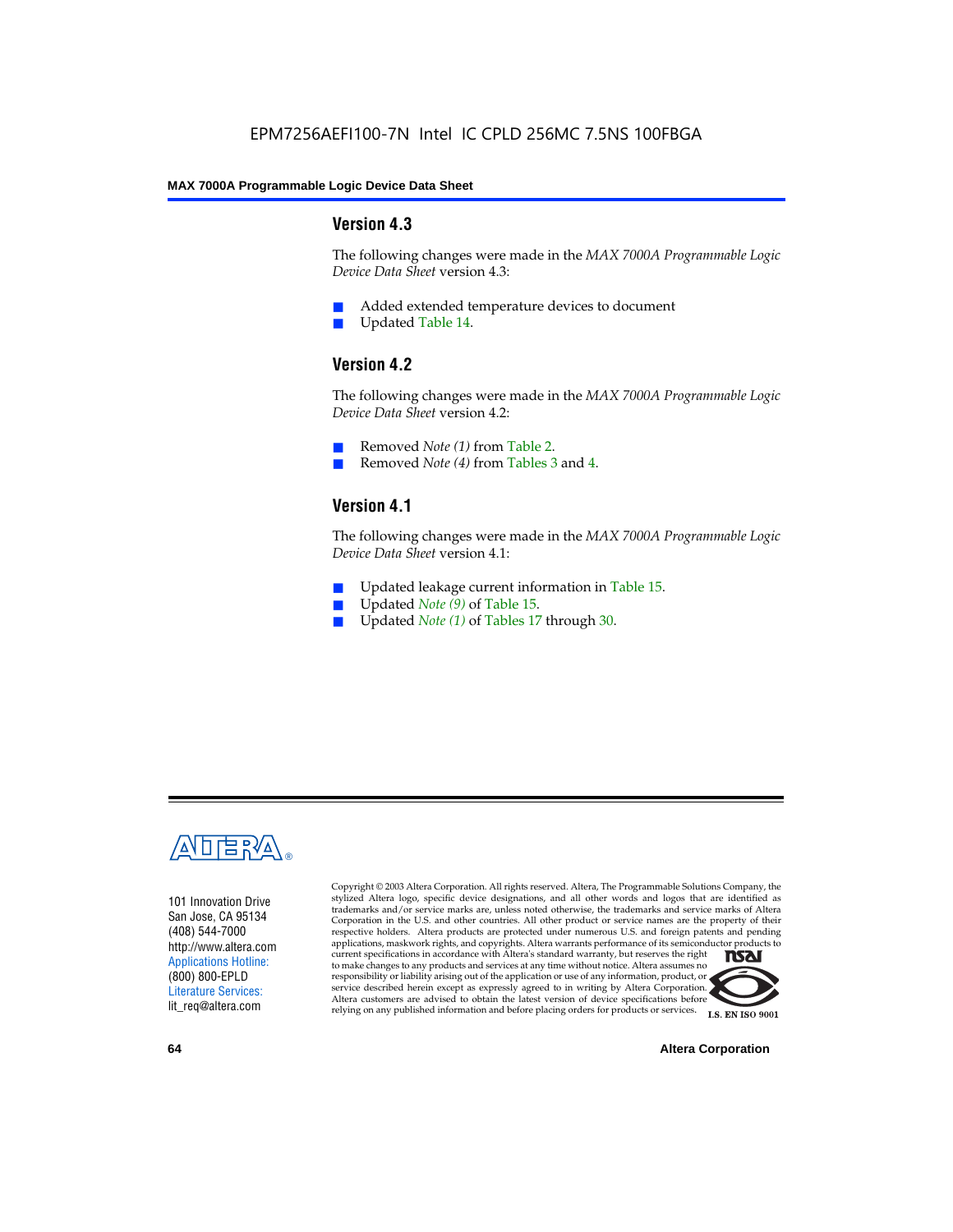#### **Version 4.3**

The following changes were made in the *MAX 7000A Programmable Logic Device Data Sheet* version 4.3:

- Added extended temperature devices to document
- Updated Table 14.

#### **Version 4.2**

The following changes were made in the *MAX 7000A Programmable Logic Device Data Sheet* version 4.2:

- Removed *Note (1)* from Table 2.
- Removed *Note (4)* from Tables 3 and 4.

#### **Version 4.1**

The following changes were made in the *MAX 7000A Programmable Logic Device Data Sheet* version 4.1:

- Updated leakage current information in Table 15.
- Updated *Note (9)* of Table 15.
- Updated *Note* (1) of Tables 17 through 30.



101 Innovation Drive San Jose, CA 95134 (408) 544-7000 http://www.altera.com Applications Hotline: (800) 800-EPLD Literature Services: lit\_req@altera.com

Copyright © 2003 Altera Corporation. All rights reserved. Altera, The Programmable Solutions Company, the stylized Altera logo, specific device designations, and all other words and logos that are identified as trademarks and/or service marks are, unless noted otherwise, the trademarks and service marks of Altera Corporation in the U.S. and other countries. All other product or service names are the property of their respective holders. Altera products are protected under numerous U.S. and foreign patents and pending applications, maskwork rights, and copyrights. Altera warrants performance of its semiconductor products to current specifications in accordance with Altera's standard warranty, but reserves the right **TSAI** to make changes to any products and services at any time without notice. Altera assumes no responsibility or liability arising out of the application or use of any information, product, or service described herein except as expressly agreed to in writing by Altera Corporation. Altera customers are advised to obtain the latest version of device specifications before relying on any published information and before placing orders for products or services.



**I.S. EN ISO 9001** 

**64 Altera Corporation**